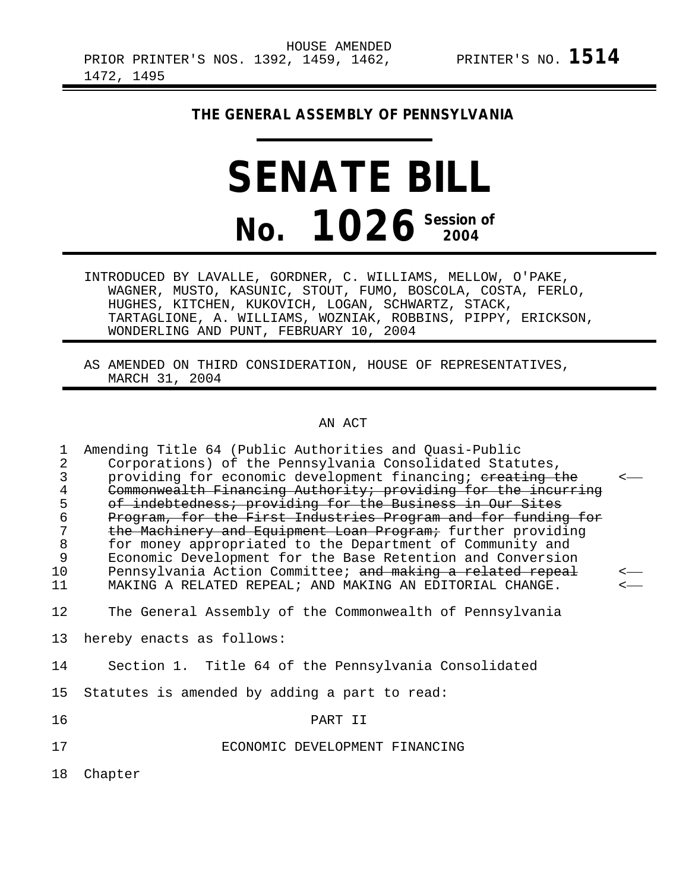# **THE GENERAL ASSEMBLY OF PENNSYLVANIA**

# **SENATE BILL No. 1026 Session of 2004**

INTRODUCED BY LAVALLE, GORDNER, C. WILLIAMS, MELLOW, O'PAKE, WAGNER, MUSTO, KASUNIC, STOUT, FUMO, BOSCOLA, COSTA, FERLO, HUGHES, KITCHEN, KUKOVICH, LOGAN, SCHWARTZ, STACK, TARTAGLIONE, A. WILLIAMS, WOZNIAK, ROBBINS, PIPPY, ERICKSON, WONDERLING AND PUNT, FEBRUARY 10, 2004

AS AMENDED ON THIRD CONSIDERATION, HOUSE OF REPRESENTATIVES, MARCH 31, 2004

### AN ACT

| 1              | Amending Title 64 (Public Authorities and Quasi-Public        |              |
|----------------|---------------------------------------------------------------|--------------|
| $\overline{2}$ | Corporations) of the Pennsylvania Consolidated Statutes,      |              |
| $\mathsf{3}$   | providing for economic development financing; ereating the    | $\leftarrow$ |
| $\frac{4}{5}$  | Commonwealth Financing Authority; providing for the incurring |              |
|                | of indebtedness; providing for the Business in Our Sites      |              |
| $\epsilon$     | Program, for the First Industries Program and for funding for |              |
| 7              | the Machinery and Equipment Loan Program; further providing   |              |
| $\,8\,$        | for money appropriated to the Department of Community and     |              |
| 9              | Economic Development for the Base Retention and Conversion    |              |
| 10             | Pennsylvania Action Committee; and making a related repeal    | $\leftarrow$ |
| 11             | MAKING A RELATED REPEAL; AND MAKING AN EDITORIAL CHANGE.      | $\leftarrow$ |
| 12             | The General Assembly of the Commonwealth of Pennsylvania      |              |
|                |                                                               |              |
| 13             | hereby enacts as follows:                                     |              |
| 14             | Section 1. Title 64 of the Pennsylvania Consolidated          |              |
|                |                                                               |              |
| 15             | Statutes is amended by adding a part to read:                 |              |
| 16             | PART II                                                       |              |
|                |                                                               |              |
| 17             | ECONOMIC DEVELOPMENT FINANCING                                |              |
|                |                                                               |              |
| 18             | Chapter                                                       |              |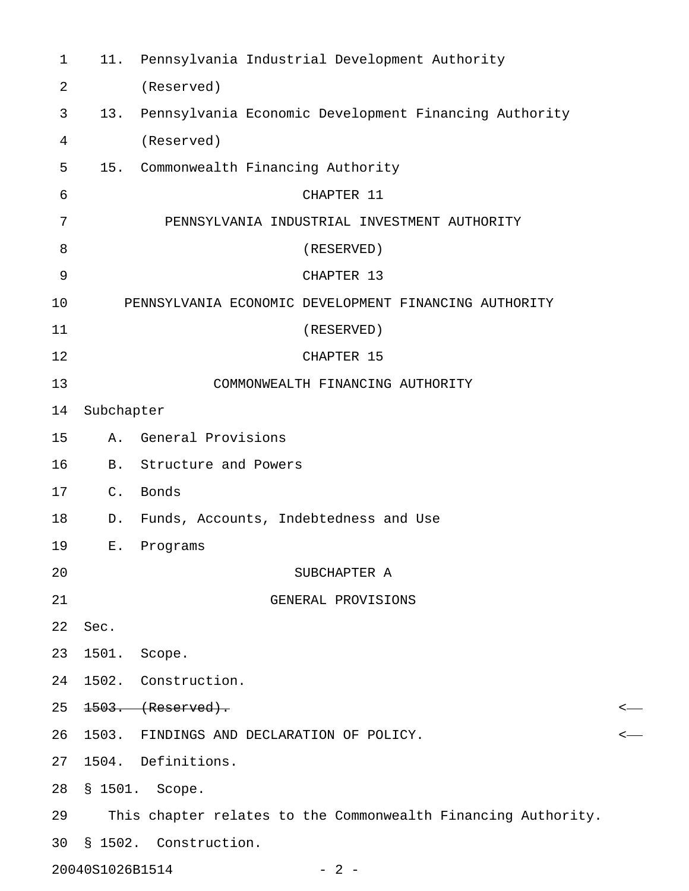| $\mathbf 1$ | 11.             | Pennsylvania Industrial Development Authority                 |   |
|-------------|-----------------|---------------------------------------------------------------|---|
| 2           |                 | (Reserved)                                                    |   |
| 3           | 13.             | Pennsylvania Economic Development Financing Authority         |   |
| 4           |                 | (Reserved)                                                    |   |
| 5           | 15.             | Commonwealth Financing Authority                              |   |
| 6           |                 | CHAPTER 11                                                    |   |
| 7           |                 | PENNSYLVANIA INDUSTRIAL INVESTMENT AUTHORITY                  |   |
| 8           |                 | (RESERVED)                                                    |   |
| 9           |                 | CHAPTER 13                                                    |   |
| 10          |                 | PENNSYLVANIA ECONOMIC DEVELOPMENT FINANCING AUTHORITY         |   |
| 11          |                 | (RESERVED)                                                    |   |
| 12          |                 | CHAPTER 15                                                    |   |
| 13          |                 | COMMONWEALTH FINANCING AUTHORITY                              |   |
| 14          | Subchapter      |                                                               |   |
| 15          | Α.              | General Provisions                                            |   |
| 16          | <b>B.</b>       | Structure and Powers                                          |   |
| 17          | $C_{\bullet}$   | Bonds                                                         |   |
| 18          | D.              | Funds, Accounts, Indebtedness and Use                         |   |
| 19          | Ε.              | Programs                                                      |   |
| 20          |                 | SUBCHAPTER A                                                  |   |
| 21          |                 | GENERAL PROVISIONS                                            |   |
| 22          | Sec.            |                                                               |   |
| 23          | 1501.           | Scope.                                                        |   |
| 24          |                 | 1502. Construction.                                           |   |
| 25          |                 | $1503.$ (Reserved).                                           | < |
| 26          | 1503.           | FINDINGS AND DECLARATION OF POLICY.                           | < |
| 27          |                 | 1504. Definitions.                                            |   |
| 28          | \$1501.         | Scope.                                                        |   |
| 29          |                 | This chapter relates to the Commonwealth Financing Authority. |   |
| 30          |                 | § 1502. Construction.                                         |   |
|             | 20040S1026B1514 | $-2-$                                                         |   |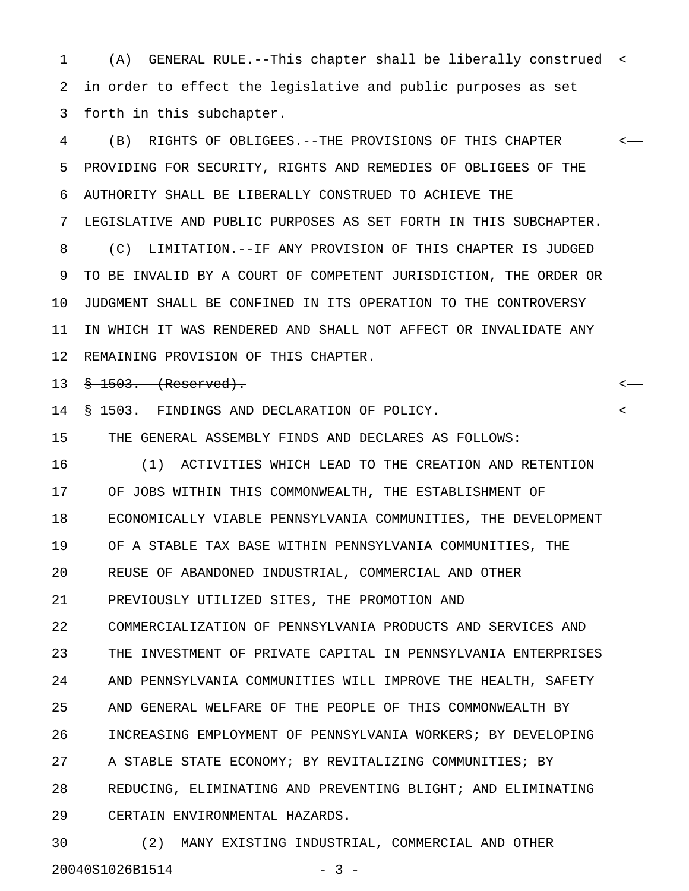1 (A) GENERAL RULE.--This chapter shall be liberally construed < 2 in order to effect the legislative and public purposes as set 3 forth in this subchapter.

4 (B) RIGHTS OF OBLIGEES.--THE PROVISIONS OF THIS CHAPTER < 5 PROVIDING FOR SECURITY, RIGHTS AND REMEDIES OF OBLIGEES OF THE 6 AUTHORITY SHALL BE LIBERALLY CONSTRUED TO ACHIEVE THE 7 LEGISLATIVE AND PUBLIC PURPOSES AS SET FORTH IN THIS SUBCHAPTER. 8 (C) LIMITATION.--IF ANY PROVISION OF THIS CHAPTER IS JUDGED 9 TO BE INVALID BY A COURT OF COMPETENT JURISDICTION, THE ORDER OR 10 JUDGMENT SHALL BE CONFINED IN ITS OPERATION TO THE CONTROVERSY 11 IN WHICH IT WAS RENDERED AND SHALL NOT AFFECT OR INVALIDATE ANY 12 REMAINING PROVISION OF THIS CHAPTER.

13 § 1503. (Reserved). <

14 § 1503. FINDINGS AND DECLARATION OF POLICY. <

15 THE GENERAL ASSEMBLY FINDS AND DECLARES AS FOLLOWS:

16 (1) ACTIVITIES WHICH LEAD TO THE CREATION AND RETENTION 17 OF JOBS WITHIN THIS COMMONWEALTH, THE ESTABLISHMENT OF 18 ECONOMICALLY VIABLE PENNSYLVANIA COMMUNITIES, THE DEVELOPMENT 19 OF A STABLE TAX BASE WITHIN PENNSYLVANIA COMMUNITIES, THE 20 REUSE OF ABANDONED INDUSTRIAL, COMMERCIAL AND OTHER 21 PREVIOUSLY UTILIZED SITES, THE PROMOTION AND 22 COMMERCIALIZATION OF PENNSYLVANIA PRODUCTS AND SERVICES AND 23 THE INVESTMENT OF PRIVATE CAPITAL IN PENNSYLVANIA ENTERPRISES 24 AND PENNSYLVANIA COMMUNITIES WILL IMPROVE THE HEALTH, SAFETY 25 AND GENERAL WELFARE OF THE PEOPLE OF THIS COMMONWEALTH BY 26 INCREASING EMPLOYMENT OF PENNSYLVANIA WORKERS; BY DEVELOPING 27 A STABLE STATE ECONOMY; BY REVITALIZING COMMUNITIES; BY 28 REDUCING, ELIMINATING AND PREVENTING BLIGHT; AND ELIMINATING 29 CERTAIN ENVIRONMENTAL HAZARDS.

30 (2) MANY EXISTING INDUSTRIAL, COMMERCIAL AND OTHER 20040S1026B1514 - 3 -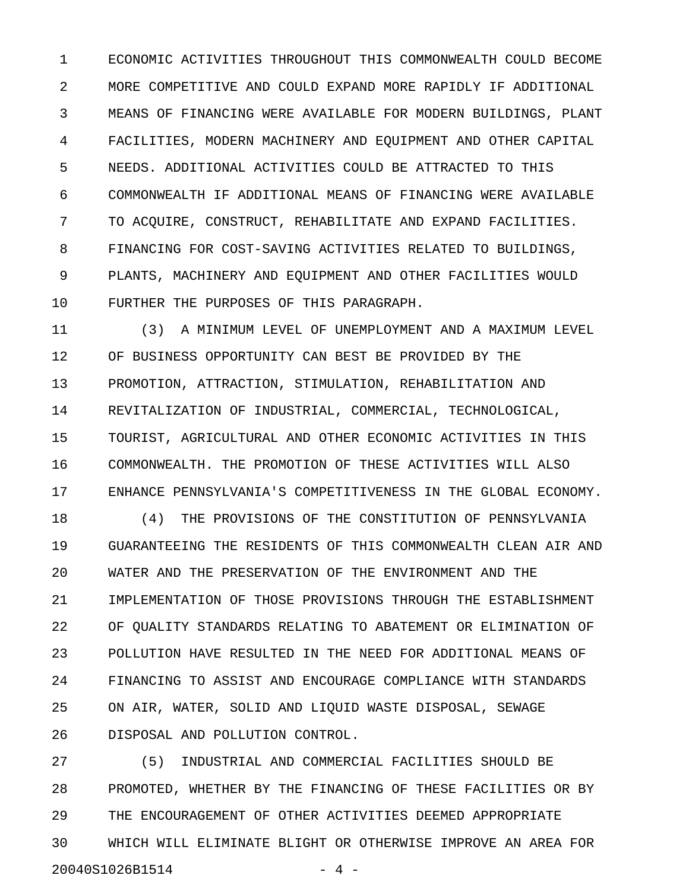1 ECONOMIC ACTIVITIES THROUGHOUT THIS COMMONWEALTH COULD BECOME 2 MORE COMPETITIVE AND COULD EXPAND MORE RAPIDLY IF ADDITIONAL 3 MEANS OF FINANCING WERE AVAILABLE FOR MODERN BUILDINGS, PLANT 4 FACILITIES, MODERN MACHINERY AND EQUIPMENT AND OTHER CAPITAL 5 NEEDS. ADDITIONAL ACTIVITIES COULD BE ATTRACTED TO THIS 6 COMMONWEALTH IF ADDITIONAL MEANS OF FINANCING WERE AVAILABLE 7 TO ACQUIRE, CONSTRUCT, REHABILITATE AND EXPAND FACILITIES. 8 FINANCING FOR COST-SAVING ACTIVITIES RELATED TO BUILDINGS, 9 PLANTS, MACHINERY AND EQUIPMENT AND OTHER FACILITIES WOULD 10 FURTHER THE PURPOSES OF THIS PARAGRAPH.

11 (3) A MINIMUM LEVEL OF UNEMPLOYMENT AND A MAXIMUM LEVEL 12 OF BUSINESS OPPORTUNITY CAN BEST BE PROVIDED BY THE 13 PROMOTION, ATTRACTION, STIMULATION, REHABILITATION AND 14 REVITALIZATION OF INDUSTRIAL, COMMERCIAL, TECHNOLOGICAL, 15 TOURIST, AGRICULTURAL AND OTHER ECONOMIC ACTIVITIES IN THIS 16 COMMONWEALTH. THE PROMOTION OF THESE ACTIVITIES WILL ALSO 17 ENHANCE PENNSYLVANIA'S COMPETITIVENESS IN THE GLOBAL ECONOMY.

18 (4) THE PROVISIONS OF THE CONSTITUTION OF PENNSYLVANIA 19 GUARANTEEING THE RESIDENTS OF THIS COMMONWEALTH CLEAN AIR AND 20 WATER AND THE PRESERVATION OF THE ENVIRONMENT AND THE 21 IMPLEMENTATION OF THOSE PROVISIONS THROUGH THE ESTABLISHMENT 22 OF QUALITY STANDARDS RELATING TO ABATEMENT OR ELIMINATION OF 23 POLLUTION HAVE RESULTED IN THE NEED FOR ADDITIONAL MEANS OF 24 FINANCING TO ASSIST AND ENCOURAGE COMPLIANCE WITH STANDARDS 25 ON AIR, WATER, SOLID AND LIQUID WASTE DISPOSAL, SEWAGE 26 DISPOSAL AND POLLUTION CONTROL.

27 (5) INDUSTRIAL AND COMMERCIAL FACILITIES SHOULD BE 28 PROMOTED, WHETHER BY THE FINANCING OF THESE FACILITIES OR BY 29 THE ENCOURAGEMENT OF OTHER ACTIVITIES DEEMED APPROPRIATE 30 WHICH WILL ELIMINATE BLIGHT OR OTHERWISE IMPROVE AN AREA FOR 20040S1026B1514 - 4 -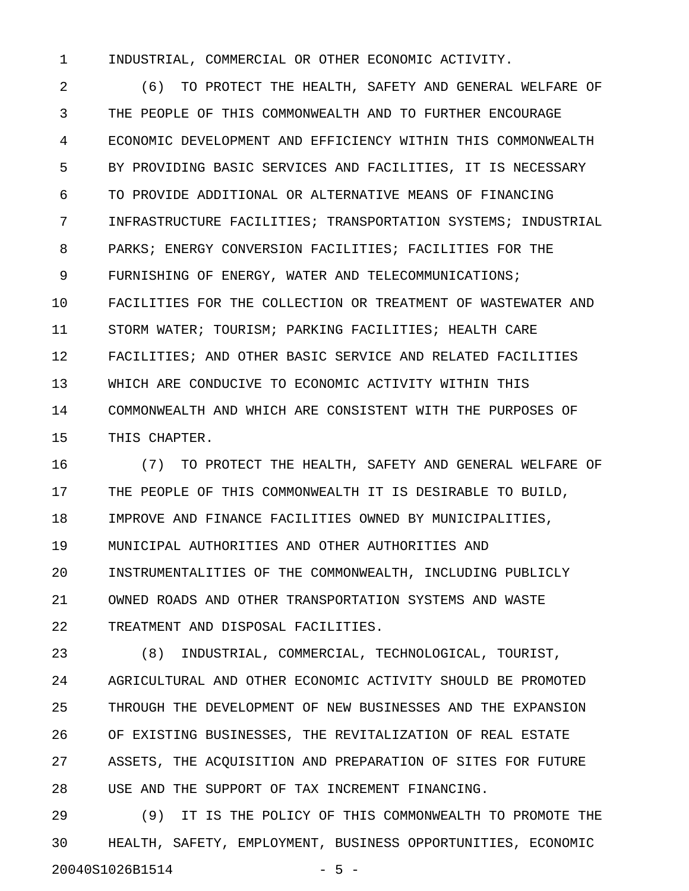1 INDUSTRIAL, COMMERCIAL OR OTHER ECONOMIC ACTIVITY.

2 (6) TO PROTECT THE HEALTH, SAFETY AND GENERAL WELFARE OF 3 THE PEOPLE OF THIS COMMONWEALTH AND TO FURTHER ENCOURAGE 4 ECONOMIC DEVELOPMENT AND EFFICIENCY WITHIN THIS COMMONWEALTH 5 BY PROVIDING BASIC SERVICES AND FACILITIES, IT IS NECESSARY 6 TO PROVIDE ADDITIONAL OR ALTERNATIVE MEANS OF FINANCING 7 INFRASTRUCTURE FACILITIES; TRANSPORTATION SYSTEMS; INDUSTRIAL 8 PARKS; ENERGY CONVERSION FACILITIES; FACILITIES FOR THE 9 FURNISHING OF ENERGY, WATER AND TELECOMMUNICATIONS; 10 FACILITIES FOR THE COLLECTION OR TREATMENT OF WASTEWATER AND 11 STORM WATER; TOURISM; PARKING FACILITIES; HEALTH CARE 12 FACILITIES; AND OTHER BASIC SERVICE AND RELATED FACILITIES 13 WHICH ARE CONDUCIVE TO ECONOMIC ACTIVITY WITHIN THIS 14 COMMONWEALTH AND WHICH ARE CONSISTENT WITH THE PURPOSES OF 15 THIS CHAPTER.

16 (7) TO PROTECT THE HEALTH, SAFETY AND GENERAL WELFARE OF 17 THE PEOPLE OF THIS COMMONWEALTH IT IS DESIRABLE TO BUILD, 18 IMPROVE AND FINANCE FACILITIES OWNED BY MUNICIPALITIES, 19 MUNICIPAL AUTHORITIES AND OTHER AUTHORITIES AND 20 INSTRUMENTALITIES OF THE COMMONWEALTH, INCLUDING PUBLICLY 21 OWNED ROADS AND OTHER TRANSPORTATION SYSTEMS AND WASTE 22 TREATMENT AND DISPOSAL FACILITIES.

23 (8) INDUSTRIAL, COMMERCIAL, TECHNOLOGICAL, TOURIST, 24 AGRICULTURAL AND OTHER ECONOMIC ACTIVITY SHOULD BE PROMOTED 25 THROUGH THE DEVELOPMENT OF NEW BUSINESSES AND THE EXPANSION 26 OF EXISTING BUSINESSES, THE REVITALIZATION OF REAL ESTATE 27 ASSETS, THE ACQUISITION AND PREPARATION OF SITES FOR FUTURE 28 USE AND THE SUPPORT OF TAX INCREMENT FINANCING.

29 (9) IT IS THE POLICY OF THIS COMMONWEALTH TO PROMOTE THE 30 HEALTH, SAFETY, EMPLOYMENT, BUSINESS OPPORTUNITIES, ECONOMIC 20040S1026B1514 - 5 -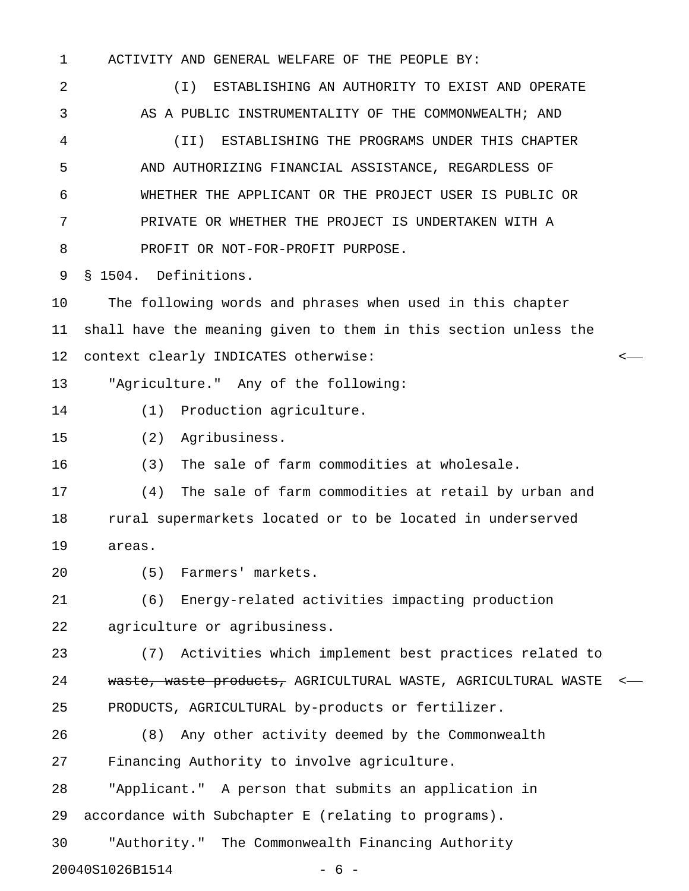1 ACTIVITY AND GENERAL WELFARE OF THE PEOPLE BY: 2 (I) ESTABLISHING AN AUTHORITY TO EXIST AND OPERATE 3 AS A PUBLIC INSTRUMENTALITY OF THE COMMONWEALTH; AND 4 (II) ESTABLISHING THE PROGRAMS UNDER THIS CHAPTER 5 AND AUTHORIZING FINANCIAL ASSISTANCE, REGARDLESS OF 6 WHETHER THE APPLICANT OR THE PROJECT USER IS PUBLIC OR 7 PRIVATE OR WHETHER THE PROJECT IS UNDERTAKEN WITH A 8 PROFIT OR NOT-FOR-PROFIT PURPOSE. 9 § 1504. Definitions. 10 The following words and phrases when used in this chapter 11 shall have the meaning given to them in this section unless the 12 context clearly INDICATES otherwise: < 13 "Agriculture." Any of the following: 14 (1) Production agriculture. 15 (2) Agribusiness. 16 (3) The sale of farm commodities at wholesale. 17 (4) The sale of farm commodities at retail by urban and 18 rural supermarkets located or to be located in underserved 19 areas. 20 (5) Farmers' markets. 21 (6) Energy-related activities impacting production 22 agriculture or agribusiness. 23 (7) Activities which implement best practices related to 24 waste, waste products, AGRICULTURAL WASTE, AGRICULTURAL WASTE <-25 PRODUCTS, AGRICULTURAL by-products or fertilizer. 26 (8) Any other activity deemed by the Commonwealth 27 Financing Authority to involve agriculture. 28 "Applicant." A person that submits an application in 29 accordance with Subchapter E (relating to programs).

30 "Authority." The Commonwealth Financing Authority

20040S1026B1514 - 6 -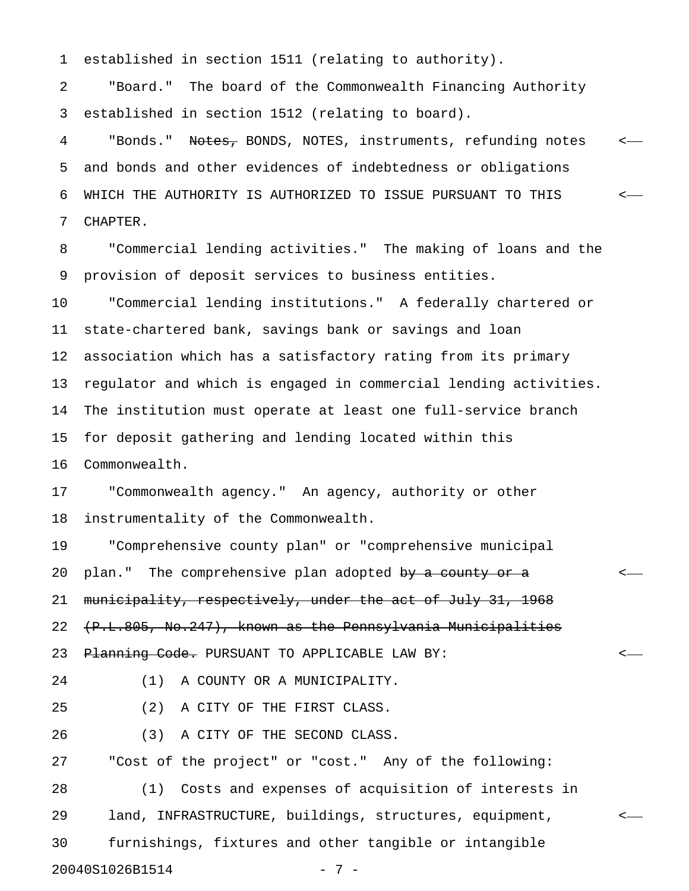1 established in section 1511 (relating to authority).

2 "Board." The board of the Commonwealth Financing Authority 3 established in section 1512 (relating to board).

4 "Bonds." Notes, BONDS, NOTES, instruments, refunding notes <-5 and bonds and other evidences of indebtedness or obligations 6 WHICH THE AUTHORITY IS AUTHORIZED TO ISSUE PURSUANT TO THIS < 7 CHAPTER.

8 "Commercial lending activities." The making of loans and the 9 provision of deposit services to business entities.

10 "Commercial lending institutions." A federally chartered or 11 state-chartered bank, savings bank or savings and loan 12 association which has a satisfactory rating from its primary 13 regulator and which is engaged in commercial lending activities. 14 The institution must operate at least one full-service branch 15 for deposit gathering and lending located within this 16 Commonwealth.

17 "Commonwealth agency." An agency, authority or other 18 instrumentality of the Commonwealth.

19 "Comprehensive county plan" or "comprehensive municipal 20 plan." The comprehensive plan adopted by a county or a 21 municipality, respectively, under the act of July 31, 1968 22 (P.L.805, No.247), known as the Pennsylvania Municipalities 23 <del>Planning Code.</del> PURSUANT TO APPLICABLE LAW BY: <-

24 (1) A COUNTY OR A MUNICIPALITY.

25 (2) A CITY OF THE FIRST CLASS.

26 (3) A CITY OF THE SECOND CLASS.

27 "Cost of the project" or "cost." Any of the following:

28 (1) Costs and expenses of acquisition of interests in 29 land, INFRASTRUCTURE, buildings, structures, equipment, < 30 furnishings, fixtures and other tangible or intangible 20040S1026B1514 - 7 -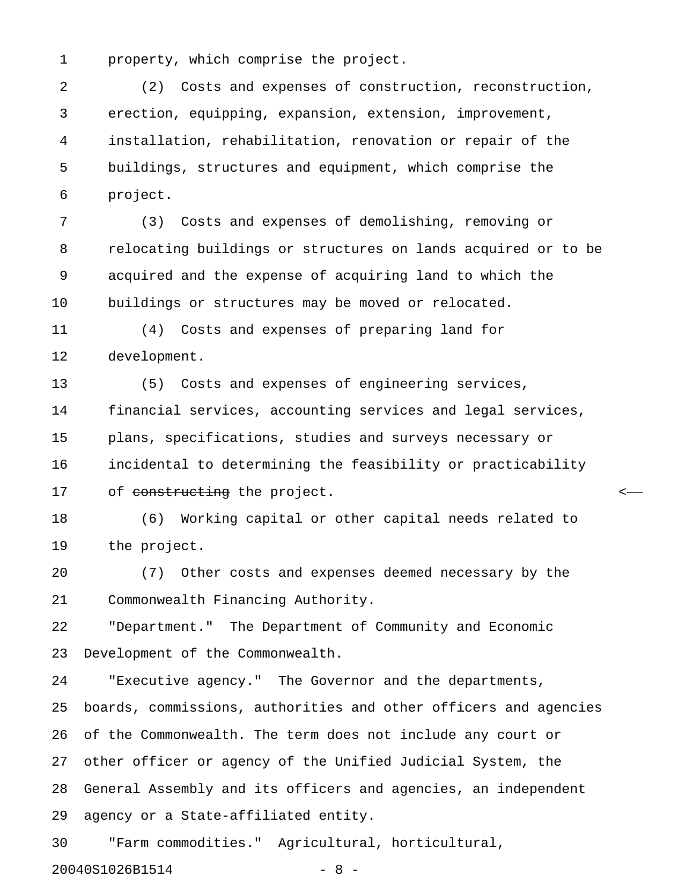1 property, which comprise the project.

2 (2) Costs and expenses of construction, reconstruction, 3 erection, equipping, expansion, extension, improvement, 4 installation, rehabilitation, renovation or repair of the 5 buildings, structures and equipment, which comprise the 6 project.

7 (3) Costs and expenses of demolishing, removing or 8 relocating buildings or structures on lands acquired or to be 9 acquired and the expense of acquiring land to which the 10 buildings or structures may be moved or relocated.

11 (4) Costs and expenses of preparing land for 12 development.

13 (5) Costs and expenses of engineering services, 14 financial services, accounting services and legal services, 15 plans, specifications, studies and surveys necessary or 16 incidental to determining the feasibility or practicability 17 of <del>constructing</del> the project.

18 (6) Working capital or other capital needs related to 19 the project.

20 (7) Other costs and expenses deemed necessary by the 21 Commonwealth Financing Authority.

22 "Department." The Department of Community and Economic 23 Development of the Commonwealth.

24 "Executive agency." The Governor and the departments, 25 boards, commissions, authorities and other officers and agencies 26 of the Commonwealth. The term does not include any court or 27 other officer or agency of the Unified Judicial System, the 28 General Assembly and its officers and agencies, an independent 29 agency or a State-affiliated entity.

30 "Farm commodities." Agricultural, horticultural,

20040S1026B1514 - 8 -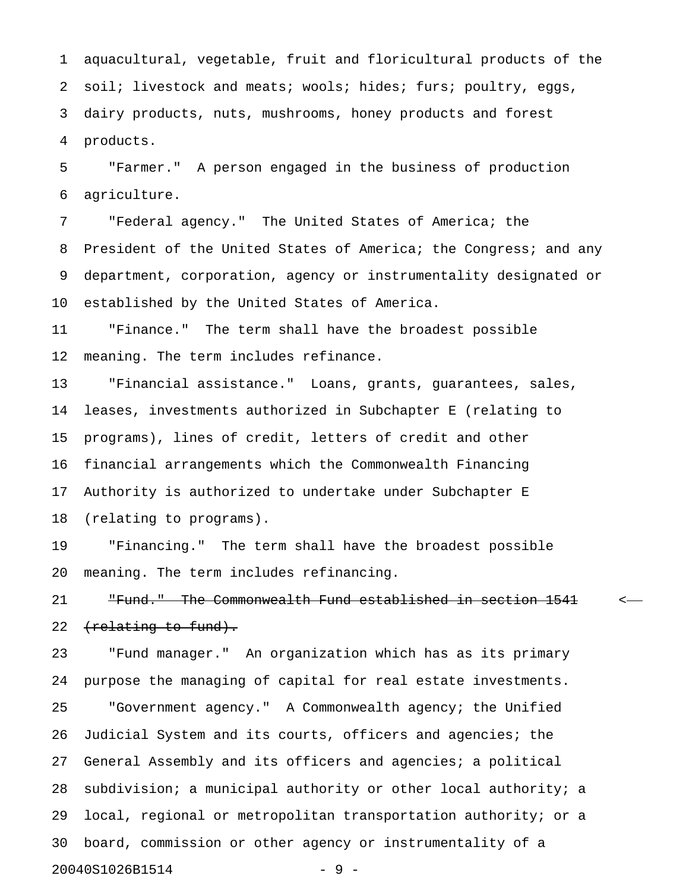1 aquacultural, vegetable, fruit and floricultural products of the 2 soil; livestock and meats; wools; hides; furs; poultry, eggs, 3 dairy products, nuts, mushrooms, honey products and forest 4 products.

5 "Farmer." A person engaged in the business of production 6 agriculture.

7 "Federal agency." The United States of America; the 8 President of the United States of America; the Congress; and any 9 department, corporation, agency or instrumentality designated or 10 established by the United States of America.

11 "Finance." The term shall have the broadest possible 12 meaning. The term includes refinance.

13 "Financial assistance." Loans, grants, guarantees, sales, 14 leases, investments authorized in Subchapter E (relating to 15 programs), lines of credit, letters of credit and other 16 financial arrangements which the Commonwealth Financing 17 Authority is authorized to undertake under Subchapter E 18 (relating to programs).

19 "Financing." The term shall have the broadest possible 20 meaning. The term includes refinancing.

21 The Commonwealth Fund established in section 1541 <-22 (relating to fund).

23 "Fund manager." An organization which has as its primary 24 purpose the managing of capital for real estate investments. 25 "Government agency." A Commonwealth agency; the Unified 26 Judicial System and its courts, officers and agencies; the 27 General Assembly and its officers and agencies; a political 28 subdivision; a municipal authority or other local authority; a 29 local, regional or metropolitan transportation authority; or a 30 board, commission or other agency or instrumentality of a 20040S1026B1514 - 9 -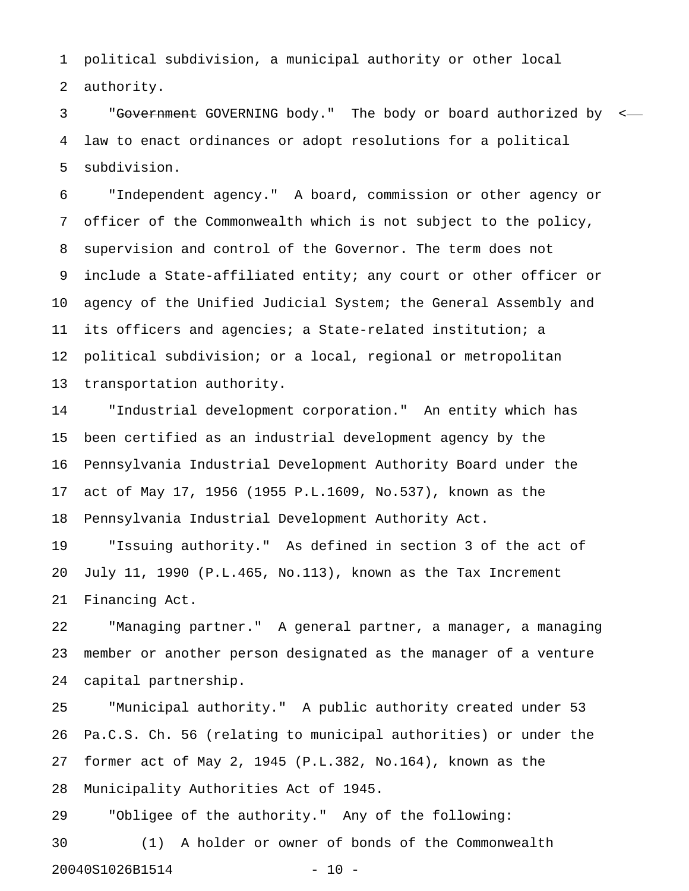1 political subdivision, a municipal authority or other local 2 authority.

3 "Government GOVERNING body." The body or board authorized by < 4 law to enact ordinances or adopt resolutions for a political 5 subdivision.

6 "Independent agency." A board, commission or other agency or 7 officer of the Commonwealth which is not subject to the policy, 8 supervision and control of the Governor. The term does not 9 include a State-affiliated entity; any court or other officer or 10 agency of the Unified Judicial System; the General Assembly and 11 its officers and agencies; a State-related institution; a 12 political subdivision; or a local, regional or metropolitan 13 transportation authority.

14 "Industrial development corporation." An entity which has 15 been certified as an industrial development agency by the 16 Pennsylvania Industrial Development Authority Board under the 17 act of May 17, 1956 (1955 P.L.1609, No.537), known as the 18 Pennsylvania Industrial Development Authority Act.

19 "Issuing authority." As defined in section 3 of the act of 20 July 11, 1990 (P.L.465, No.113), known as the Tax Increment 21 Financing Act.

22 "Managing partner." A general partner, a manager, a managing 23 member or another person designated as the manager of a venture 24 capital partnership.

25 "Municipal authority." A public authority created under 53 26 Pa.C.S. Ch. 56 (relating to municipal authorities) or under the 27 former act of May 2, 1945 (P.L.382, No.164), known as the 28 Municipality Authorities Act of 1945.

29 "Obligee of the authority." Any of the following: 30 (1) A holder or owner of bonds of the Commonwealth 20040S1026B1514 - 10 -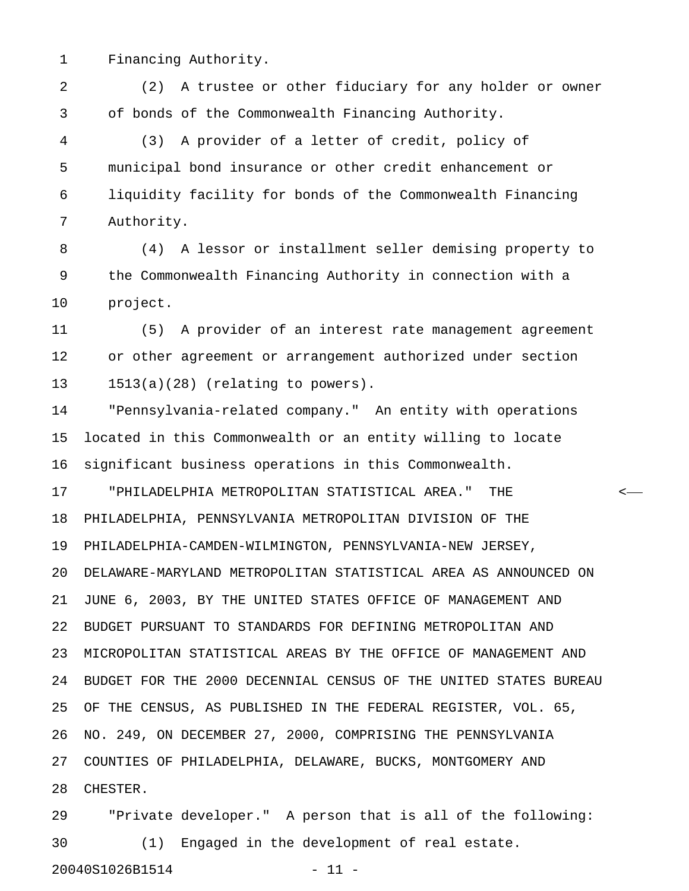1 Financing Authority.

2 (2) A trustee or other fiduciary for any holder or owner 3 of bonds of the Commonwealth Financing Authority.

4 (3) A provider of a letter of credit, policy of 5 municipal bond insurance or other credit enhancement or 6 liquidity facility for bonds of the Commonwealth Financing 7 Authority.

8 (4) A lessor or installment seller demising property to 9 the Commonwealth Financing Authority in connection with a 10 project.

11 (5) A provider of an interest rate management agreement 12 or other agreement or arrangement authorized under section 13 1513(a)(28) (relating to powers).

14 "Pennsylvania-related company." An entity with operations 15 located in this Commonwealth or an entity willing to locate 16 significant business operations in this Commonwealth.

17 "PHILADELPHIA METROPOLITAN STATISTICAL AREA." THE < 18 PHILADELPHIA, PENNSYLVANIA METROPOLITAN DIVISION OF THE 19 PHILADELPHIA-CAMDEN-WILMINGTON, PENNSYLVANIA-NEW JERSEY, 20 DELAWARE-MARYLAND METROPOLITAN STATISTICAL AREA AS ANNOUNCED ON 21 JUNE 6, 2003, BY THE UNITED STATES OFFICE OF MANAGEMENT AND 22 BUDGET PURSUANT TO STANDARDS FOR DEFINING METROPOLITAN AND 23 MICROPOLITAN STATISTICAL AREAS BY THE OFFICE OF MANAGEMENT AND 24 BUDGET FOR THE 2000 DECENNIAL CENSUS OF THE UNITED STATES BUREAU 25 OF THE CENSUS, AS PUBLISHED IN THE FEDERAL REGISTER, VOL. 65, 26 NO. 249, ON DECEMBER 27, 2000, COMPRISING THE PENNSYLVANIA 27 COUNTIES OF PHILADELPHIA, DELAWARE, BUCKS, MONTGOMERY AND 28 CHESTER.

29 "Private developer." A person that is all of the following: 30 (1) Engaged in the development of real estate. 20040S1026B1514 - 11 -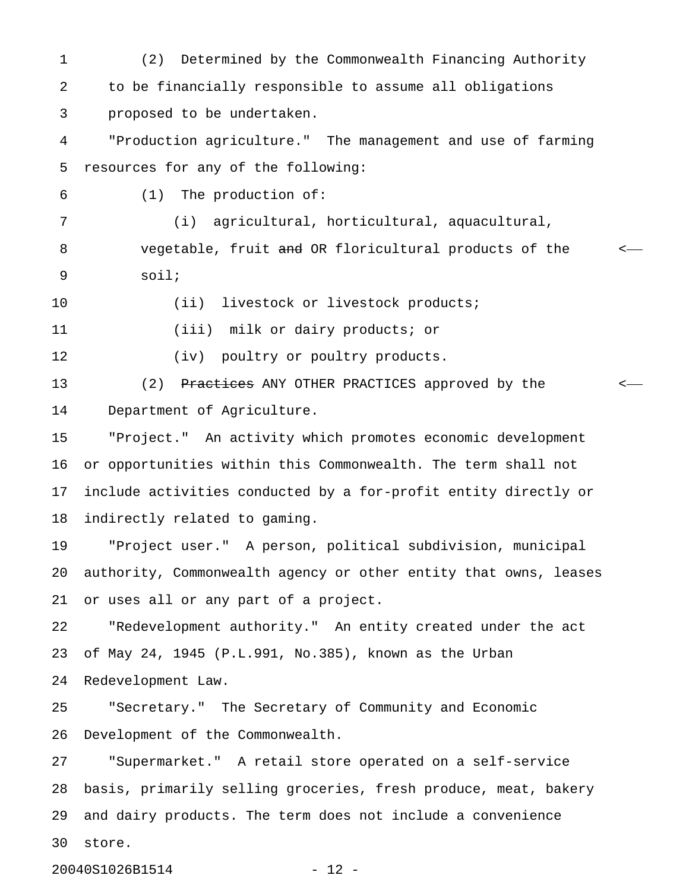1 (2) Determined by the Commonwealth Financing Authority 2 to be financially responsible to assume all obligations 3 proposed to be undertaken. 4 "Production agriculture." The management and use of farming 5 resources for any of the following: 6 (1) The production of: 7 (i) agricultural, horticultural, aquacultural, 8 vegetable, fruit and OR floricultural products of the  $\sim$ 9 soil; 10 (ii) livestock or livestock products; 11 (iii) milk or dairy products; or 12 (iv) poultry or poultry products. 13 (2) Practices ANY OTHER PRACTICES approved by the  $\leftarrow$ 14 Department of Agriculture. 15 "Project." An activity which promotes economic development 16 or opportunities within this Commonwealth. The term shall not 17 include activities conducted by a for-profit entity directly or 18 indirectly related to gaming. 19 "Project user." A person, political subdivision, municipal 20 authority, Commonwealth agency or other entity that owns, leases 21 or uses all or any part of a project. 22 "Redevelopment authority." An entity created under the act 23 of May 24, 1945 (P.L.991, No.385), known as the Urban 24 Redevelopment Law. 25 "Secretary." The Secretary of Community and Economic 26 Development of the Commonwealth. 27 "Supermarket." A retail store operated on a self-service 28 basis, primarily selling groceries, fresh produce, meat, bakery 29 and dairy products. The term does not include a convenience 30 store.

20040S1026B1514 - 12 -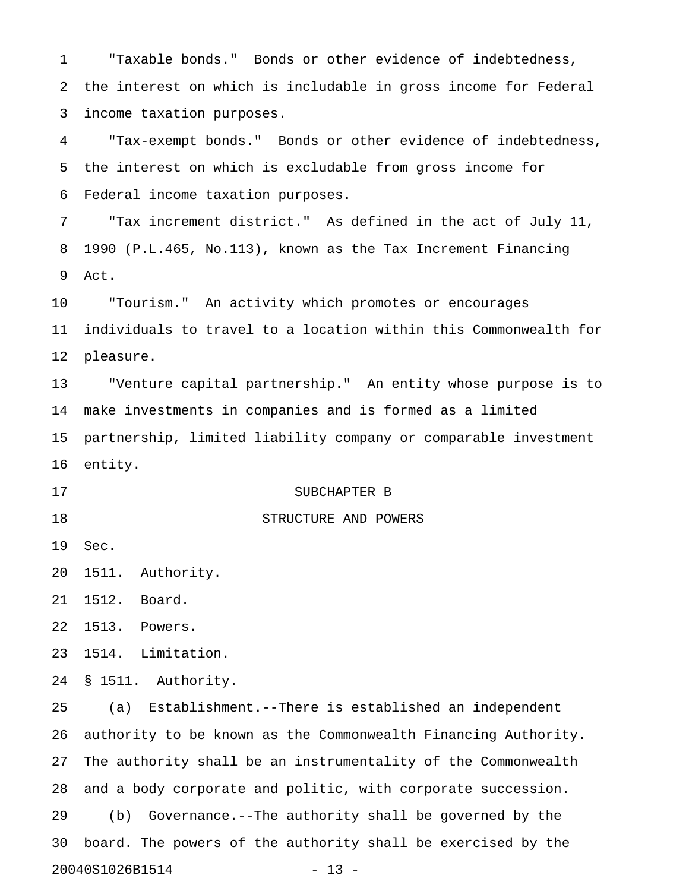1 "Taxable bonds." Bonds or other evidence of indebtedness, 2 the interest on which is includable in gross income for Federal 3 income taxation purposes.

4 "Tax-exempt bonds." Bonds or other evidence of indebtedness, 5 the interest on which is excludable from gross income for 6 Federal income taxation purposes.

7 "Tax increment district." As defined in the act of July 11, 8 1990 (P.L.465, No.113), known as the Tax Increment Financing 9 Act.

10 "Tourism." An activity which promotes or encourages 11 individuals to travel to a location within this Commonwealth for 12 pleasure.

13 "Venture capital partnership." An entity whose purpose is to 14 make investments in companies and is formed as a limited 15 partnership, limited liability company or comparable investment 16 entity.

17 SUBCHAPTER B

## 18 STRUCTURE AND POWERS

19 Sec.

20 1511. Authority.

21 1512. Board.

22 1513. Powers.

23 1514. Limitation.

24 § 1511. Authority.

25 (a) Establishment.--There is established an independent 26 authority to be known as the Commonwealth Financing Authority. 27 The authority shall be an instrumentality of the Commonwealth 28 and a body corporate and politic, with corporate succession. 29 (b) Governance.--The authority shall be governed by the 30 board. The powers of the authority shall be exercised by the 20040S1026B1514 - 13 -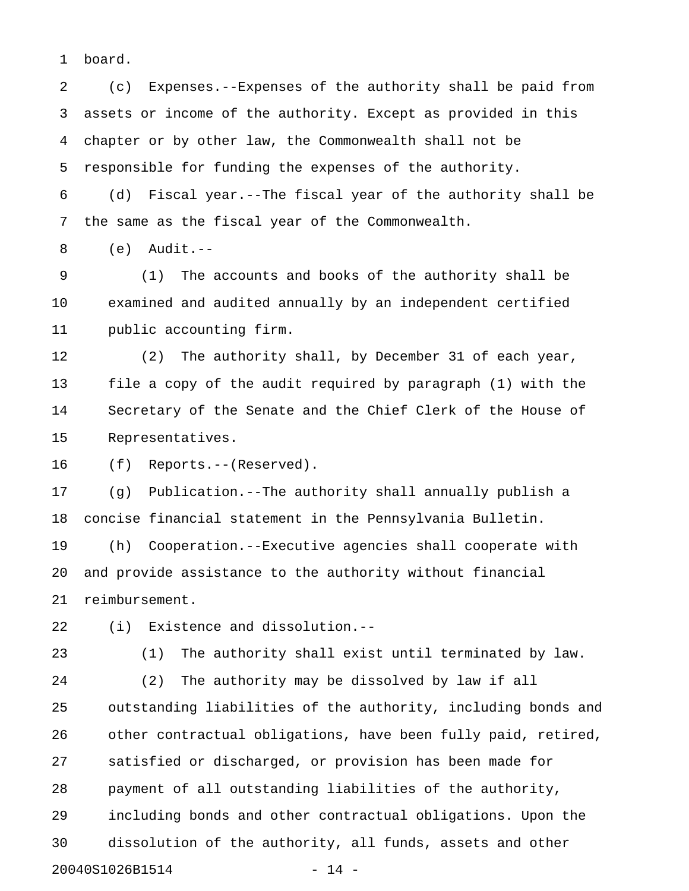1 board.

2 (c) Expenses.--Expenses of the authority shall be paid from 3 assets or income of the authority. Except as provided in this 4 chapter or by other law, the Commonwealth shall not be 5 responsible for funding the expenses of the authority.

6 (d) Fiscal year.--The fiscal year of the authority shall be 7 the same as the fiscal year of the Commonwealth.

8 (e) Audit.--

9 (1) The accounts and books of the authority shall be 10 examined and audited annually by an independent certified 11 public accounting firm.

12 (2) The authority shall, by December 31 of each year, 13 file a copy of the audit required by paragraph (1) with the 14 Secretary of the Senate and the Chief Clerk of the House of 15 Representatives.

16 (f) Reports.--(Reserved).

17 (g) Publication.--The authority shall annually publish a 18 concise financial statement in the Pennsylvania Bulletin. 19 (h) Cooperation.--Executive agencies shall cooperate with 20 and provide assistance to the authority without financial 21 reimbursement.

22 (i) Existence and dissolution.--

23 (1) The authority shall exist until terminated by law.

24 (2) The authority may be dissolved by law if all 25 outstanding liabilities of the authority, including bonds and 26 other contractual obligations, have been fully paid, retired, 27 satisfied or discharged, or provision has been made for 28 payment of all outstanding liabilities of the authority, 29 including bonds and other contractual obligations. Upon the 30 dissolution of the authority, all funds, assets and other 20040S1026B1514 - 14 -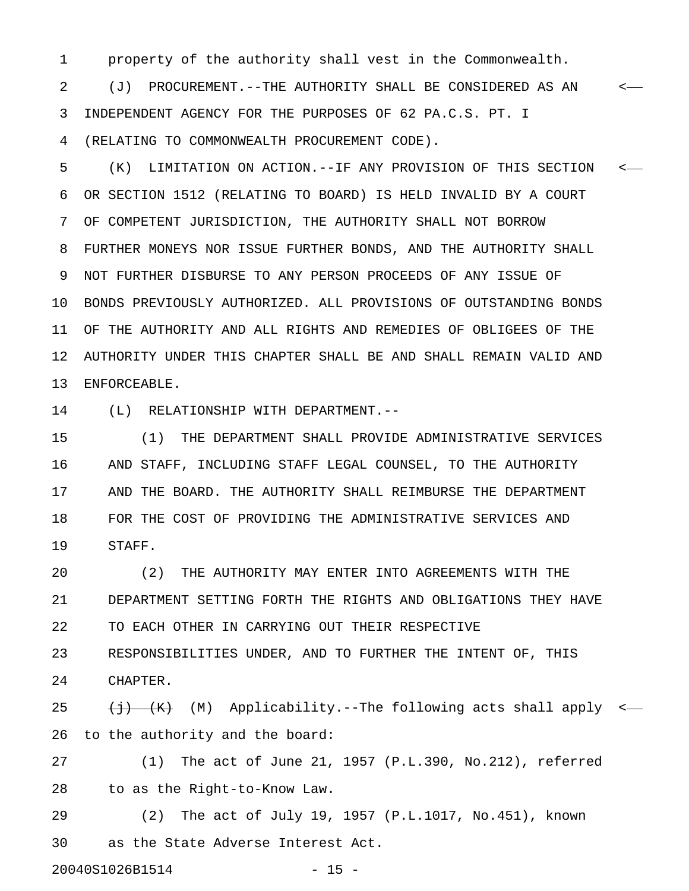1 property of the authority shall vest in the Commonwealth.

2 (J) PROCUREMENT.--THE AUTHORITY SHALL BE CONSIDERED AS AN < 3 INDEPENDENT AGENCY FOR THE PURPOSES OF 62 PA.C.S. PT. I 4 (RELATING TO COMMONWEALTH PROCUREMENT CODE).

5 (K) LIMITATION ON ACTION.--IF ANY PROVISION OF THIS SECTION < 6 OR SECTION 1512 (RELATING TO BOARD) IS HELD INVALID BY A COURT 7 OF COMPETENT JURISDICTION, THE AUTHORITY SHALL NOT BORROW 8 FURTHER MONEYS NOR ISSUE FURTHER BONDS, AND THE AUTHORITY SHALL 9 NOT FURTHER DISBURSE TO ANY PERSON PROCEEDS OF ANY ISSUE OF 10 BONDS PREVIOUSLY AUTHORIZED. ALL PROVISIONS OF OUTSTANDING BONDS 11 OF THE AUTHORITY AND ALL RIGHTS AND REMEDIES OF OBLIGEES OF THE 12 AUTHORITY UNDER THIS CHAPTER SHALL BE AND SHALL REMAIN VALID AND 13 ENFORCEABLE.

14 (L) RELATIONSHIP WITH DEPARTMENT.--

15 (1) THE DEPARTMENT SHALL PROVIDE ADMINISTRATIVE SERVICES 16 AND STAFF, INCLUDING STAFF LEGAL COUNSEL, TO THE AUTHORITY 17 AND THE BOARD. THE AUTHORITY SHALL REIMBURSE THE DEPARTMENT 18 FOR THE COST OF PROVIDING THE ADMINISTRATIVE SERVICES AND 19 STAFF.

20 (2) THE AUTHORITY MAY ENTER INTO AGREEMENTS WITH THE 21 DEPARTMENT SETTING FORTH THE RIGHTS AND OBLIGATIONS THEY HAVE 22 TO EACH OTHER IN CARRYING OUT THEIR RESPECTIVE

23 RESPONSIBILITIES UNDER, AND TO FURTHER THE INTENT OF, THIS 24 CHAPTER.

25  $\leftarrow$   $\leftarrow$  (M) Applicability.--The following acts shall apply <-26 to the authority and the board:

27 (1) The act of June 21, 1957 (P.L.390, No.212), referred 28 to as the Right-to-Know Law.

29 (2) The act of July 19, 1957 (P.L.1017, No.451), known 30 as the State Adverse Interest Act.

20040S1026B1514 - 15 -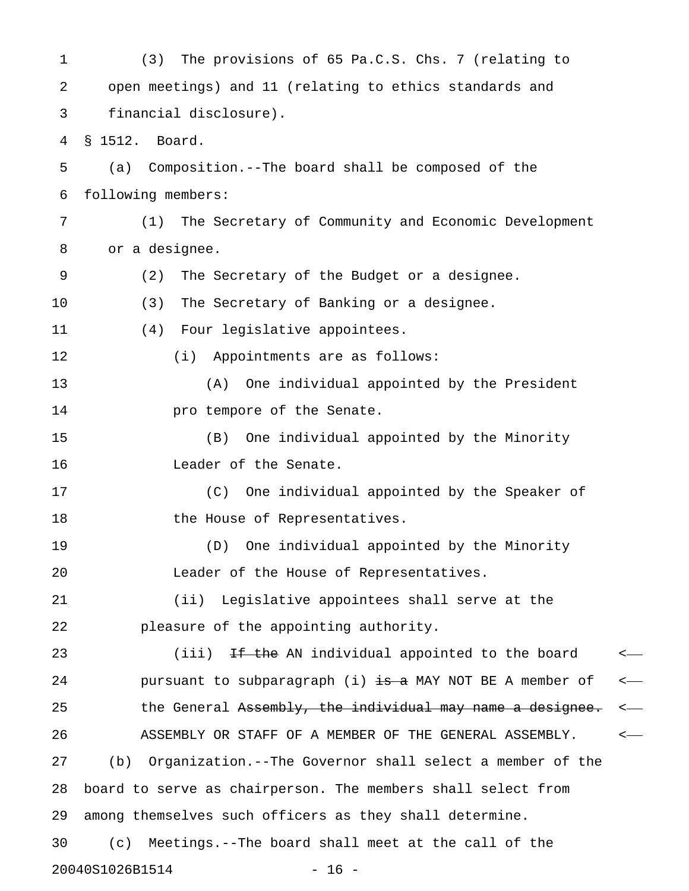1 (3) The provisions of 65 Pa.C.S. Chs. 7 (relating to 2 open meetings) and 11 (relating to ethics standards and 3 financial disclosure). 4 § 1512. Board. 5 (a) Composition.--The board shall be composed of the 6 following members: 7 (1) The Secretary of Community and Economic Development 8 or a designee. 9 (2) The Secretary of the Budget or a designee. 10 (3) The Secretary of Banking or a designee. 11 (4) Four legislative appointees. 12 (i) Appointments are as follows: 13 (A) One individual appointed by the President 14 **pro tempore of the Senate.** 15 (B) One individual appointed by the Minority 16 Leader of the Senate. 17 (C) One individual appointed by the Speaker of 18 the House of Representatives. 19 (D) One individual appointed by the Minority 20 Leader of the House of Representatives. 21 (ii) Legislative appointees shall serve at the 22 pleasure of the appointing authority. 23 (iii) <del>If the</del> AN individual appointed to the board <-24 pursuant to subparagraph (i) is a MAY NOT BE A member of  $\leftarrow$ 25 the General Assembly, the individual may name a designee. <-26 ASSEMBLY OR STAFF OF A MEMBER OF THE GENERAL ASSEMBLY.  $\sim$ 27 (b) Organization.--The Governor shall select a member of the 28 board to serve as chairperson. The members shall select from 29 among themselves such officers as they shall determine. 30 (c) Meetings.--The board shall meet at the call of the 20040S1026B1514 - 16 -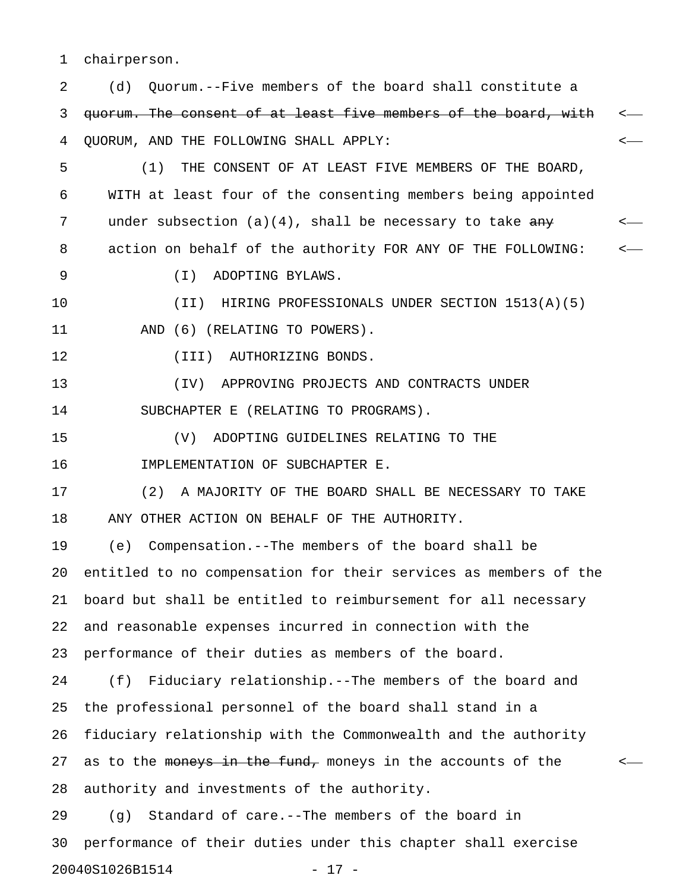1 chairperson.

| 2  | Quorum.--Five members of the board shall constitute a<br>(d)           |    |
|----|------------------------------------------------------------------------|----|
| 3  | guorum. The consent of at least five members of the board, with        |    |
| 4  | QUORUM, AND THE FOLLOWING SHALL APPLY:                                 |    |
| 5  | THE CONSENT OF AT LEAST FIVE MEMBERS OF THE BOARD,<br>(1)              |    |
| 6  | WITH at least four of the consenting members being appointed           |    |
| 7  | under subsection $(a)(4)$ , shall be necessary to take $\frac{any}{x}$ | <— |
| 8  | action on behalf of the authority FOR ANY OF THE FOLLOWING:            |    |
| 9  | $(\top)$<br>ADOPTING BYLAWS.                                           |    |
| 10 | HIRING PROFESSIONALS UNDER SECTION 1513(A)(5)<br>$(\I{II})$            |    |
| 11 | AND (6) (RELATING TO POWERS).                                          |    |
| 12 | (III) AUTHORIZING BONDS.                                               |    |
| 13 | APPROVING PROJECTS AND CONTRACTS UNDER<br>(TV)                         |    |
| 14 | SUBCHAPTER E (RELATING TO PROGRAMS).                                   |    |
| 15 | (V)<br>ADOPTING GUIDELINES RELATING TO THE                             |    |
| 16 | IMPLEMENTATION OF SUBCHAPTER E.                                        |    |
| 17 | A MAJORITY OF THE BOARD SHALL BE NECESSARY TO TAKE<br>(2)              |    |
| 18 | ANY OTHER ACTION ON BEHALF OF THE AUTHORITY.                           |    |
| 19 | Compensation.--The members of the board shall be<br>(e)                |    |
| 20 | entitled to no compensation for their services as members of the       |    |
| 21 | board but shall be entitled to reimbursement for all necessary         |    |
| 22 | and reasonable expenses incurred in connection with the                |    |
| 23 | performance of their duties as members of the board.                   |    |
| 24 | Fiduciary relationship. -- The members of the board and<br>(f)         |    |
| 25 | the professional personnel of the board shall stand in a               |    |
| 26 | fiduciary relationship with the Commonwealth and the authority         |    |
| 27 | as to the moneys in the fund, moneys in the accounts of the            |    |
| 28 | authority and investments of the authority.                            |    |
| 29 | Standard of care.--The members of the board in<br>(g)                  |    |
| 30 | performance of their duties under this chapter shall exercise          |    |
|    | 20040S1026B1514<br>$-17 -$                                             |    |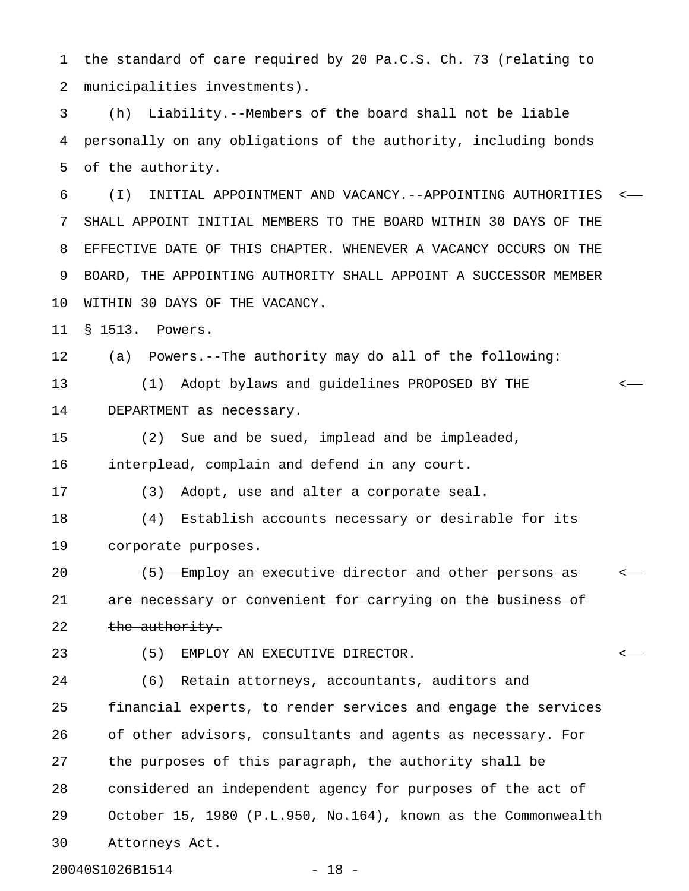1 the standard of care required by 20 Pa.C.S. Ch. 73 (relating to 2 municipalities investments).

3 (h) Liability.--Members of the board shall not be liable 4 personally on any obligations of the authority, including bonds 5 of the authority.

6 (I) INITIAL APPOINTMENT AND VACANCY.--APPOINTING AUTHORITIES < 7 SHALL APPOINT INITIAL MEMBERS TO THE BOARD WITHIN 30 DAYS OF THE 8 EFFECTIVE DATE OF THIS CHAPTER. WHENEVER A VACANCY OCCURS ON THE 9 BOARD, THE APPOINTING AUTHORITY SHALL APPOINT A SUCCESSOR MEMBER 10 WITHIN 30 DAYS OF THE VACANCY.

11 § 1513. Powers.

12 (a) Powers.--The authority may do all of the following:

13 (1) Adopt bylaws and guidelines PROPOSED BY THE < 14 DEPARTMENT as necessary.

15 (2) Sue and be sued, implead and be impleaded, 16 interplead, complain and defend in any court.

17 (3) Adopt, use and alter a corporate seal.

18 (4) Establish accounts necessary or desirable for its 19 corporate purposes.

20  $(5)$  Employ an executive director and other persons as  $\sim$ 21 are necessary or convenient for carrying on the business of 22 the authority.

23 (5) EMPLOY AN EXECUTIVE DIRECTOR. <

24 (6) Retain attorneys, accountants, auditors and 25 financial experts, to render services and engage the services 26 of other advisors, consultants and agents as necessary. For 27 the purposes of this paragraph, the authority shall be 28 considered an independent agency for purposes of the act of 29 October 15, 1980 (P.L.950, No.164), known as the Commonwealth 30 Attorneys Act.

20040S1026B1514 - 18 -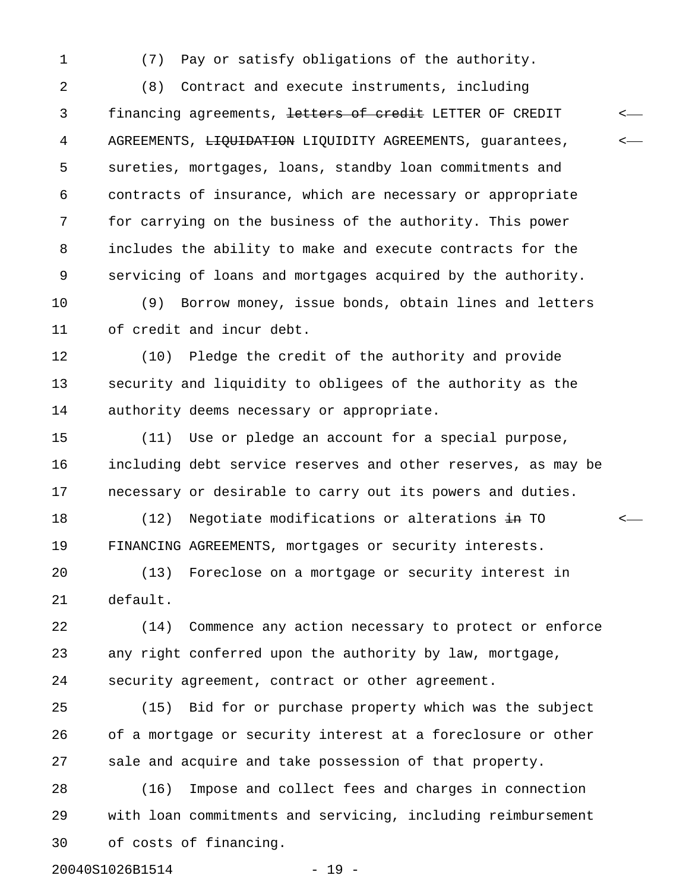1 (7) Pay or satisfy obligations of the authority.

2 (8) Contract and execute instruments, including 3 financing agreements, <del>letters of credit</del> LETTER OF CREDIT  $\leftarrow$ 4 AGREEMENTS, LIQUIDATION LIQUIDITY AGREEMENTS, guarantees,  $\leftarrow$ 5 sureties, mortgages, loans, standby loan commitments and 6 contracts of insurance, which are necessary or appropriate 7 for carrying on the business of the authority. This power 8 includes the ability to make and execute contracts for the 9 servicing of loans and mortgages acquired by the authority.

10 (9) Borrow money, issue bonds, obtain lines and letters 11 of credit and incur debt.

12 (10) Pledge the credit of the authority and provide 13 security and liquidity to obligees of the authority as the 14 authority deems necessary or appropriate.

15 (11) Use or pledge an account for a special purpose, 16 including debt service reserves and other reserves, as may be 17 necessary or desirable to carry out its powers and duties.

18 (12) Negotiate modifications or alterations in TO  $\sim$ 19 FINANCING AGREEMENTS, mortgages or security interests.

20 (13) Foreclose on a mortgage or security interest in 21 default.

22 (14) Commence any action necessary to protect or enforce 23 any right conferred upon the authority by law, mortgage, 24 security agreement, contract or other agreement.

25 (15) Bid for or purchase property which was the subject 26 of a mortgage or security interest at a foreclosure or other 27 sale and acquire and take possession of that property.

28 (16) Impose and collect fees and charges in connection 29 with loan commitments and servicing, including reimbursement 30 of costs of financing.

20040S1026B1514 - 19 -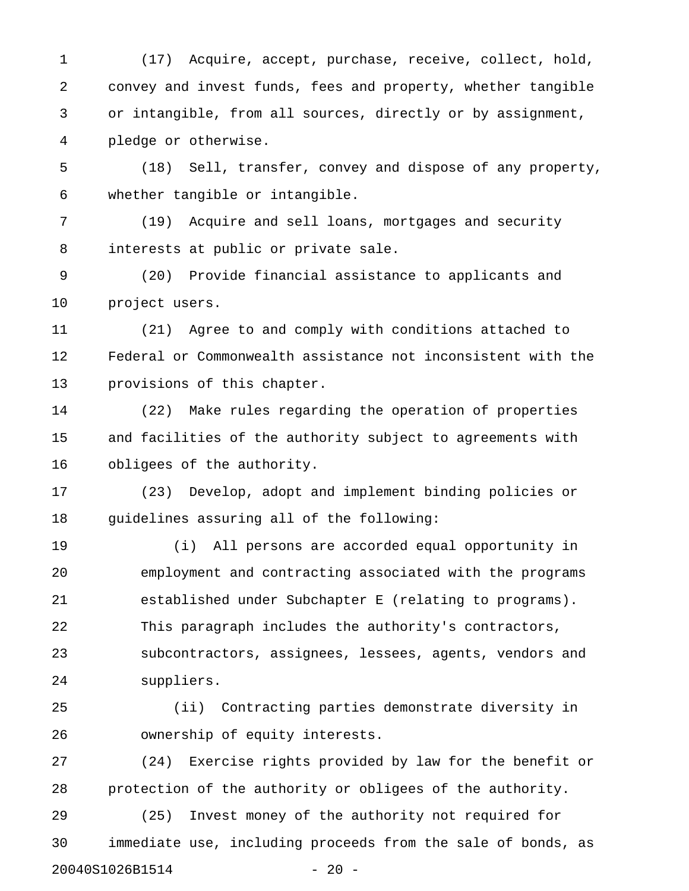1 (17) Acquire, accept, purchase, receive, collect, hold, 2 convey and invest funds, fees and property, whether tangible 3 or intangible, from all sources, directly or by assignment, 4 pledge or otherwise.

5 (18) Sell, transfer, convey and dispose of any property, 6 whether tangible or intangible.

7 (19) Acquire and sell loans, mortgages and security 8 interests at public or private sale.

9 (20) Provide financial assistance to applicants and 10 project users.

11 (21) Agree to and comply with conditions attached to 12 Federal or Commonwealth assistance not inconsistent with the 13 provisions of this chapter.

14 (22) Make rules regarding the operation of properties 15 and facilities of the authority subject to agreements with 16 obligees of the authority.

17 (23) Develop, adopt and implement binding policies or 18 guidelines assuring all of the following:

19 (i) All persons are accorded equal opportunity in 20 employment and contracting associated with the programs 21 established under Subchapter E (relating to programs). 22 This paragraph includes the authority's contractors, 23 subcontractors, assignees, lessees, agents, vendors and 24 suppliers.

25 (ii) Contracting parties demonstrate diversity in 26 ownership of equity interests.

27 (24) Exercise rights provided by law for the benefit or 28 protection of the authority or obligees of the authority.

29 (25) Invest money of the authority not required for 30 immediate use, including proceeds from the sale of bonds, as 20040S1026B1514 - 20 -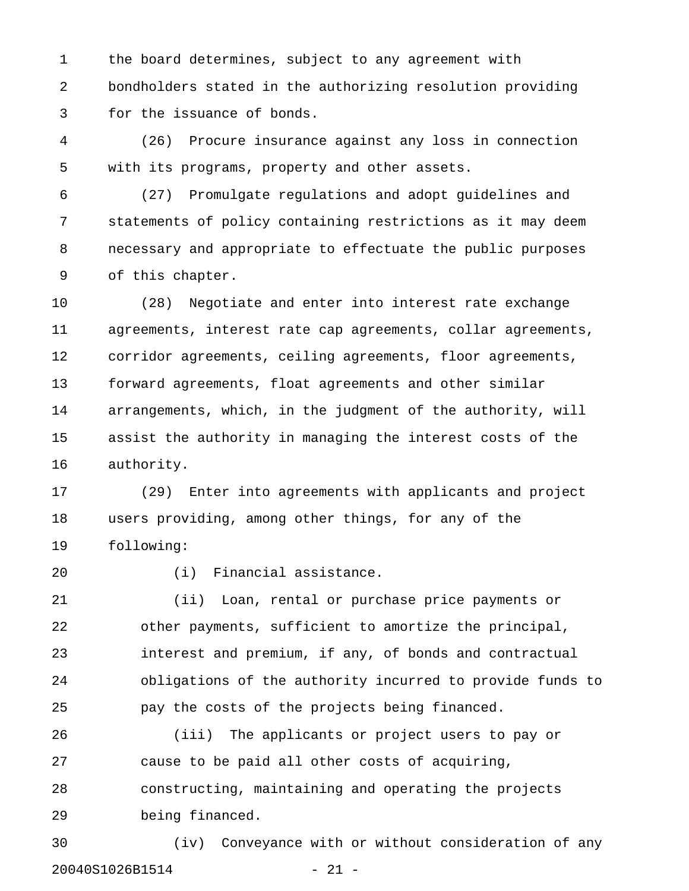1 the board determines, subject to any agreement with 2 bondholders stated in the authorizing resolution providing 3 for the issuance of bonds.

4 (26) Procure insurance against any loss in connection 5 with its programs, property and other assets.

6 (27) Promulgate regulations and adopt guidelines and 7 statements of policy containing restrictions as it may deem 8 necessary and appropriate to effectuate the public purposes 9 of this chapter.

10 (28) Negotiate and enter into interest rate exchange 11 agreements, interest rate cap agreements, collar agreements, 12 corridor agreements, ceiling agreements, floor agreements, 13 forward agreements, float agreements and other similar 14 arrangements, which, in the judgment of the authority, will 15 assist the authority in managing the interest costs of the 16 authority.

17 (29) Enter into agreements with applicants and project 18 users providing, among other things, for any of the 19 following:

20 (i) Financial assistance.

21 (ii) Loan, rental or purchase price payments or 22 other payments, sufficient to amortize the principal, 23 interest and premium, if any, of bonds and contractual 24 obligations of the authority incurred to provide funds to 25 pay the costs of the projects being financed.

26 (iii) The applicants or project users to pay or 27 cause to be paid all other costs of acquiring, 28 constructing, maintaining and operating the projects 29 being financed.

30 (iv) Conveyance with or without consideration of any 20040S1026B1514 - 21 -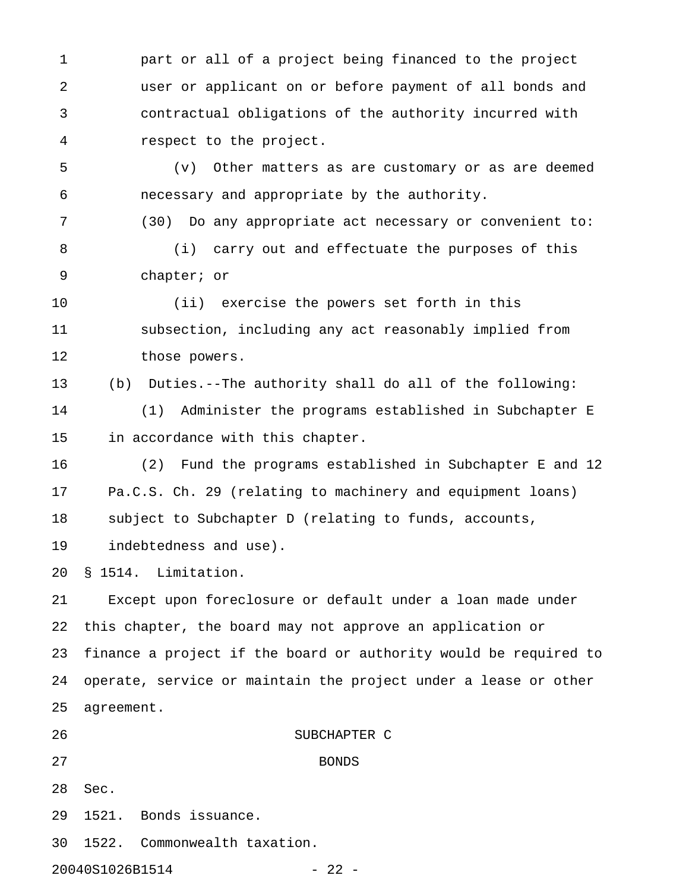1 part or all of a project being financed to the project 2 user or applicant on or before payment of all bonds and 3 contractual obligations of the authority incurred with 4 respect to the project.

5 (v) Other matters as are customary or as are deemed 6 necessary and appropriate by the authority.

7 (30) Do any appropriate act necessary or convenient to: 8 (i) carry out and effectuate the purposes of this

9 chapter; or

10 (ii) exercise the powers set forth in this 11 subsection, including any act reasonably implied from 12 those powers.

13 (b) Duties.--The authority shall do all of the following:

14 (1) Administer the programs established in Subchapter E 15 in accordance with this chapter.

16 (2) Fund the programs established in Subchapter E and 12 17 Pa.C.S. Ch. 29 (relating to machinery and equipment loans) 18 subject to Subchapter D (relating to funds, accounts,

19 indebtedness and use).

20 § 1514. Limitation.

21 Except upon foreclosure or default under a loan made under 22 this chapter, the board may not approve an application or 23 finance a project if the board or authority would be required to 24 operate, service or maintain the project under a lease or other 25 agreement.

27 BONDS

26 SUBCHAPTER C

28 Sec.

29 1521. Bonds issuance.

30 1522. Commonwealth taxation.

20040S1026B1514 - 22 -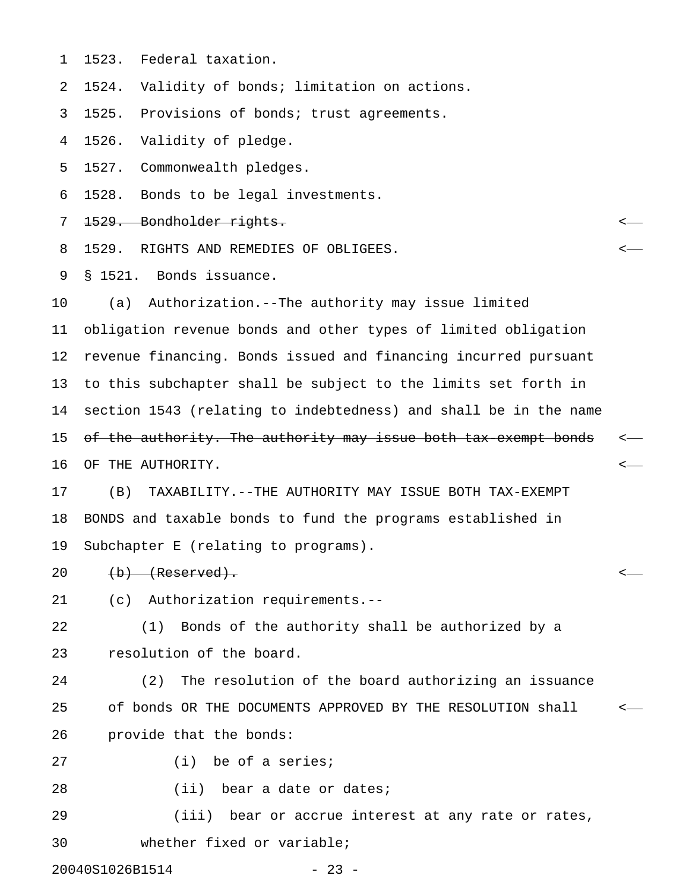1 1523. Federal taxation.

2 1524. Validity of bonds; limitation on actions.

3 1525. Provisions of bonds; trust agreements.

4 1526. Validity of pledge.

5 1527. Commonwealth pledges.

6 1528. Bonds to be legal investments.

- 7 1529. Bondholder rights. <
- 8 1529. RIGHTS AND REMEDIES OF OBLIGEES. <

9 § 1521. Bonds issuance.

10 (a) Authorization.--The authority may issue limited 11 obligation revenue bonds and other types of limited obligation 12 revenue financing. Bonds issued and financing incurred pursuant 13 to this subchapter shall be subject to the limits set forth in 14 section 1543 (relating to indebtedness) and shall be in the name 15 of the authority. The authority may issue both tax exempt bonds <-16 OF THE AUTHORITY. <

17 (B) TAXABILITY.--THE AUTHORITY MAY ISSUE BOTH TAX-EXEMPT 18 BONDS and taxable bonds to fund the programs established in 19 Subchapter E (relating to programs).

- 20 <del>(b) (Reserved).</del>  $\leftarrow$
- 21 (c) Authorization requirements.--

22 (1) Bonds of the authority shall be authorized by a 23 resolution of the board.

24 (2) The resolution of the board authorizing an issuance 25 of bonds OR THE DOCUMENTS APPROVED BY THE RESOLUTION shall < 26 provide that the bonds:

27 (i) be of a series;

28 (ii) bear a date or dates;

29 (iii) bear or accrue interest at any rate or rates, 30 whether fixed or variable;

20040S1026B1514 - 23 -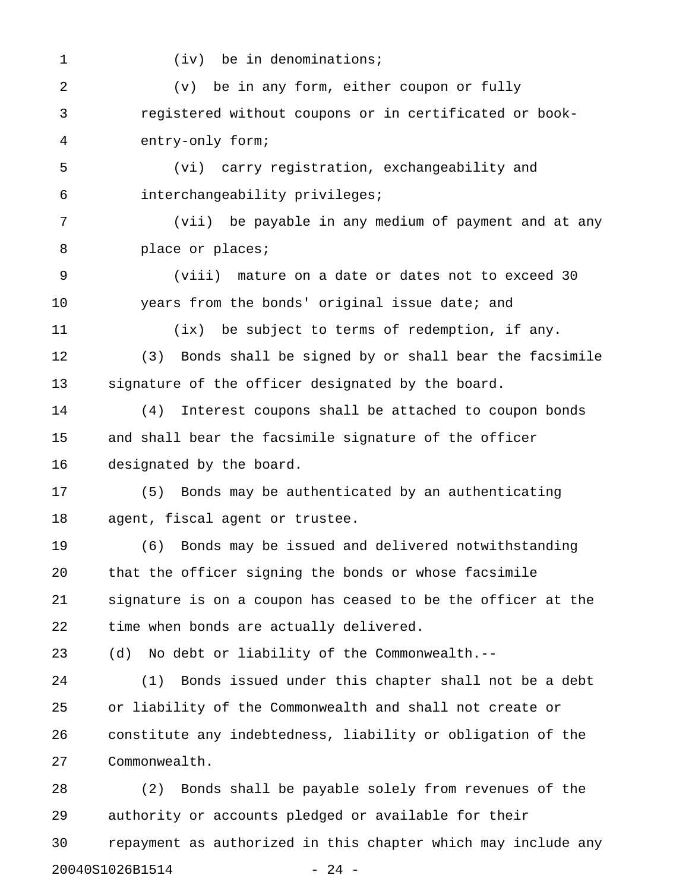1 (iv) be in denominations; 2 (v) be in any form, either coupon or fully 3 registered without coupons or in certificated or book-4 entry-only form; 5 (vi) carry registration, exchangeability and 6 interchangeability privileges; 7 (vii) be payable in any medium of payment and at any 8 **place or places;** 9 (viii) mature on a date or dates not to exceed 30 10 years from the bonds' original issue date; and 11 (ix) be subject to terms of redemption, if any. 12 (3) Bonds shall be signed by or shall bear the facsimile 13 signature of the officer designated by the board. 14 (4) Interest coupons shall be attached to coupon bonds 15 and shall bear the facsimile signature of the officer 16 designated by the board. 17 (5) Bonds may be authenticated by an authenticating 18 agent, fiscal agent or trustee. 19 (6) Bonds may be issued and delivered notwithstanding 20 that the officer signing the bonds or whose facsimile 21 signature is on a coupon has ceased to be the officer at the 22 time when bonds are actually delivered. 23 (d) No debt or liability of the Commonwealth.-- 24 (1) Bonds issued under this chapter shall not be a debt 25 or liability of the Commonwealth and shall not create or 26 constitute any indebtedness, liability or obligation of the 27 Commonwealth. 28 (2) Bonds shall be payable solely from revenues of the 29 authority or accounts pledged or available for their 30 repayment as authorized in this chapter which may include any

20040S1026B1514 - 24 -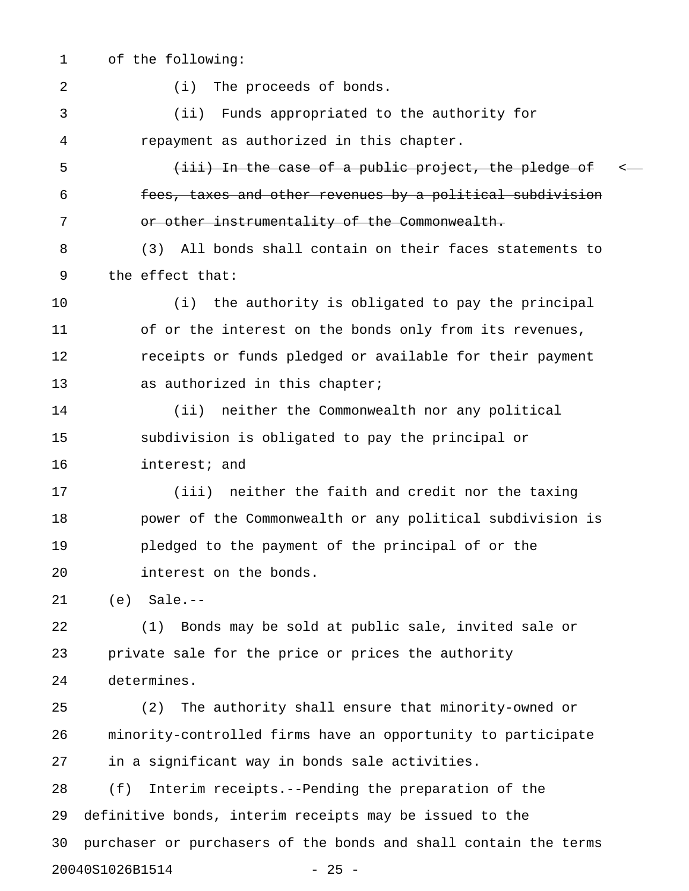1 of the following: 2 (i) The proceeds of bonds. 3 (ii) Funds appropriated to the authority for 4 repayment as authorized in this chapter. 5 (iii) In the case of a public project, the pledge of  $\leftarrow$ 6 fees, taxes and other revenues by a political subdivision 7 or other instrumentality of the Commonwealth. 8 (3) All bonds shall contain on their faces statements to 9 the effect that: 10 (i) the authority is obligated to pay the principal 11 of or the interest on the bonds only from its revenues, 12 receipts or funds pledged or available for their payment 13 as authorized in this chapter; 14 (ii) neither the Commonwealth nor any political 15 subdivision is obligated to pay the principal or 16 interest; and 17 (iii) neither the faith and credit nor the taxing 18 power of the Commonwealth or any political subdivision is 19 pledged to the payment of the principal of or the 20 interest on the bonds. 21 (e) Sale.-- 22 (1) Bonds may be sold at public sale, invited sale or 23 private sale for the price or prices the authority 24 determines. 25 (2) The authority shall ensure that minority-owned or 26 minority-controlled firms have an opportunity to participate 27 in a significant way in bonds sale activities. 28 (f) Interim receipts.--Pending the preparation of the 29 definitive bonds, interim receipts may be issued to the 30 purchaser or purchasers of the bonds and shall contain the terms

20040S1026B1514 - 25 -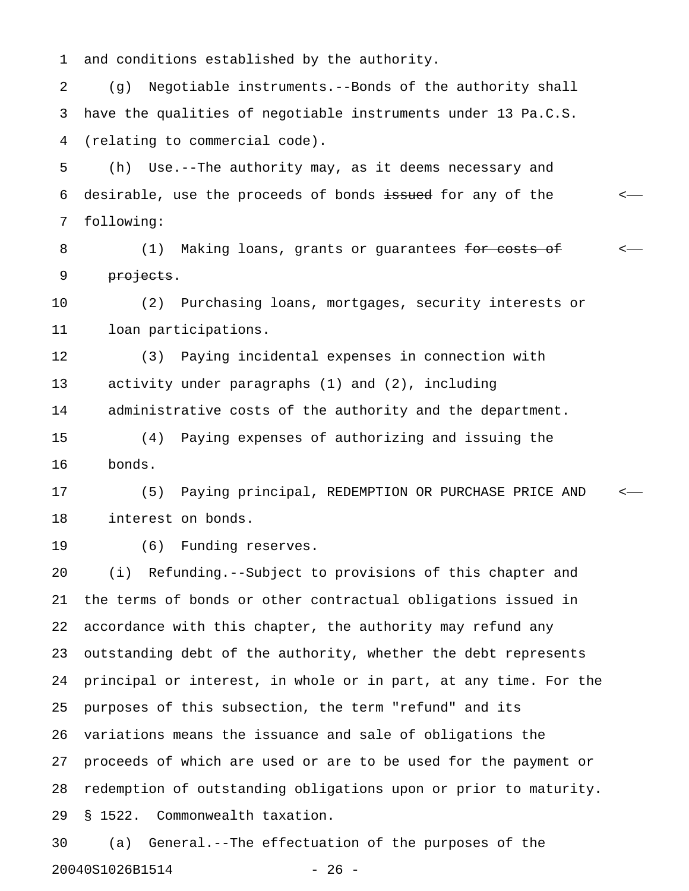1 and conditions established by the authority.

2 (g) Negotiable instruments.--Bonds of the authority shall 3 have the qualities of negotiable instruments under 13 Pa.C.S. 4 (relating to commercial code).

5 (h) Use.--The authority may, as it deems necessary and 6 desirable, use the proceeds of bonds <del>issued</del> for any of the  $\leftarrow$ 7 following:

8 (1) Making loans, grants or quarantees <del>for costs of</del>  $\sim$ 9 <del>projects</del>.

10 (2) Purchasing loans, mortgages, security interests or 11 loan participations.

12 (3) Paying incidental expenses in connection with 13 activity under paragraphs (1) and (2), including 14 administrative costs of the authority and the department.

15 (4) Paying expenses of authorizing and issuing the 16 bonds.

17 (5) Paying principal, REDEMPTION OR PURCHASE PRICE AND < 18 interest on bonds.

19 (6) Funding reserves.

20 (i) Refunding.--Subject to provisions of this chapter and 21 the terms of bonds or other contractual obligations issued in 22 accordance with this chapter, the authority may refund any 23 outstanding debt of the authority, whether the debt represents 24 principal or interest, in whole or in part, at any time. For the 25 purposes of this subsection, the term "refund" and its 26 variations means the issuance and sale of obligations the 27 proceeds of which are used or are to be used for the payment or 28 redemption of outstanding obligations upon or prior to maturity. 29 § 1522. Commonwealth taxation.

30 (a) General.--The effectuation of the purposes of the 20040S1026B1514 - 26 -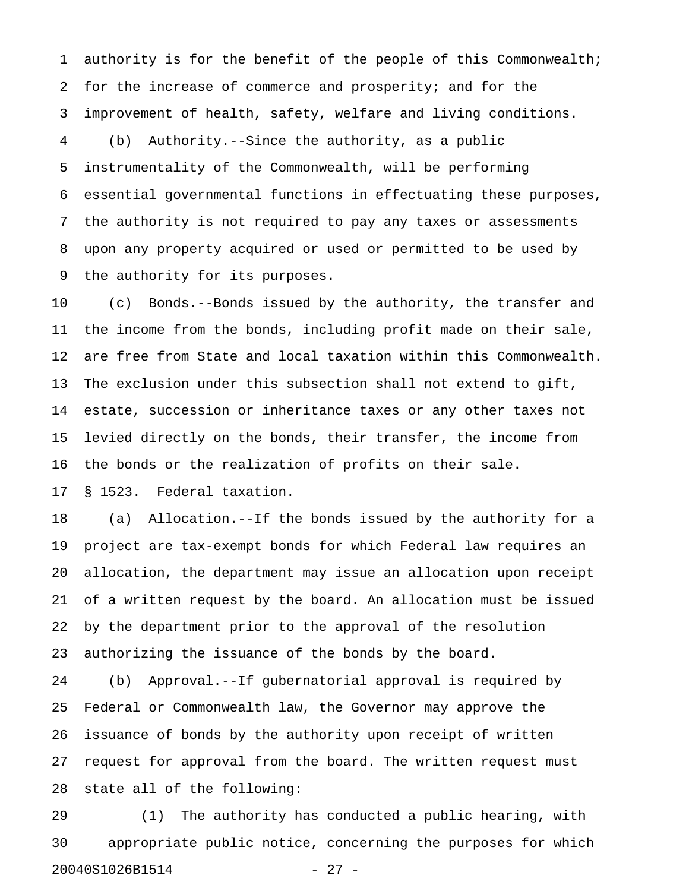1 authority is for the benefit of the people of this Commonwealth; 2 for the increase of commerce and prosperity; and for the 3 improvement of health, safety, welfare and living conditions. 4 (b) Authority.--Since the authority, as a public 5 instrumentality of the Commonwealth, will be performing 6 essential governmental functions in effectuating these purposes, 7 the authority is not required to pay any taxes or assessments 8 upon any property acquired or used or permitted to be used by 9 the authority for its purposes.

10 (c) Bonds.--Bonds issued by the authority, the transfer and 11 the income from the bonds, including profit made on their sale, 12 are free from State and local taxation within this Commonwealth. 13 The exclusion under this subsection shall not extend to gift, 14 estate, succession or inheritance taxes or any other taxes not 15 levied directly on the bonds, their transfer, the income from 16 the bonds or the realization of profits on their sale.

17 § 1523. Federal taxation.

18 (a) Allocation.--If the bonds issued by the authority for a 19 project are tax-exempt bonds for which Federal law requires an 20 allocation, the department may issue an allocation upon receipt 21 of a written request by the board. An allocation must be issued 22 by the department prior to the approval of the resolution 23 authorizing the issuance of the bonds by the board.

24 (b) Approval.--If gubernatorial approval is required by 25 Federal or Commonwealth law, the Governor may approve the 26 issuance of bonds by the authority upon receipt of written 27 request for approval from the board. The written request must 28 state all of the following:

29 (1) The authority has conducted a public hearing, with 30 appropriate public notice, concerning the purposes for which 20040S1026B1514 - 27 -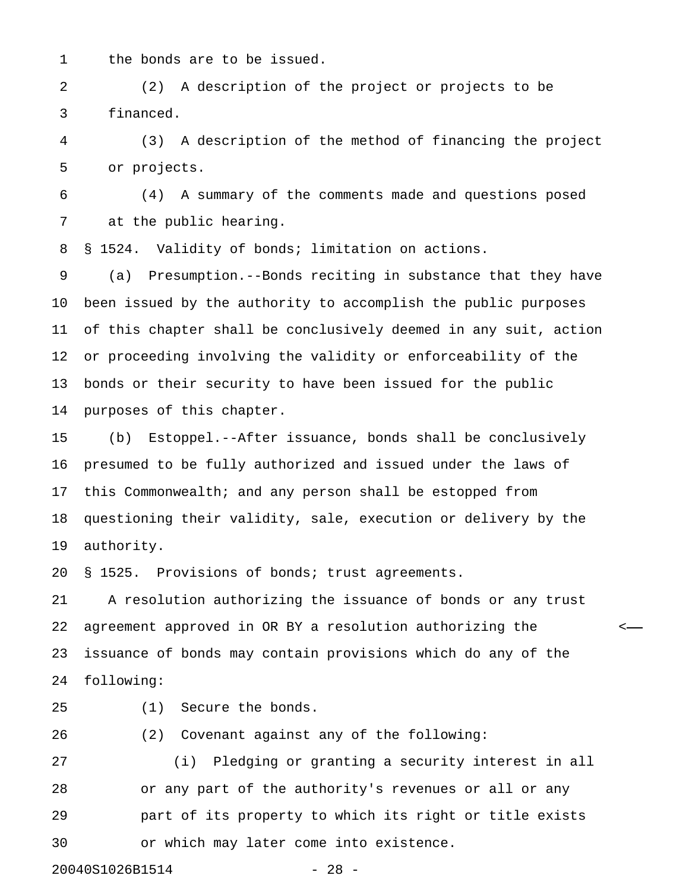1 the bonds are to be issued.

2 (2) A description of the project or projects to be 3 financed.

4 (3) A description of the method of financing the project 5 or projects.

6 (4) A summary of the comments made and questions posed 7 at the public hearing.

8 § 1524. Validity of bonds; limitation on actions.

9 (a) Presumption.--Bonds reciting in substance that they have 10 been issued by the authority to accomplish the public purposes 11 of this chapter shall be conclusively deemed in any suit, action 12 or proceeding involving the validity or enforceability of the 13 bonds or their security to have been issued for the public 14 purposes of this chapter.

15 (b) Estoppel.--After issuance, bonds shall be conclusively 16 presumed to be fully authorized and issued under the laws of 17 this Commonwealth; and any person shall be estopped from 18 questioning their validity, sale, execution or delivery by the 19 authority.

20 § 1525. Provisions of bonds; trust agreements.

21 A resolution authorizing the issuance of bonds or any trust 22 agreement approved in OR BY a resolution authorizing the < 23 issuance of bonds may contain provisions which do any of the 24 following:

25 (1) Secure the bonds.

26 (2) Covenant against any of the following:

27 (i) Pledging or granting a security interest in all 28 or any part of the authority's revenues or all or any 29 part of its property to which its right or title exists 30 or which may later come into existence.

20040S1026B1514 - 28 -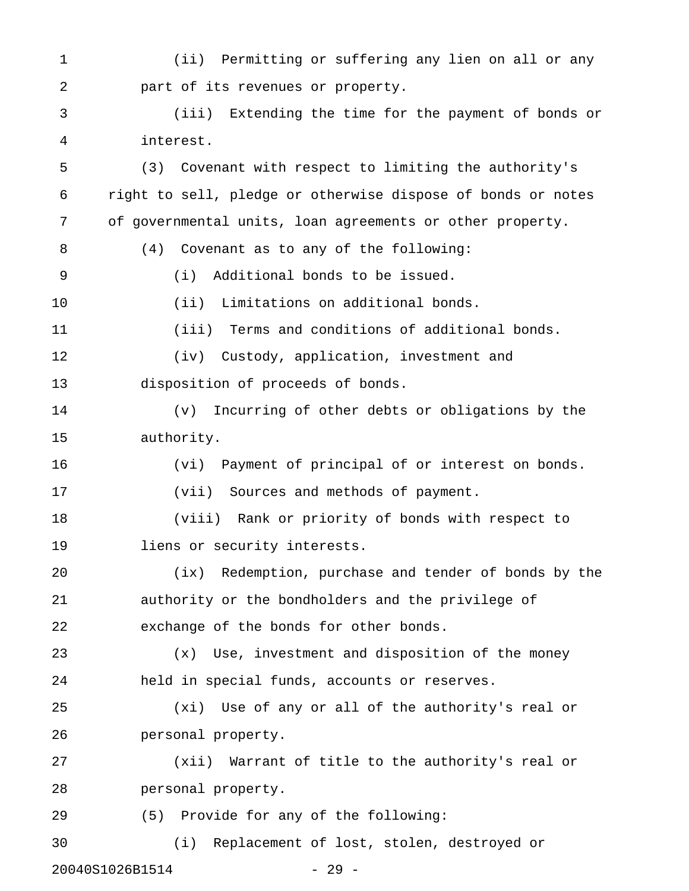1 (ii) Permitting or suffering any lien on all or any 2 part of its revenues or property. 3 (iii) Extending the time for the payment of bonds or 4 interest. 5 (3) Covenant with respect to limiting the authority's 6 right to sell, pledge or otherwise dispose of bonds or notes 7 of governmental units, loan agreements or other property. 8 (4) Covenant as to any of the following: 9 (i) Additional bonds to be issued. 10 (ii) Limitations on additional bonds. 11 (iii) Terms and conditions of additional bonds. 12 (iv) Custody, application, investment and 13 disposition of proceeds of bonds. 14 (v) Incurring of other debts or obligations by the 15 authority. 16 (vi) Payment of principal of or interest on bonds. 17 (vii) Sources and methods of payment. 18 (viii) Rank or priority of bonds with respect to 19 liens or security interests. 20 (ix) Redemption, purchase and tender of bonds by the 21 authority or the bondholders and the privilege of 22 exchange of the bonds for other bonds. 23 (x) Use, investment and disposition of the money 24 held in special funds, accounts or reserves. 25 (xi) Use of any or all of the authority's real or 26 personal property. 27 (xii) Warrant of title to the authority's real or 28 personal property. 29 (5) Provide for any of the following: 30 (i) Replacement of lost, stolen, destroyed or

20040S1026B1514 - 29 -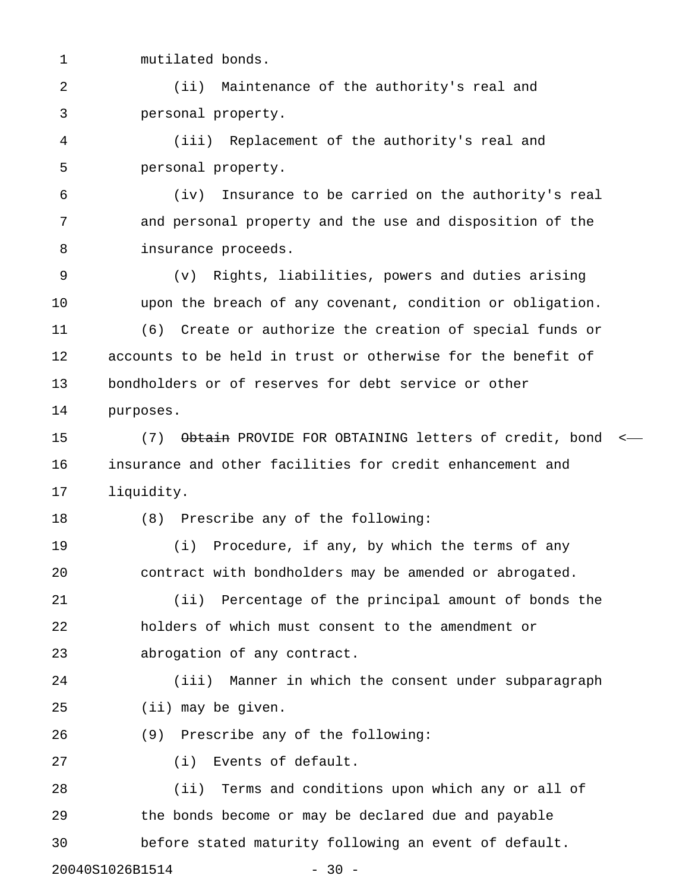1 mutilated bonds.

2 (ii) Maintenance of the authority's real and 3 personal property.

4 (iii) Replacement of the authority's real and 5 personal property.

6 (iv) Insurance to be carried on the authority's real 7 and personal property and the use and disposition of the 8 insurance proceeds.

9 (v) Rights, liabilities, powers and duties arising 10 upon the breach of any covenant, condition or obligation.

11 (6) Create or authorize the creation of special funds or 12 accounts to be held in trust or otherwise for the benefit of 13 bondholders or of reserves for debt service or other 14 purposes.

15 (7) Obtain PROVIDE FOR OBTAINING letters of credit, bond < 16 insurance and other facilities for credit enhancement and 17 liquidity.

18 (8) Prescribe any of the following:

19 (i) Procedure, if any, by which the terms of any 20 contract with bondholders may be amended or abrogated.

21 (ii) Percentage of the principal amount of bonds the 22 holders of which must consent to the amendment or 23 abrogation of any contract.

24 (iii) Manner in which the consent under subparagraph 25 (ii) may be given.

26 (9) Prescribe any of the following:

27 (i) Events of default.

28 (ii) Terms and conditions upon which any or all of 29 the bonds become or may be declared due and payable 30 before stated maturity following an event of default.

20040S1026B1514 - 30 -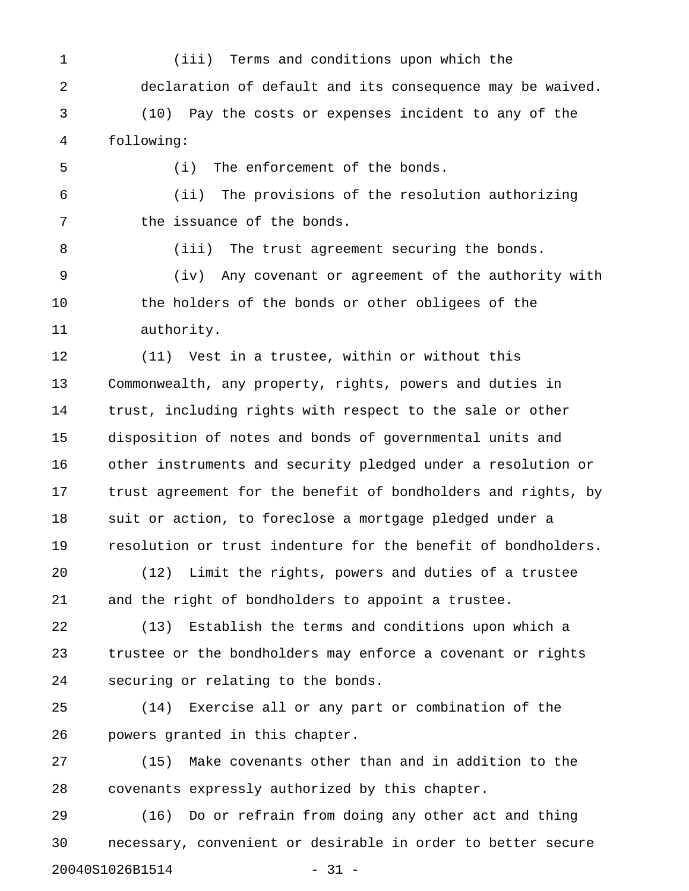1 (iii) Terms and conditions upon which the 2 declaration of default and its consequence may be waived. 3 (10) Pay the costs or expenses incident to any of the

4 following:

5 (i) The enforcement of the bonds.

6 (ii) The provisions of the resolution authorizing 7 the issuance of the bonds.

8 (iii) The trust agreement securing the bonds. 9 (iv) Any covenant or agreement of the authority with 10 the holders of the bonds or other obligees of the 11 authority.

12 (11) Vest in a trustee, within or without this 13 Commonwealth, any property, rights, powers and duties in 14 trust, including rights with respect to the sale or other 15 disposition of notes and bonds of governmental units and 16 other instruments and security pledged under a resolution or 17 trust agreement for the benefit of bondholders and rights, by 18 suit or action, to foreclose a mortgage pledged under a 19 resolution or trust indenture for the benefit of bondholders.

20 (12) Limit the rights, powers and duties of a trustee 21 and the right of bondholders to appoint a trustee.

22 (13) Establish the terms and conditions upon which a 23 trustee or the bondholders may enforce a covenant or rights 24 securing or relating to the bonds.

25 (14) Exercise all or any part or combination of the 26 powers granted in this chapter.

27 (15) Make covenants other than and in addition to the 28 covenants expressly authorized by this chapter.

29 (16) Do or refrain from doing any other act and thing 30 necessary, convenient or desirable in order to better secure 20040S1026B1514 - 31 -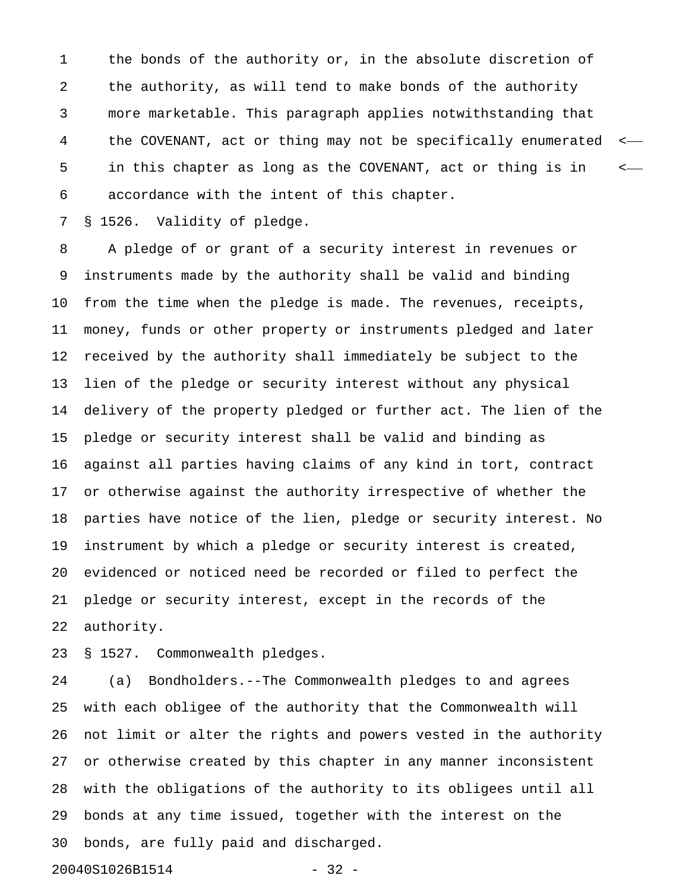1 the bonds of the authority or, in the absolute discretion of 2 the authority, as will tend to make bonds of the authority 3 more marketable. This paragraph applies notwithstanding that 4 the COVENANT, act or thing may not be specifically enumerated < 5 in this chapter as long as the COVENANT, act or thing is in < 6 accordance with the intent of this chapter.

7 § 1526. Validity of pledge.

8 A pledge of or grant of a security interest in revenues or 9 instruments made by the authority shall be valid and binding 10 from the time when the pledge is made. The revenues, receipts, 11 money, funds or other property or instruments pledged and later 12 received by the authority shall immediately be subject to the 13 lien of the pledge or security interest without any physical 14 delivery of the property pledged or further act. The lien of the 15 pledge or security interest shall be valid and binding as 16 against all parties having claims of any kind in tort, contract 17 or otherwise against the authority irrespective of whether the 18 parties have notice of the lien, pledge or security interest. No 19 instrument by which a pledge or security interest is created, 20 evidenced or noticed need be recorded or filed to perfect the 21 pledge or security interest, except in the records of the 22 authority.

23 § 1527. Commonwealth pledges.

24 (a) Bondholders.--The Commonwealth pledges to and agrees 25 with each obligee of the authority that the Commonwealth will 26 not limit or alter the rights and powers vested in the authority 27 or otherwise created by this chapter in any manner inconsistent 28 with the obligations of the authority to its obligees until all 29 bonds at any time issued, together with the interest on the 30 bonds, are fully paid and discharged.

20040S1026B1514 - 32 -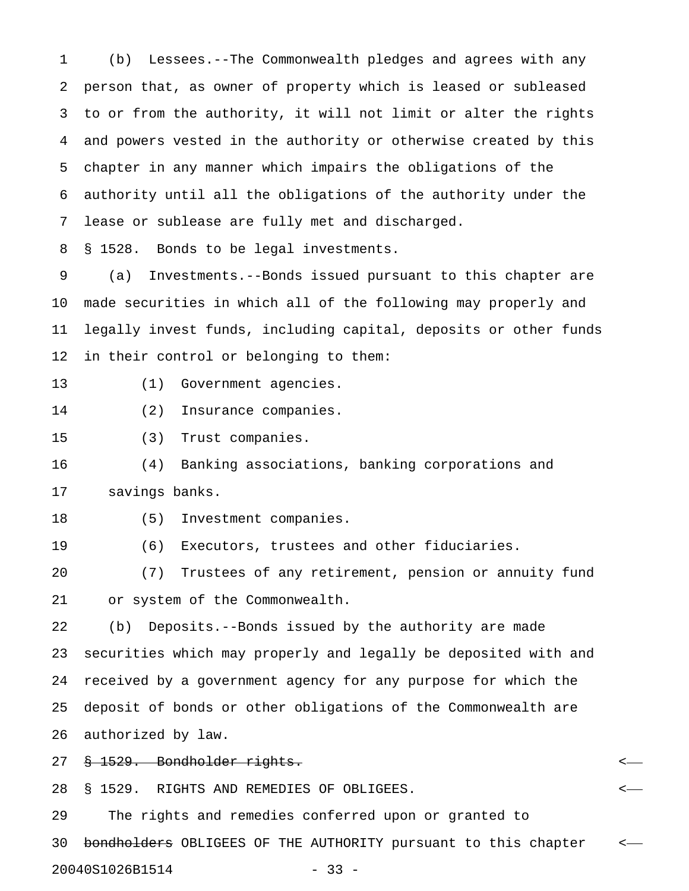1 (b) Lessees.--The Commonwealth pledges and agrees with any 2 person that, as owner of property which is leased or subleased 3 to or from the authority, it will not limit or alter the rights 4 and powers vested in the authority or otherwise created by this 5 chapter in any manner which impairs the obligations of the 6 authority until all the obligations of the authority under the 7 lease or sublease are fully met and discharged.

8 § 1528. Bonds to be legal investments.

9 (a) Investments.--Bonds issued pursuant to this chapter are 10 made securities in which all of the following may properly and 11 legally invest funds, including capital, deposits or other funds 12 in their control or belonging to them:

- 13 (1) Government agencies.
- 14 (2) Insurance companies.
- 15 (3) Trust companies.

16 (4) Banking associations, banking corporations and 17 savings banks.

- 18 (5) Investment companies.
- 19 (6) Executors, trustees and other fiduciaries.

20 (7) Trustees of any retirement, pension or annuity fund 21 or system of the Commonwealth.

22 (b) Deposits.--Bonds issued by the authority are made 23 securities which may properly and legally be deposited with and 24 received by a government agency for any purpose for which the 25 deposit of bonds or other obligations of the Commonwealth are 26 authorized by law.

27 § 1529. Bondholder rights. <

28 § 1529. RIGHTS AND REMEDIES OF OBLIGEES. <

29 The rights and remedies conferred upon or granted to

30 bondholders OBLIGEES OF THE AUTHORITY pursuant to this chapter  $\leftarrow$ 

20040S1026B1514 - 33 -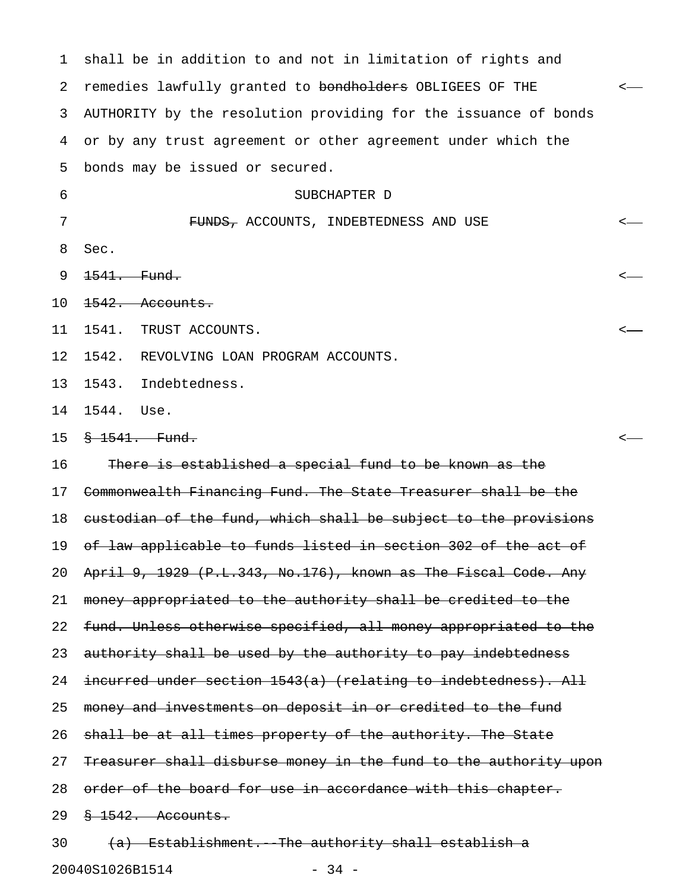1 shall be in addition to and not in limitation of rights and 2 remedies lawfully granted to bondholders OBLIGEES OF THE <-3 AUTHORITY by the resolution providing for the issuance of bonds 4 or by any trust agreement or other agreement under which the 5 bonds may be issued or secured. 6 SUBCHAPTER D 7 FUNDS, ACCOUNTS, INDEBTEDNESS AND USE < 8 Sec. 9 1541. Fund. < 10 <del>1542. Accounts.</del> 11 1541. TRUST ACCOUNTS. < 12 1542. REVOLVING LOAN PROGRAM ACCOUNTS. 13 1543. Indebtedness. 14 1544. Use. 15 § 1541. Fund. < 16 There is established a special fund to be known as the 17 Commonwealth Financing Fund. The State Treasurer shall be the 18 custodian of the fund, which shall be subject to the provisions 19 of law applicable to funds listed in section 302 of the act of 20 April 9, 1929 (P.L.343, No.176), known as The Fiscal Code. Any 21 money appropriated to the authority shall be credited to the 22 fund. Unless otherwise specified, all money appropriated to the 23 authority shall be used by the authority to pay indebtedness 24 incurred under section 1543(a) (relating to indebtedness). All 25 money and investments on deposit in or credited to the fund 26 shall be at all times property of the authority. The State 27 Treasurer shall disburse money in the fund to the authority upon 28 order of the board for use in accordance with this chapter. 29 § 1542. Accounts.  $30$  (a) Establishment. The authority shall establish a

20040S1026B1514 - 34 -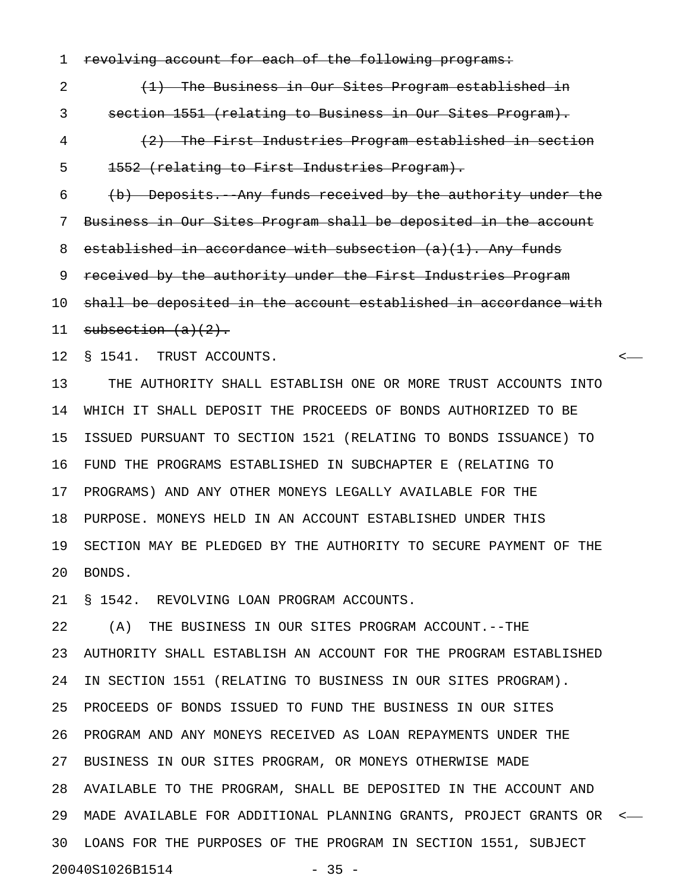1 revolving account for each of the following programs:

2 (1) The Business in Our Sites Program established in 3 section 1551 (relating to Business in Our Sites Program). 4 (2) The First Industries Program established in section 5 1552 (relating to First Industries Program). 6 (b) Deposits. Any funds received by the authority under the 7 Business in Our Sites Program shall be deposited in the account 8 established in accordance with subsection  $(a)(1)$ . Any funds 9 received by the authority under the First Industries Program 10 shall be deposited in the account established in accordance with 11 subsection  $(a)(2)$ .

12 § 1541. TRUST ACCOUNTS. <

13 THE AUTHORITY SHALL ESTABLISH ONE OR MORE TRUST ACCOUNTS INTO 14 WHICH IT SHALL DEPOSIT THE PROCEEDS OF BONDS AUTHORIZED TO BE 15 ISSUED PURSUANT TO SECTION 1521 (RELATING TO BONDS ISSUANCE) TO 16 FUND THE PROGRAMS ESTABLISHED IN SUBCHAPTER E (RELATING TO 17 PROGRAMS) AND ANY OTHER MONEYS LEGALLY AVAILABLE FOR THE 18 PURPOSE. MONEYS HELD IN AN ACCOUNT ESTABLISHED UNDER THIS 19 SECTION MAY BE PLEDGED BY THE AUTHORITY TO SECURE PAYMENT OF THE 20 BONDS.

21 § 1542. REVOLVING LOAN PROGRAM ACCOUNTS.

22 (A) THE BUSINESS IN OUR SITES PROGRAM ACCOUNT.--THE 23 AUTHORITY SHALL ESTABLISH AN ACCOUNT FOR THE PROGRAM ESTABLISHED 24 IN SECTION 1551 (RELATING TO BUSINESS IN OUR SITES PROGRAM). 25 PROCEEDS OF BONDS ISSUED TO FUND THE BUSINESS IN OUR SITES 26 PROGRAM AND ANY MONEYS RECEIVED AS LOAN REPAYMENTS UNDER THE 27 BUSINESS IN OUR SITES PROGRAM, OR MONEYS OTHERWISE MADE 28 AVAILABLE TO THE PROGRAM, SHALL BE DEPOSITED IN THE ACCOUNT AND 29 MADE AVAILABLE FOR ADDITIONAL PLANNING GRANTS, PROJECT GRANTS OR < 30 LOANS FOR THE PURPOSES OF THE PROGRAM IN SECTION 1551, SUBJECT 20040S1026B1514 - 35 -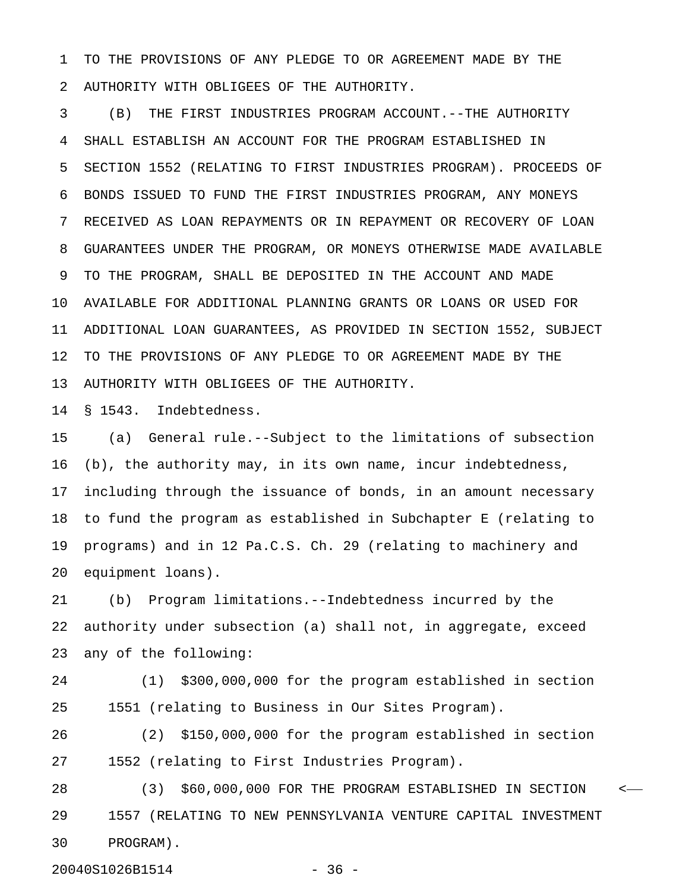1 TO THE PROVISIONS OF ANY PLEDGE TO OR AGREEMENT MADE BY THE 2 AUTHORITY WITH OBLIGEES OF THE AUTHORITY.

3 (B) THE FIRST INDUSTRIES PROGRAM ACCOUNT.--THE AUTHORITY 4 SHALL ESTABLISH AN ACCOUNT FOR THE PROGRAM ESTABLISHED IN 5 SECTION 1552 (RELATING TO FIRST INDUSTRIES PROGRAM). PROCEEDS OF 6 BONDS ISSUED TO FUND THE FIRST INDUSTRIES PROGRAM, ANY MONEYS 7 RECEIVED AS LOAN REPAYMENTS OR IN REPAYMENT OR RECOVERY OF LOAN 8 GUARANTEES UNDER THE PROGRAM, OR MONEYS OTHERWISE MADE AVAILABLE 9 TO THE PROGRAM, SHALL BE DEPOSITED IN THE ACCOUNT AND MADE 10 AVAILABLE FOR ADDITIONAL PLANNING GRANTS OR LOANS OR USED FOR 11 ADDITIONAL LOAN GUARANTEES, AS PROVIDED IN SECTION 1552, SUBJECT 12 TO THE PROVISIONS OF ANY PLEDGE TO OR AGREEMENT MADE BY THE 13 AUTHORITY WITH OBLIGEES OF THE AUTHORITY.

14 § 1543. Indebtedness.

15 (a) General rule.--Subject to the limitations of subsection 16 (b), the authority may, in its own name, incur indebtedness, 17 including through the issuance of bonds, in an amount necessary 18 to fund the program as established in Subchapter E (relating to 19 programs) and in 12 Pa.C.S. Ch. 29 (relating to machinery and 20 equipment loans).

21 (b) Program limitations.--Indebtedness incurred by the 22 authority under subsection (a) shall not, in aggregate, exceed 23 any of the following:

24 (1) \$300,000,000 for the program established in section 25 1551 (relating to Business in Our Sites Program).

26 (2) \$150,000,000 for the program established in section 27 1552 (relating to First Industries Program).

28 (3) \$60,000,000 FOR THE PROGRAM ESTABLISHED IN SECTION < 29 1557 (RELATING TO NEW PENNSYLVANIA VENTURE CAPITAL INVESTMENT 30 PROGRAM).

20040S1026B1514 - 36 -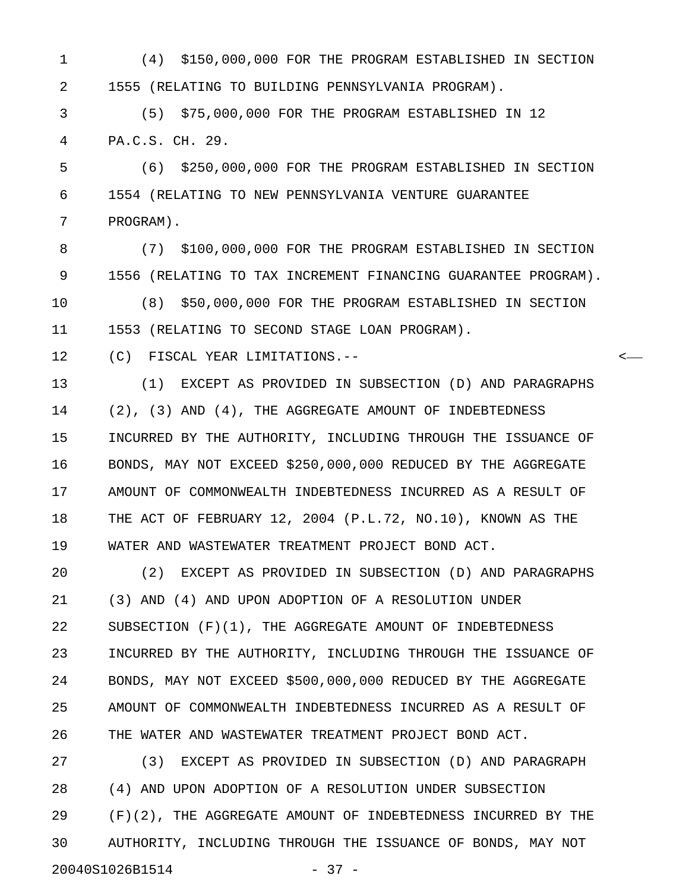1 (4) \$150,000,000 FOR THE PROGRAM ESTABLISHED IN SECTION 2 1555 (RELATING TO BUILDING PENNSYLVANIA PROGRAM).

3 (5) \$75,000,000 FOR THE PROGRAM ESTABLISHED IN 12 4 PA.C.S. CH. 29.

5 (6) \$250,000,000 FOR THE PROGRAM ESTABLISHED IN SECTION 6 1554 (RELATING TO NEW PENNSYLVANIA VENTURE GUARANTEE 7 PROGRAM).

8 (7) \$100,000,000 FOR THE PROGRAM ESTABLISHED IN SECTION 9 1556 (RELATING TO TAX INCREMENT FINANCING GUARANTEE PROGRAM).

10 (8) \$50,000,000 FOR THE PROGRAM ESTABLISHED IN SECTION 11 1553 (RELATING TO SECOND STAGE LOAN PROGRAM).

12 (C) FISCAL YEAR LIMITATIONS.-- <

13 (1) EXCEPT AS PROVIDED IN SUBSECTION (D) AND PARAGRAPHS 14 (2), (3) AND (4), THE AGGREGATE AMOUNT OF INDEBTEDNESS 15 INCURRED BY THE AUTHORITY, INCLUDING THROUGH THE ISSUANCE OF 16 BONDS, MAY NOT EXCEED \$250,000,000 REDUCED BY THE AGGREGATE 17 AMOUNT OF COMMONWEALTH INDEBTEDNESS INCURRED AS A RESULT OF 18 THE ACT OF FEBRUARY 12, 2004 (P.L.72, NO.10), KNOWN AS THE 19 WATER AND WASTEWATER TREATMENT PROJECT BOND ACT.

20 (2) EXCEPT AS PROVIDED IN SUBSECTION (D) AND PARAGRAPHS 21 (3) AND (4) AND UPON ADOPTION OF A RESOLUTION UNDER 22 SUBSECTION (F)(1), THE AGGREGATE AMOUNT OF INDEBTEDNESS 23 INCURRED BY THE AUTHORITY, INCLUDING THROUGH THE ISSUANCE OF 24 BONDS, MAY NOT EXCEED \$500,000,000 REDUCED BY THE AGGREGATE 25 AMOUNT OF COMMONWEALTH INDEBTEDNESS INCURRED AS A RESULT OF 26 THE WATER AND WASTEWATER TREATMENT PROJECT BOND ACT.

27 (3) EXCEPT AS PROVIDED IN SUBSECTION (D) AND PARAGRAPH 28 (4) AND UPON ADOPTION OF A RESOLUTION UNDER SUBSECTION 29 (F)(2), THE AGGREGATE AMOUNT OF INDEBTEDNESS INCURRED BY THE 30 AUTHORITY, INCLUDING THROUGH THE ISSUANCE OF BONDS, MAY NOT 20040S1026B1514 - 37 -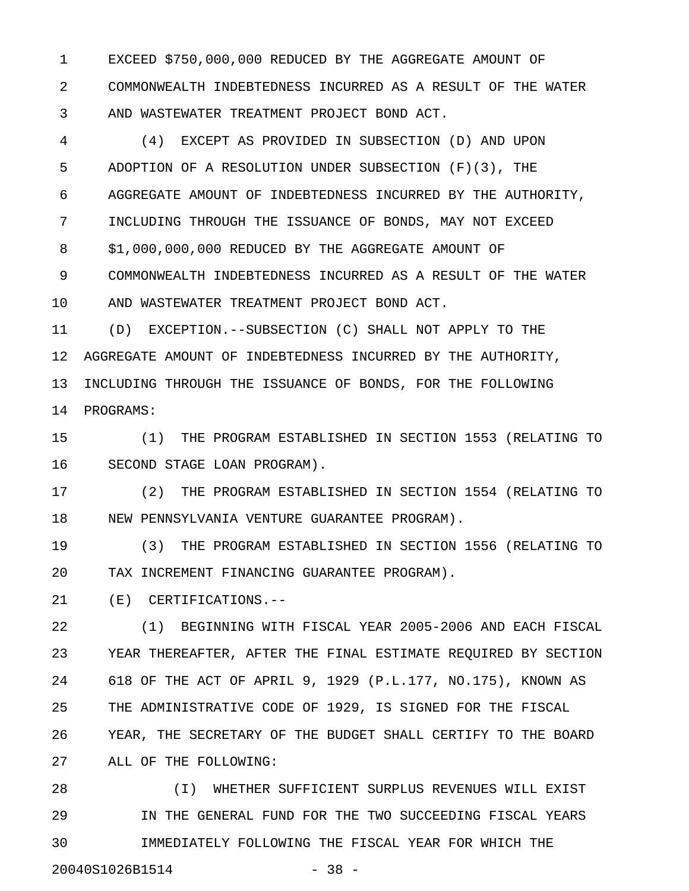1 EXCEED \$750,000,000 REDUCED BY THE AGGREGATE AMOUNT OF 2 COMMONWEALTH INDEBTEDNESS INCURRED AS A RESULT OF THE WATER 3 AND WASTEWATER TREATMENT PROJECT BOND ACT.

4 (4) EXCEPT AS PROVIDED IN SUBSECTION (D) AND UPON 5 ADOPTION OF A RESOLUTION UNDER SUBSECTION (F)(3), THE 6 AGGREGATE AMOUNT OF INDEBTEDNESS INCURRED BY THE AUTHORITY, 7 INCLUDING THROUGH THE ISSUANCE OF BONDS, MAY NOT EXCEED 8 \$1,000,000,000 REDUCED BY THE AGGREGATE AMOUNT OF 9 COMMONWEALTH INDEBTEDNESS INCURRED AS A RESULT OF THE WATER 10 AND WASTEWATER TREATMENT PROJECT BOND ACT.

11 (D) EXCEPTION.--SUBSECTION (C) SHALL NOT APPLY TO THE 12 AGGREGATE AMOUNT OF INDEBTEDNESS INCURRED BY THE AUTHORITY, 13 INCLUDING THROUGH THE ISSUANCE OF BONDS, FOR THE FOLLOWING 14 PROGRAMS:

15 (1) THE PROGRAM ESTABLISHED IN SECTION 1553 (RELATING TO 16 SECOND STAGE LOAN PROGRAM).

17 (2) THE PROGRAM ESTABLISHED IN SECTION 1554 (RELATING TO 18 NEW PENNSYLVANIA VENTURE GUARANTEE PROGRAM).

19 (3) THE PROGRAM ESTABLISHED IN SECTION 1556 (RELATING TO 20 TAX INCREMENT FINANCING GUARANTEE PROGRAM).

21 (E) CERTIFICATIONS.--

22 (1) BEGINNING WITH FISCAL YEAR 2005-2006 AND EACH FISCAL 23 YEAR THEREAFTER, AFTER THE FINAL ESTIMATE REQUIRED BY SECTION 24 618 OF THE ACT OF APRIL 9, 1929 (P.L.177, NO.175), KNOWN AS 25 THE ADMINISTRATIVE CODE OF 1929, IS SIGNED FOR THE FISCAL 26 YEAR, THE SECRETARY OF THE BUDGET SHALL CERTIFY TO THE BOARD 27 ALL OF THE FOLLOWING:

28 (I) WHETHER SUFFICIENT SURPLUS REVENUES WILL EXIST 29 IN THE GENERAL FUND FOR THE TWO SUCCEEDING FISCAL YEARS 30 IMMEDIATELY FOLLOWING THE FISCAL YEAR FOR WHICH THE 20040S1026B1514 - 38 -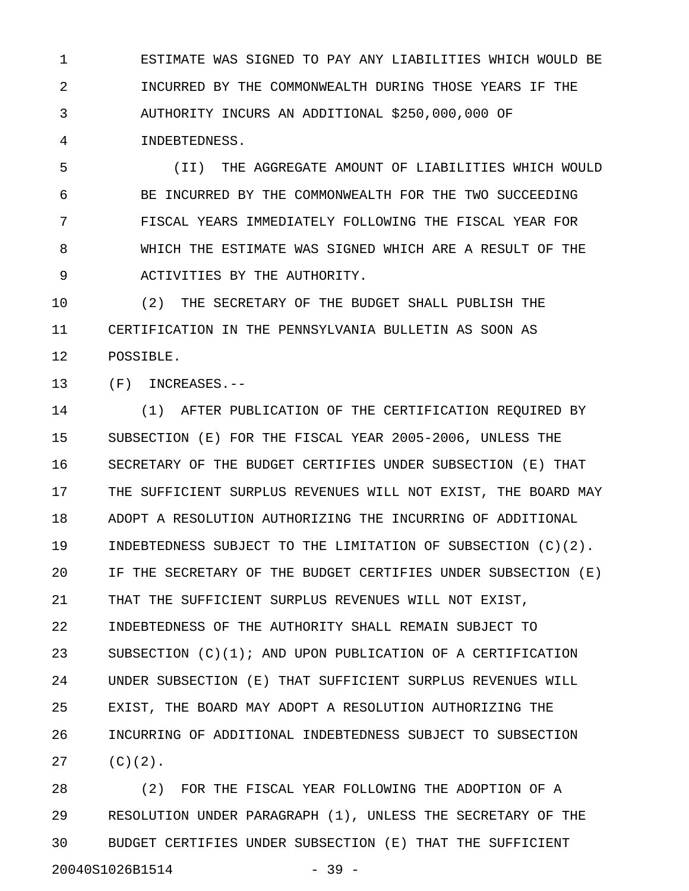1 ESTIMATE WAS SIGNED TO PAY ANY LIABILITIES WHICH WOULD BE 2 INCURRED BY THE COMMONWEALTH DURING THOSE YEARS IF THE 3 AUTHORITY INCURS AN ADDITIONAL \$250,000,000 OF 4 INDEBTEDNESS.

5 (II) THE AGGREGATE AMOUNT OF LIABILITIES WHICH WOULD 6 BE INCURRED BY THE COMMONWEALTH FOR THE TWO SUCCEEDING 7 FISCAL YEARS IMMEDIATELY FOLLOWING THE FISCAL YEAR FOR 8 WHICH THE ESTIMATE WAS SIGNED WHICH ARE A RESULT OF THE 9 ACTIVITIES BY THE AUTHORITY.

10 (2) THE SECRETARY OF THE BUDGET SHALL PUBLISH THE 11 CERTIFICATION IN THE PENNSYLVANIA BULLETIN AS SOON AS 12 POSSIBLE.

13 (F) INCREASES.--

14 (1) AFTER PUBLICATION OF THE CERTIFICATION REQUIRED BY 15 SUBSECTION (E) FOR THE FISCAL YEAR 2005-2006, UNLESS THE 16 SECRETARY OF THE BUDGET CERTIFIES UNDER SUBSECTION (E) THAT 17 THE SUFFICIENT SURPLUS REVENUES WILL NOT EXIST, THE BOARD MAY 18 ADOPT A RESOLUTION AUTHORIZING THE INCURRING OF ADDITIONAL 19 INDEBTEDNESS SUBJECT TO THE LIMITATION OF SUBSECTION (C)(2). 20 IF THE SECRETARY OF THE BUDGET CERTIFIES UNDER SUBSECTION (E) 21 THAT THE SUFFICIENT SURPLUS REVENUES WILL NOT EXIST, 22 INDEBTEDNESS OF THE AUTHORITY SHALL REMAIN SUBJECT TO 23 SUBSECTION (C)(1); AND UPON PUBLICATION OF A CERTIFICATION 24 UNDER SUBSECTION (E) THAT SUFFICIENT SURPLUS REVENUES WILL 25 EXIST, THE BOARD MAY ADOPT A RESOLUTION AUTHORIZING THE 26 INCURRING OF ADDITIONAL INDEBTEDNESS SUBJECT TO SUBSECTION 27 (C)(2).

28 (2) FOR THE FISCAL YEAR FOLLOWING THE ADOPTION OF A 29 RESOLUTION UNDER PARAGRAPH (1), UNLESS THE SECRETARY OF THE 30 BUDGET CERTIFIES UNDER SUBSECTION (E) THAT THE SUFFICIENT 20040S1026B1514 - 39 -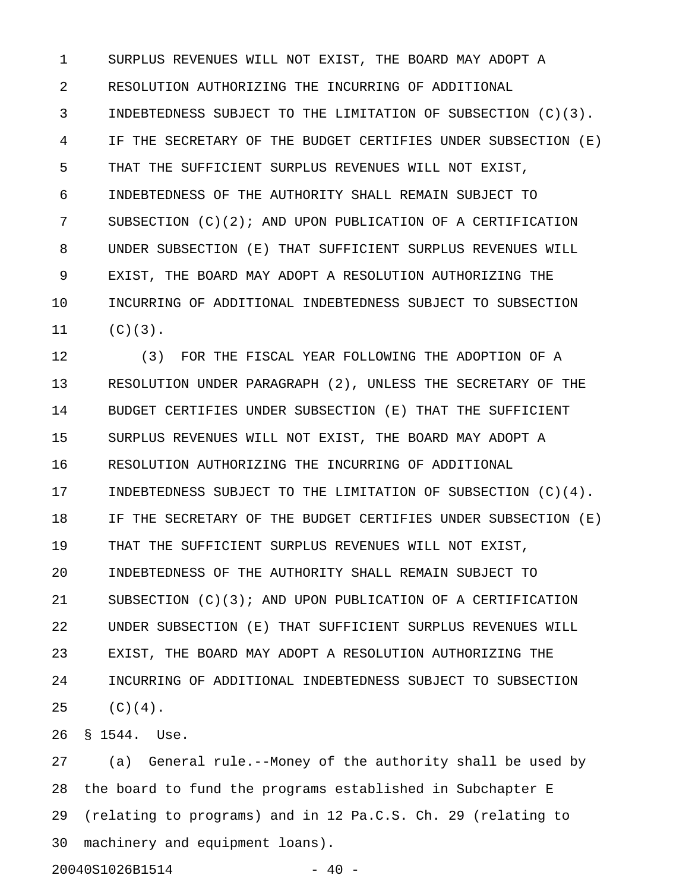1 SURPLUS REVENUES WILL NOT EXIST, THE BOARD MAY ADOPT A 2 RESOLUTION AUTHORIZING THE INCURRING OF ADDITIONAL 3 INDEBTEDNESS SUBJECT TO THE LIMITATION OF SUBSECTION (C)(3). 4 IF THE SECRETARY OF THE BUDGET CERTIFIES UNDER SUBSECTION (E) 5 THAT THE SUFFICIENT SURPLUS REVENUES WILL NOT EXIST, 6 INDEBTEDNESS OF THE AUTHORITY SHALL REMAIN SUBJECT TO 7 SUBSECTION (C)(2); AND UPON PUBLICATION OF A CERTIFICATION 8 UNDER SUBSECTION (E) THAT SUFFICIENT SURPLUS REVENUES WILL 9 EXIST, THE BOARD MAY ADOPT A RESOLUTION AUTHORIZING THE 10 INCURRING OF ADDITIONAL INDEBTEDNESS SUBJECT TO SUBSECTION 11 (C)(3).

12 (3) FOR THE FISCAL YEAR FOLLOWING THE ADOPTION OF A 13 RESOLUTION UNDER PARAGRAPH (2), UNLESS THE SECRETARY OF THE 14 BUDGET CERTIFIES UNDER SUBSECTION (E) THAT THE SUFFICIENT 15 SURPLUS REVENUES WILL NOT EXIST, THE BOARD MAY ADOPT A 16 RESOLUTION AUTHORIZING THE INCURRING OF ADDITIONAL 17 INDEBTEDNESS SUBJECT TO THE LIMITATION OF SUBSECTION (C)(4). 18 IF THE SECRETARY OF THE BUDGET CERTIFIES UNDER SUBSECTION (E) 19 THAT THE SUFFICIENT SURPLUS REVENUES WILL NOT EXIST, 20 INDEBTEDNESS OF THE AUTHORITY SHALL REMAIN SUBJECT TO 21 SUBSECTION (C)(3); AND UPON PUBLICATION OF A CERTIFICATION 22 UNDER SUBSECTION (E) THAT SUFFICIENT SURPLUS REVENUES WILL 23 EXIST, THE BOARD MAY ADOPT A RESOLUTION AUTHORIZING THE 24 INCURRING OF ADDITIONAL INDEBTEDNESS SUBJECT TO SUBSECTION  $25 (C)(4)$ .

26 § 1544. Use.

27 (a) General rule.--Money of the authority shall be used by 28 the board to fund the programs established in Subchapter E 29 (relating to programs) and in 12 Pa.C.S. Ch. 29 (relating to 30 machinery and equipment loans).

20040S1026B1514 - 40 -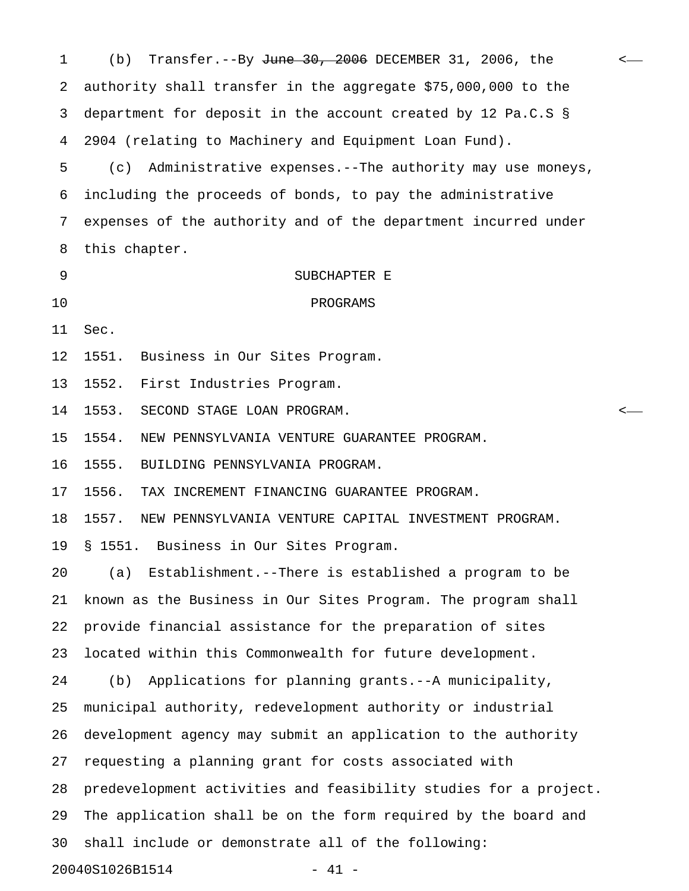| 1  | Transfer.--By June 30, 2006 DECEMBER 31, 2006, the<br>(b)        | $\leftarrow$ |
|----|------------------------------------------------------------------|--------------|
| 2  | authority shall transfer in the aggregate \$75,000,000 to the    |              |
| 3  | department for deposit in the account created by 12 Pa.C.S §     |              |
| 4  | 2904 (relating to Machinery and Equipment Loan Fund).            |              |
| 5  | Administrative expenses. -- The authority may use moneys,<br>(c) |              |
| 6  | including the proceeds of bonds, to pay the administrative       |              |
| 7  | expenses of the authority and of the department incurred under   |              |
| 8  | this chapter.                                                    |              |
| 9  | SUBCHAPTER E                                                     |              |
| 10 | PROGRAMS                                                         |              |
| 11 | Sec.                                                             |              |
| 12 | 1551. Business in Our Sites Program.                             |              |
| 13 | 1552. First Industries Program.                                  |              |
| 14 | 1553. SECOND STAGE LOAN PROGRAM.                                 | <—           |
| 15 | 1554.<br>NEW PENNSYLVANIA VENTURE GUARANTEE PROGRAM.             |              |
| 16 | 1555.<br>BUILDING PENNSYLVANIA PROGRAM.                          |              |
| 17 | 1556.<br>TAX INCREMENT FINANCING GUARANTEE PROGRAM.              |              |
| 18 | 1557. NEW PENNSYLVANIA VENTURE CAPITAL INVESTMENT PROGRAM.       |              |
| 19 | § 1551. Business in Our Sites Program.                           |              |
| 20 | Establishment.--There is established a program to be<br>(a)      |              |
| 21 | known as the Business in Our Sites Program. The program shall    |              |
| 22 | provide financial assistance for the preparation of sites        |              |
| 23 | located within this Commonwealth for future development.         |              |
| 24 | Applications for planning grants.--A municipality,<br>(b)        |              |
| 25 | municipal authority, redevelopment authority or industrial       |              |
| 26 | development agency may submit an application to the authority    |              |
| 27 | requesting a planning grant for costs associated with            |              |
| 28 | predevelopment activities and feasibility studies for a project. |              |
| 29 | The application shall be on the form required by the board and   |              |
| 30 | shall include or demonstrate all of the following:               |              |
|    | 20040S1026B1514<br>41 -                                          |              |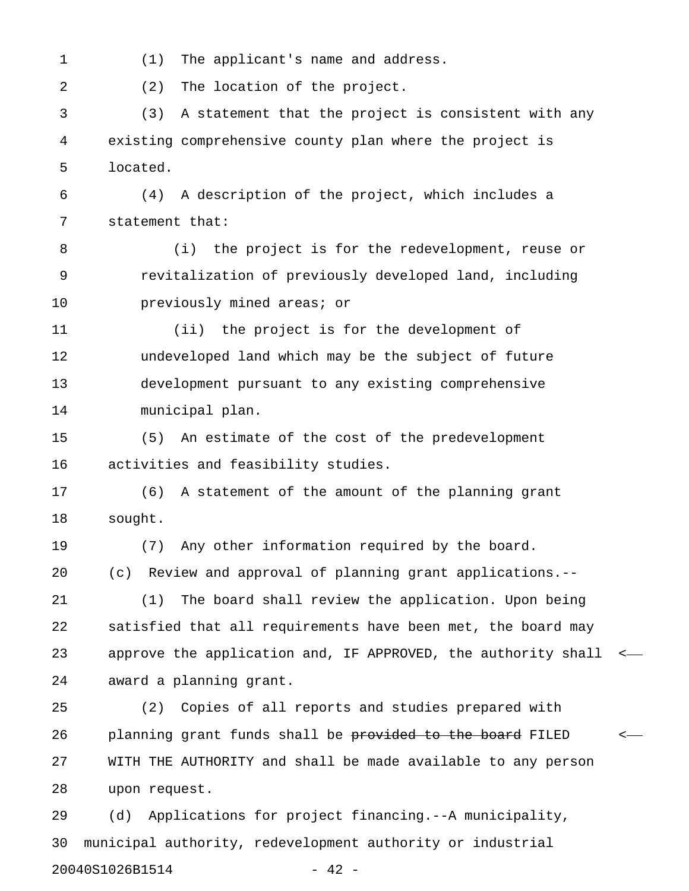1 (1) The applicant's name and address.

2 (2) The location of the project.

3 (3) A statement that the project is consistent with any 4 existing comprehensive county plan where the project is 5 located.

6 (4) A description of the project, which includes a 7 statement that:

8 (i) the project is for the redevelopment, reuse or 9 revitalization of previously developed land, including 10 **previously mined areas; or** 

11 (ii) the project is for the development of 12 undeveloped land which may be the subject of future 13 development pursuant to any existing comprehensive 14 municipal plan.

15 (5) An estimate of the cost of the predevelopment 16 activities and feasibility studies.

17 (6) A statement of the amount of the planning grant 18 sought.

19 (7) Any other information required by the board. 20 (c) Review and approval of planning grant applications.--

21 (1) The board shall review the application. Upon being 22 satisfied that all requirements have been met, the board may 23 approve the application and, IF APPROVED, the authority shall < 24 award a planning grant.

25 (2) Copies of all reports and studies prepared with 26 planning grant funds shall be <del>provided to the board</del> FILED <-27 WITH THE AUTHORITY and shall be made available to any person 28 upon request.

29 (d) Applications for project financing.--A municipality, 30 municipal authority, redevelopment authority or industrial 20040S1026B1514 - 42 -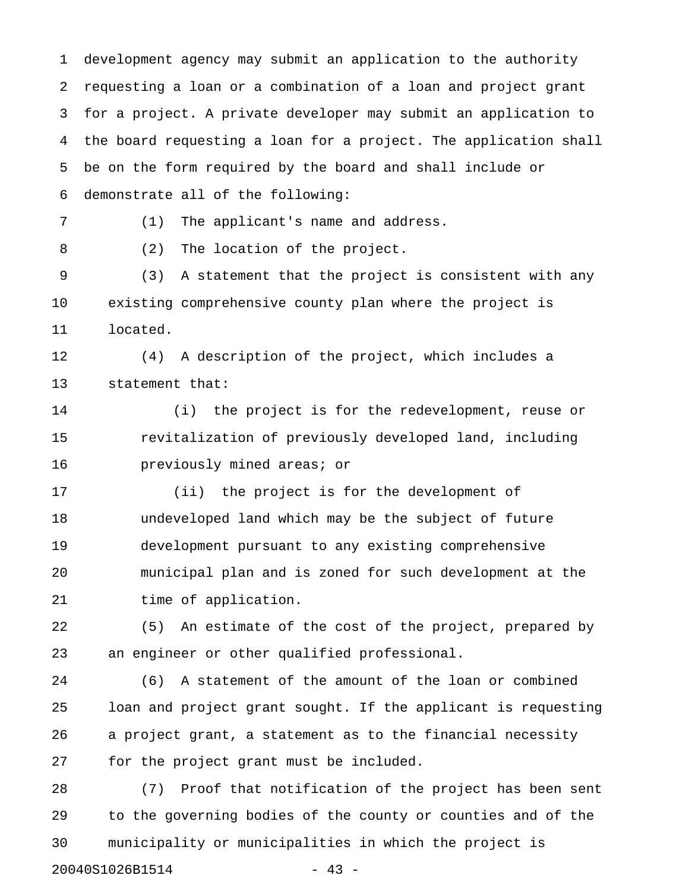1 development agency may submit an application to the authority 2 requesting a loan or a combination of a loan and project grant 3 for a project. A private developer may submit an application to 4 the board requesting a loan for a project. The application shall 5 be on the form required by the board and shall include or 6 demonstrate all of the following: 7 (1) The applicant's name and address. 8 (2) The location of the project. 9 (3) A statement that the project is consistent with any 10 existing comprehensive county plan where the project is 11 located. 12 (4) A description of the project, which includes a 13 statement that: 14 (i) the project is for the redevelopment, reuse or 15 revitalization of previously developed land, including 16 previously mined areas; or 17 (ii) the project is for the development of 18 undeveloped land which may be the subject of future 19 development pursuant to any existing comprehensive 20 municipal plan and is zoned for such development at the 21 time of application. 22 (5) An estimate of the cost of the project, prepared by 23 an engineer or other qualified professional. 24 (6) A statement of the amount of the loan or combined 25 loan and project grant sought. If the applicant is requesting 26 a project grant, a statement as to the financial necessity 27 for the project grant must be included. 28 (7) Proof that notification of the project has been sent 29 to the governing bodies of the county or counties and of the 30 municipality or municipalities in which the project is

20040S1026B1514 - 43 -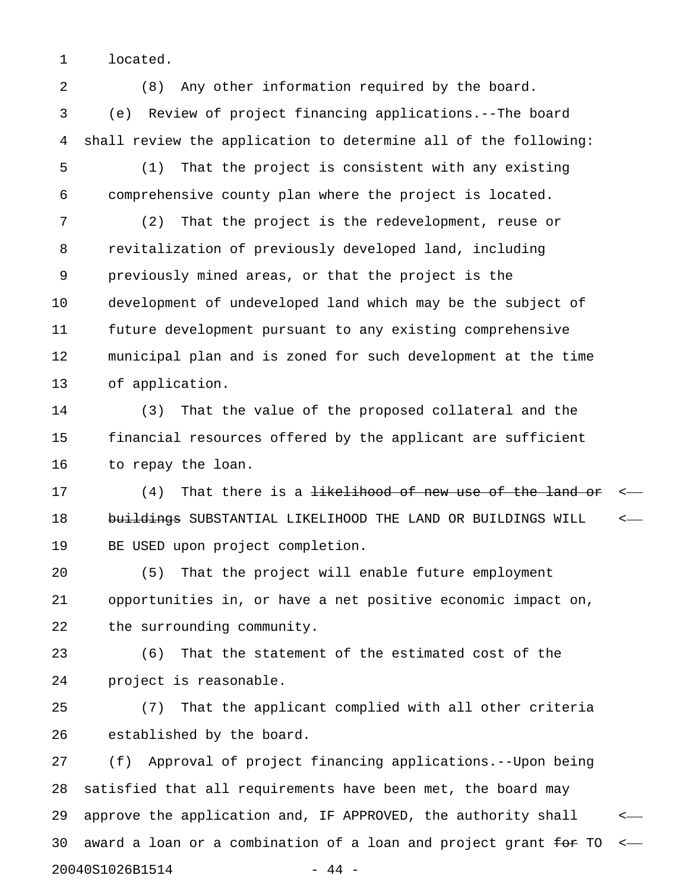1 located.

2 (8) Any other information required by the board. 3 (e) Review of project financing applications.--The board 4 shall review the application to determine all of the following:

5 (1) That the project is consistent with any existing 6 comprehensive county plan where the project is located.

7 (2) That the project is the redevelopment, reuse or 8 revitalization of previously developed land, including 9 previously mined areas, or that the project is the 10 development of undeveloped land which may be the subject of 11 future development pursuant to any existing comprehensive 12 municipal plan and is zoned for such development at the time 13 of application.

14 (3) That the value of the proposed collateral and the 15 financial resources offered by the applicant are sufficient 16 to repay the loan.

17 (4) That there is a <del>likelihood of new use of the land or</del> <-18 buildings SUBSTANTIAL LIKELIHOOD THE LAND OR BUILDINGS WILL <-19 BE USED upon project completion.

20 (5) That the project will enable future employment 21 opportunities in, or have a net positive economic impact on, 22 the surrounding community.

23 (6) That the statement of the estimated cost of the 24 project is reasonable.

25 (7) That the applicant complied with all other criteria 26 established by the board.

27 (f) Approval of project financing applications.--Upon being 28 satisfied that all requirements have been met, the board may 29 approve the application and, IF APPROVED, the authority shall < 30 award a loan or a combination of a loan and project grant  $f$ or TO  $\leftarrow$ 20040S1026B1514 - 44 -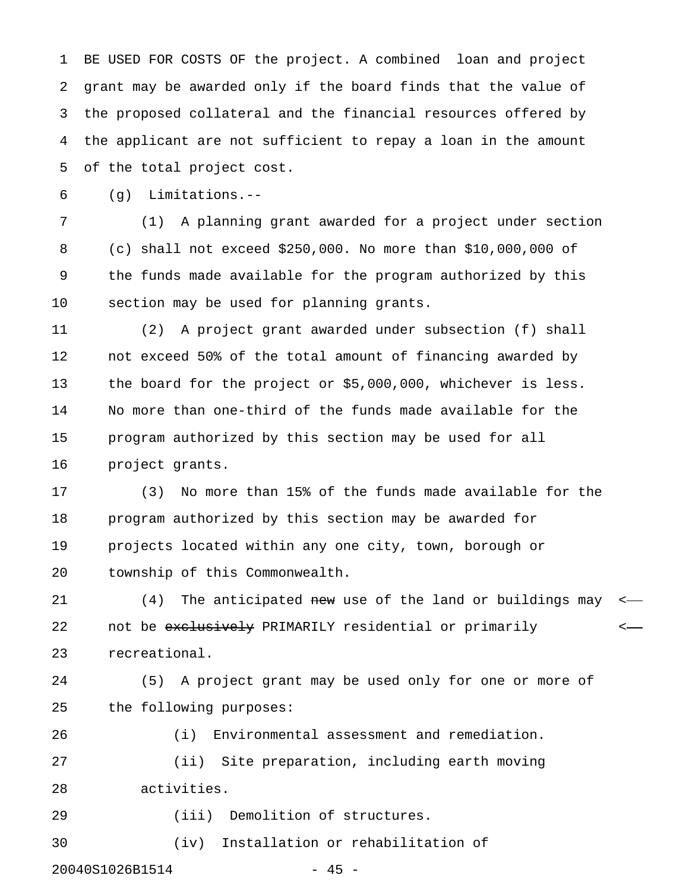1 BE USED FOR COSTS OF the project. A combined loan and project 2 grant may be awarded only if the board finds that the value of 3 the proposed collateral and the financial resources offered by 4 the applicant are not sufficient to repay a loan in the amount 5 of the total project cost.

6 (g) Limitations.--

7 (1) A planning grant awarded for a project under section 8 (c) shall not exceed \$250,000. No more than \$10,000,000 of 9 the funds made available for the program authorized by this 10 section may be used for planning grants.

11 (2) A project grant awarded under subsection (f) shall 12 not exceed 50% of the total amount of financing awarded by 13 the board for the project or \$5,000,000, whichever is less. 14 No more than one-third of the funds made available for the 15 program authorized by this section may be used for all 16 project grants.

17 (3) No more than 15% of the funds made available for the 18 program authorized by this section may be awarded for 19 projects located within any one city, town, borough or 20 township of this Commonwealth.

21 (4) The anticipated new use of the land or buildings may  $\leftarrow$ 22 not be exclusively PRIMARILY residential or primarily  $\leftarrow$ 23 recreational.

24 (5) A project grant may be used only for one or more of 25 the following purposes:

26 (i) Environmental assessment and remediation. 27 (ii) Site preparation, including earth moving 28 activities.

29 (iii) Demolition of structures.

30 (iv) Installation or rehabilitation of

20040S1026B1514 - 45 -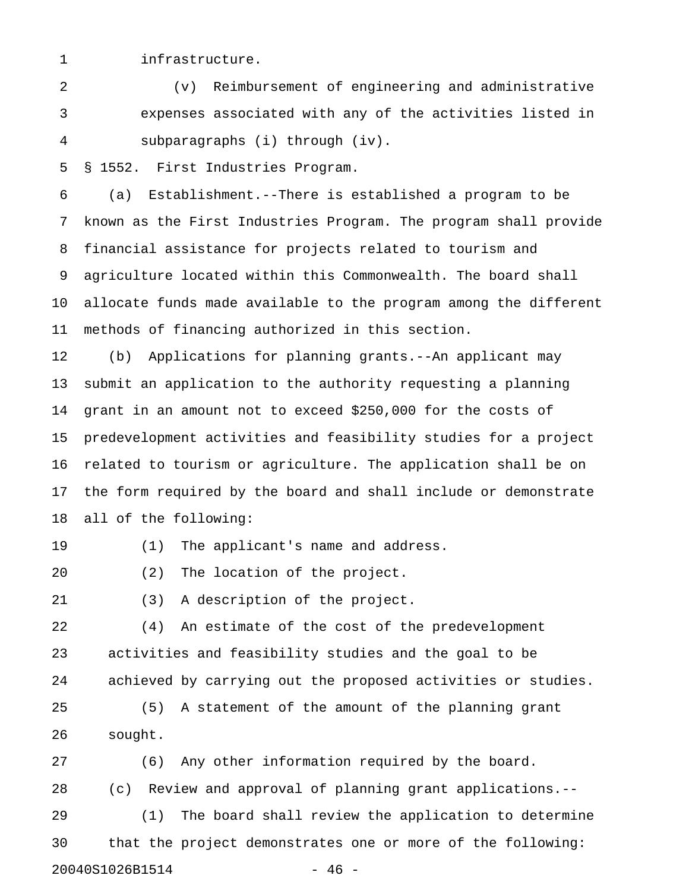#### 1 infrastructure.

2 (v) Reimbursement of engineering and administrative 3 expenses associated with any of the activities listed in 4 subparagraphs (i) through (iv).

5 § 1552. First Industries Program.

6 (a) Establishment.--There is established a program to be 7 known as the First Industries Program. The program shall provide 8 financial assistance for projects related to tourism and 9 agriculture located within this Commonwealth. The board shall 10 allocate funds made available to the program among the different 11 methods of financing authorized in this section.

12 (b) Applications for planning grants.--An applicant may 13 submit an application to the authority requesting a planning 14 grant in an amount not to exceed \$250,000 for the costs of 15 predevelopment activities and feasibility studies for a project 16 related to tourism or agriculture. The application shall be on 17 the form required by the board and shall include or demonstrate 18 all of the following:

19 (1) The applicant's name and address.

20 (2) The location of the project.

21 (3) A description of the project.

22 (4) An estimate of the cost of the predevelopment 23 activities and feasibility studies and the goal to be 24 achieved by carrying out the proposed activities or studies.

25 (5) A statement of the amount of the planning grant 26 sought.

27 (6) Any other information required by the board. 28 (c) Review and approval of planning grant applications.-- 29 (1) The board shall review the application to determine 30 that the project demonstrates one or more of the following: 20040S1026B1514 - 46 -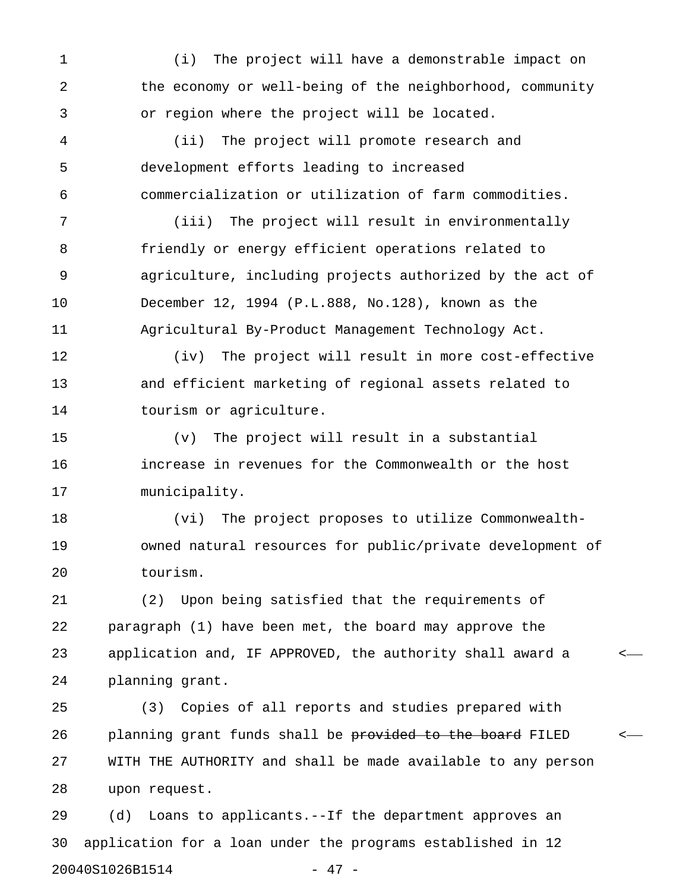1 (i) The project will have a demonstrable impact on 2 the economy or well-being of the neighborhood, community 3 or region where the project will be located.

4 (ii) The project will promote research and 5 development efforts leading to increased 6 commercialization or utilization of farm commodities.

7 (iii) The project will result in environmentally 8 friendly or energy efficient operations related to 9 agriculture, including projects authorized by the act of 10 December 12, 1994 (P.L.888, No.128), known as the 11 Agricultural By-Product Management Technology Act.

12 (iv) The project will result in more cost-effective 13 and efficient marketing of regional assets related to 14 tourism or agriculture.

15 (v) The project will result in a substantial 16 increase in revenues for the Commonwealth or the host 17 municipality.

18 (vi) The project proposes to utilize Commonwealth-19 owned natural resources for public/private development of 20 tourism.

21 (2) Upon being satisfied that the requirements of 22 paragraph (1) have been met, the board may approve the 23 application and, IF APPROVED, the authority shall award a < 24 planning grant.

25 (3) Copies of all reports and studies prepared with 26 planning grant funds shall be provided to the board FILED <-27 WITH THE AUTHORITY and shall be made available to any person 28 upon request.

29 (d) Loans to applicants.--If the department approves an 30 application for a loan under the programs established in 12 20040S1026B1514 - 47 -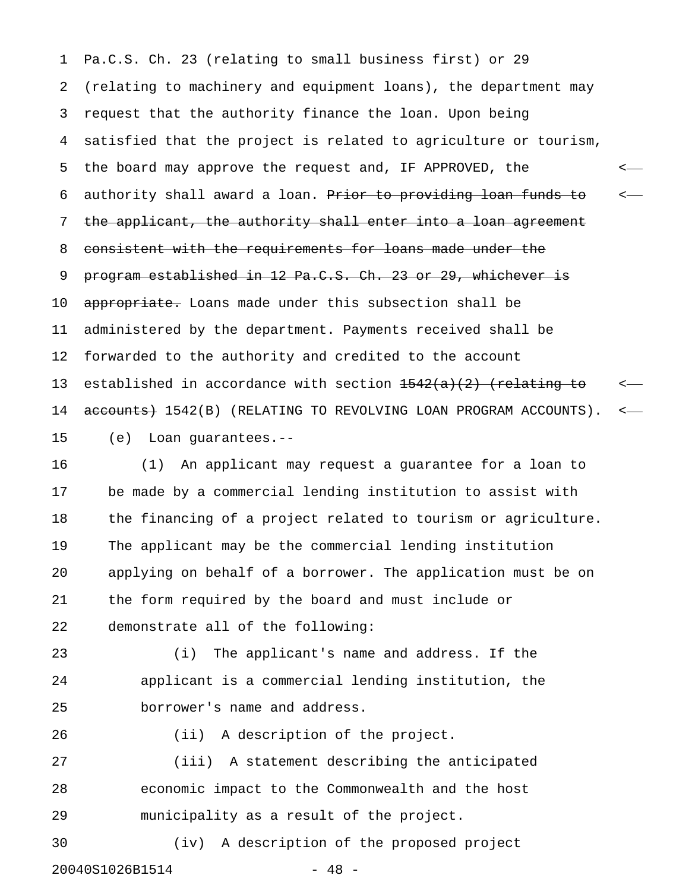1 Pa.C.S. Ch. 23 (relating to small business first) or 29 2 (relating to machinery and equipment loans), the department may 3 request that the authority finance the loan. Upon being 4 satisfied that the project is related to agriculture or tourism, 5 the board may approve the request and, IF APPROVED, the < 6 authority shall award a loan. Prior to providing loan funds to  $\sim$ 7 the applicant, the authority shall enter into a loan agreement 8 consistent with the requirements for loans made under the 9 program established in 12 Pa.C.S. Ch. 23 or 29, whichever is 10 appropriate. Loans made under this subsection shall be 11 administered by the department. Payments received shall be 12 forwarded to the authority and credited to the account 13 established in accordance with section  $1542(a)(2)$  (relating to  $\sim$ 14 accounts + 1542(B) (RELATING TO REVOLVING LOAN PROGRAM ACCOUNTS). <-15 (e) Loan guarantees.--

16 (1) An applicant may request a guarantee for a loan to 17 be made by a commercial lending institution to assist with 18 the financing of a project related to tourism or agriculture. 19 The applicant may be the commercial lending institution 20 applying on behalf of a borrower. The application must be on 21 the form required by the board and must include or 22 demonstrate all of the following:

23 (i) The applicant's name and address. If the 24 applicant is a commercial lending institution, the 25 borrower's name and address.

27 (iii) A statement describing the anticipated 28 economic impact to the Commonwealth and the host 29 municipality as a result of the project.

26 (ii) A description of the project.

30 (iv) A description of the proposed project 20040S1026B1514 - 48 -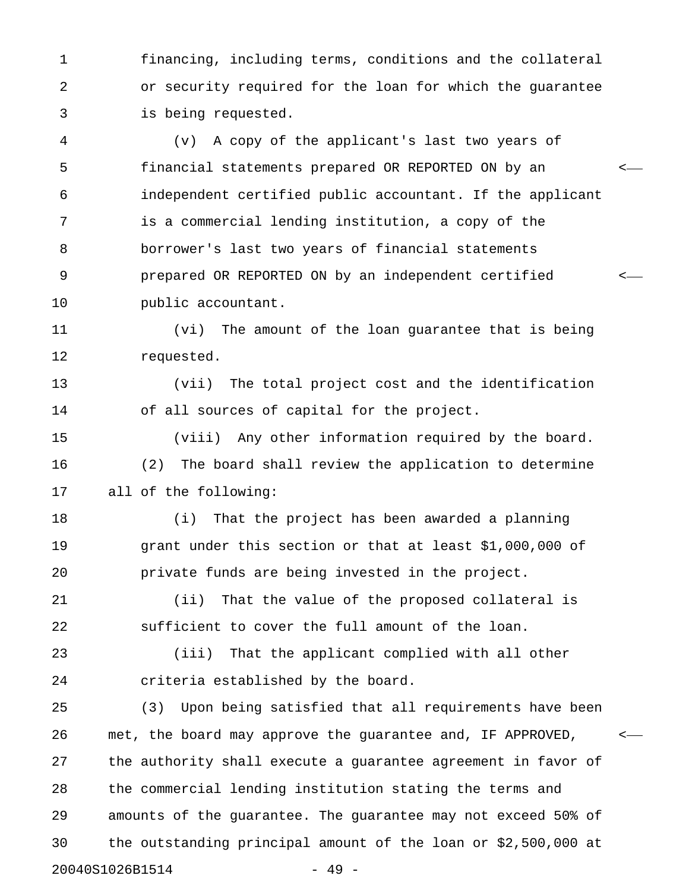1 financing, including terms, conditions and the collateral 2 or security required for the loan for which the guarantee 3 is being requested.

4 (v) A copy of the applicant's last two years of 5 financial statements prepared OR REPORTED ON by an < 6 independent certified public accountant. If the applicant 7 is a commercial lending institution, a copy of the 8 borrower's last two years of financial statements 9 prepared OR REPORTED ON by an independent certified < 10 public accountant.

11 (vi) The amount of the loan guarantee that is being 12 requested.

13 (vii) The total project cost and the identification 14 of all sources of capital for the project.

15 (viii) Any other information required by the board. 16 (2) The board shall review the application to determine 17 all of the following:

18 (i) That the project has been awarded a planning 19 grant under this section or that at least \$1,000,000 of 20 private funds are being invested in the project.

21 (ii) That the value of the proposed collateral is 22 sufficient to cover the full amount of the loan.

23 (iii) That the applicant complied with all other 24 criteria established by the board.

25 (3) Upon being satisfied that all requirements have been 26 met, the board may approve the guarantee and, IF APPROVED, < 27 the authority shall execute a guarantee agreement in favor of 28 the commercial lending institution stating the terms and 29 amounts of the guarantee. The guarantee may not exceed 50% of 30 the outstanding principal amount of the loan or \$2,500,000 at 20040S1026B1514 - 49 -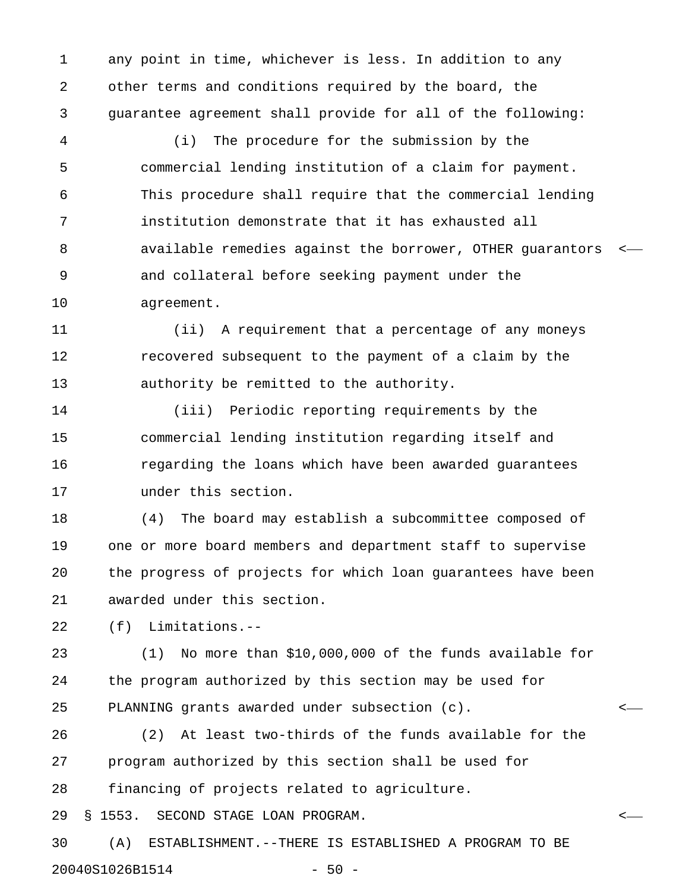1 any point in time, whichever is less. In addition to any 2 other terms and conditions required by the board, the 3 guarantee agreement shall provide for all of the following:

4 (i) The procedure for the submission by the 5 commercial lending institution of a claim for payment. 6 This procedure shall require that the commercial lending 7 institution demonstrate that it has exhausted all 8 available remedies against the borrower, OTHER guarantors < 9 and collateral before seeking payment under the 10 agreement.

11 (ii) A requirement that a percentage of any moneys 12 recovered subsequent to the payment of a claim by the 13 authority be remitted to the authority.

14 (iii) Periodic reporting requirements by the 15 commercial lending institution regarding itself and 16 regarding the loans which have been awarded guarantees 17 under this section.

18 (4) The board may establish a subcommittee composed of 19 one or more board members and department staff to supervise 20 the progress of projects for which loan guarantees have been 21 awarded under this section.

22 (f) Limitations.--

23 (1) No more than \$10,000,000 of the funds available for 24 the program authorized by this section may be used for 25 PLANNING grants awarded under subsection (c). <

26 (2) At least two-thirds of the funds available for the 27 program authorized by this section shall be used for 28 financing of projects related to agriculture.

29 § 1553. SECOND STAGE LOAN PROGRAM. <

30 (A) ESTABLISHMENT.--THERE IS ESTABLISHED A PROGRAM TO BE 20040S1026B1514 - 50 -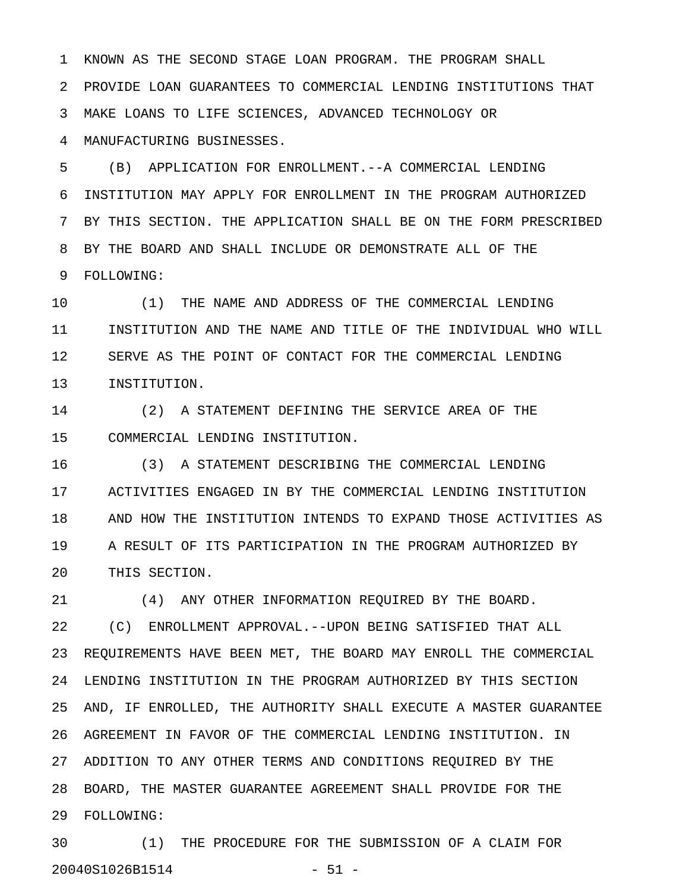1 KNOWN AS THE SECOND STAGE LOAN PROGRAM. THE PROGRAM SHALL 2 PROVIDE LOAN GUARANTEES TO COMMERCIAL LENDING INSTITUTIONS THAT 3 MAKE LOANS TO LIFE SCIENCES, ADVANCED TECHNOLOGY OR 4 MANUFACTURING BUSINESSES.

5 (B) APPLICATION FOR ENROLLMENT.--A COMMERCIAL LENDING 6 INSTITUTION MAY APPLY FOR ENROLLMENT IN THE PROGRAM AUTHORIZED 7 BY THIS SECTION. THE APPLICATION SHALL BE ON THE FORM PRESCRIBED 8 BY THE BOARD AND SHALL INCLUDE OR DEMONSTRATE ALL OF THE 9 FOLLOWING:

10 (1) THE NAME AND ADDRESS OF THE COMMERCIAL LENDING 11 INSTITUTION AND THE NAME AND TITLE OF THE INDIVIDUAL WHO WILL 12 SERVE AS THE POINT OF CONTACT FOR THE COMMERCIAL LENDING 13 INSTITUTION.

14 (2) A STATEMENT DEFINING THE SERVICE AREA OF THE 15 COMMERCIAL LENDING INSTITUTION.

16 (3) A STATEMENT DESCRIBING THE COMMERCIAL LENDING 17 ACTIVITIES ENGAGED IN BY THE COMMERCIAL LENDING INSTITUTION 18 AND HOW THE INSTITUTION INTENDS TO EXPAND THOSE ACTIVITIES AS 19 A RESULT OF ITS PARTICIPATION IN THE PROGRAM AUTHORIZED BY 20 THIS SECTION.

21 (4) ANY OTHER INFORMATION REQUIRED BY THE BOARD.

22 (C) ENROLLMENT APPROVAL.--UPON BEING SATISFIED THAT ALL 23 REQUIREMENTS HAVE BEEN MET, THE BOARD MAY ENROLL THE COMMERCIAL 24 LENDING INSTITUTION IN THE PROGRAM AUTHORIZED BY THIS SECTION 25 AND, IF ENROLLED, THE AUTHORITY SHALL EXECUTE A MASTER GUARANTEE 26 AGREEMENT IN FAVOR OF THE COMMERCIAL LENDING INSTITUTION. IN 27 ADDITION TO ANY OTHER TERMS AND CONDITIONS REQUIRED BY THE 28 BOARD, THE MASTER GUARANTEE AGREEMENT SHALL PROVIDE FOR THE 29 FOLLOWING:

30 (1) THE PROCEDURE FOR THE SUBMISSION OF A CLAIM FOR 20040S1026B1514 - 51 -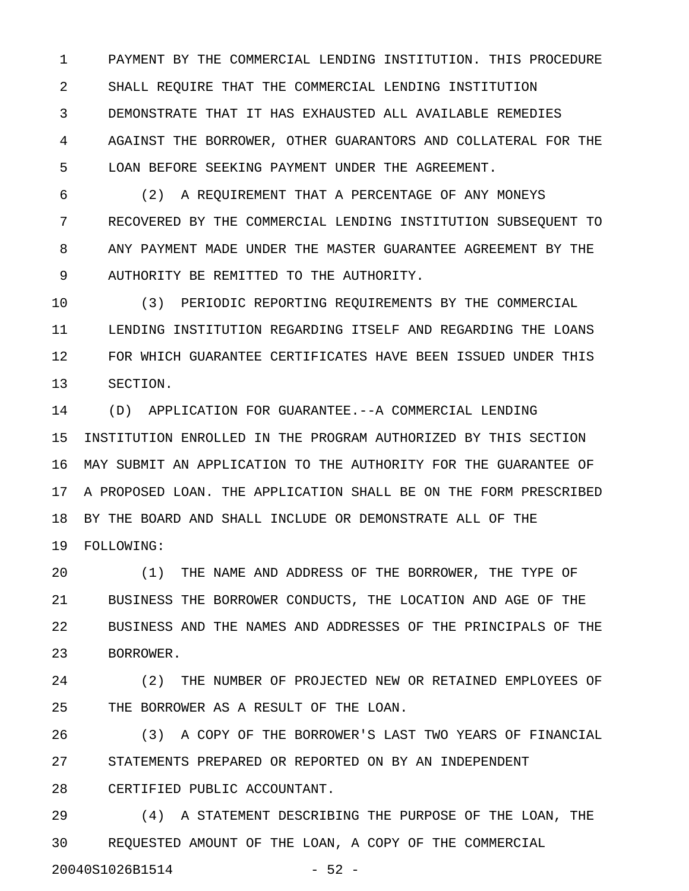1 PAYMENT BY THE COMMERCIAL LENDING INSTITUTION. THIS PROCEDURE 2 SHALL REQUIRE THAT THE COMMERCIAL LENDING INSTITUTION 3 DEMONSTRATE THAT IT HAS EXHAUSTED ALL AVAILABLE REMEDIES 4 AGAINST THE BORROWER, OTHER GUARANTORS AND COLLATERAL FOR THE 5 LOAN BEFORE SEEKING PAYMENT UNDER THE AGREEMENT.

6 (2) A REQUIREMENT THAT A PERCENTAGE OF ANY MONEYS 7 RECOVERED BY THE COMMERCIAL LENDING INSTITUTION SUBSEQUENT TO 8 ANY PAYMENT MADE UNDER THE MASTER GUARANTEE AGREEMENT BY THE 9 AUTHORITY BE REMITTED TO THE AUTHORITY.

10 (3) PERIODIC REPORTING REQUIREMENTS BY THE COMMERCIAL 11 LENDING INSTITUTION REGARDING ITSELF AND REGARDING THE LOANS 12 FOR WHICH GUARANTEE CERTIFICATES HAVE BEEN ISSUED UNDER THIS 13 SECTION.

14 (D) APPLICATION FOR GUARANTEE.--A COMMERCIAL LENDING 15 INSTITUTION ENROLLED IN THE PROGRAM AUTHORIZED BY THIS SECTION 16 MAY SUBMIT AN APPLICATION TO THE AUTHORITY FOR THE GUARANTEE OF 17 A PROPOSED LOAN. THE APPLICATION SHALL BE ON THE FORM PRESCRIBED 18 BY THE BOARD AND SHALL INCLUDE OR DEMONSTRATE ALL OF THE 19 FOLLOWING:

20 (1) THE NAME AND ADDRESS OF THE BORROWER, THE TYPE OF 21 BUSINESS THE BORROWER CONDUCTS, THE LOCATION AND AGE OF THE 22 BUSINESS AND THE NAMES AND ADDRESSES OF THE PRINCIPALS OF THE 23 BORROWER.

24 (2) THE NUMBER OF PROJECTED NEW OR RETAINED EMPLOYEES OF 25 THE BORROWER AS A RESULT OF THE LOAN.

26 (3) A COPY OF THE BORROWER'S LAST TWO YEARS OF FINANCIAL 27 STATEMENTS PREPARED OR REPORTED ON BY AN INDEPENDENT

28 CERTIFIED PUBLIC ACCOUNTANT.

29 (4) A STATEMENT DESCRIBING THE PURPOSE OF THE LOAN, THE 30 REQUESTED AMOUNT OF THE LOAN, A COPY OF THE COMMERCIAL

20040S1026B1514 - 52 -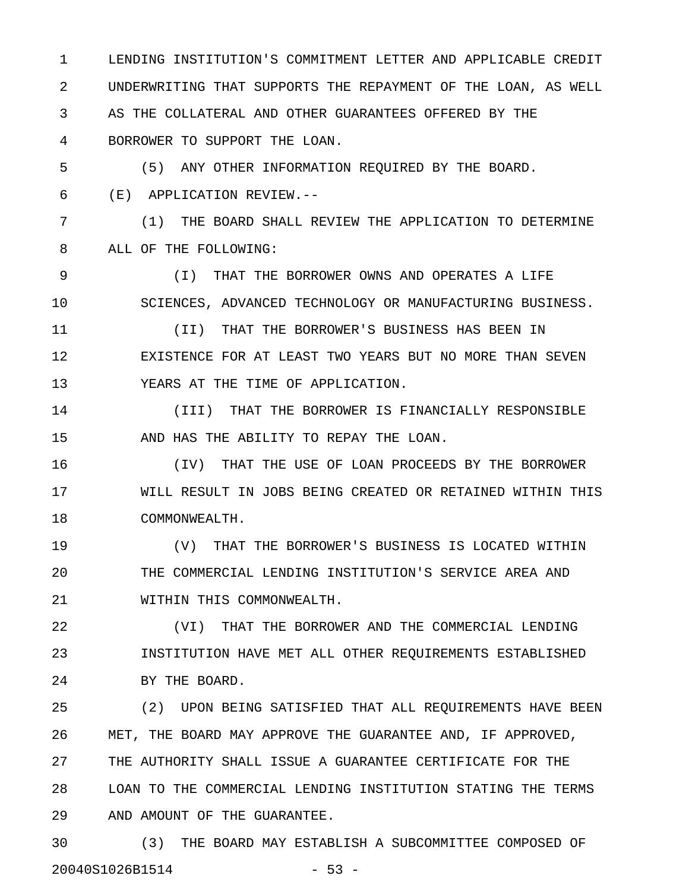1 LENDING INSTITUTION'S COMMITMENT LETTER AND APPLICABLE CREDIT 2 UNDERWRITING THAT SUPPORTS THE REPAYMENT OF THE LOAN, AS WELL 3 AS THE COLLATERAL AND OTHER GUARANTEES OFFERED BY THE 4 BORROWER TO SUPPORT THE LOAN.

5 (5) ANY OTHER INFORMATION REQUIRED BY THE BOARD. 6 (E) APPLICATION REVIEW.--

7 (1) THE BOARD SHALL REVIEW THE APPLICATION TO DETERMINE 8 ALL OF THE FOLLOWING:

9 (I) THAT THE BORROWER OWNS AND OPERATES A LIFE 10 SCIENCES, ADVANCED TECHNOLOGY OR MANUFACTURING BUSINESS.

11 (II) THAT THE BORROWER'S BUSINESS HAS BEEN IN 12 EXISTENCE FOR AT LEAST TWO YEARS BUT NO MORE THAN SEVEN 13 YEARS AT THE TIME OF APPLICATION.

14 (III) THAT THE BORROWER IS FINANCIALLY RESPONSIBLE 15 AND HAS THE ABILITY TO REPAY THE LOAN.

16 (IV) THAT THE USE OF LOAN PROCEEDS BY THE BORROWER 17 WILL RESULT IN JOBS BEING CREATED OR RETAINED WITHIN THIS 18 COMMONWEALTH.

19 (V) THAT THE BORROWER'S BUSINESS IS LOCATED WITHIN 20 THE COMMERCIAL LENDING INSTITUTION'S SERVICE AREA AND 21 WITHIN THIS COMMONWEALTH.

22 (VI) THAT THE BORROWER AND THE COMMERCIAL LENDING 23 INSTITUTION HAVE MET ALL OTHER REQUIREMENTS ESTABLISHED 24 BY THE BOARD.

25 (2) UPON BEING SATISFIED THAT ALL REQUIREMENTS HAVE BEEN 26 MET, THE BOARD MAY APPROVE THE GUARANTEE AND, IF APPROVED, 27 THE AUTHORITY SHALL ISSUE A GUARANTEE CERTIFICATE FOR THE 28 LOAN TO THE COMMERCIAL LENDING INSTITUTION STATING THE TERMS 29 AND AMOUNT OF THE GUARANTEE.

30 (3) THE BOARD MAY ESTABLISH A SUBCOMMITTEE COMPOSED OF 20040S1026B1514 - 53 -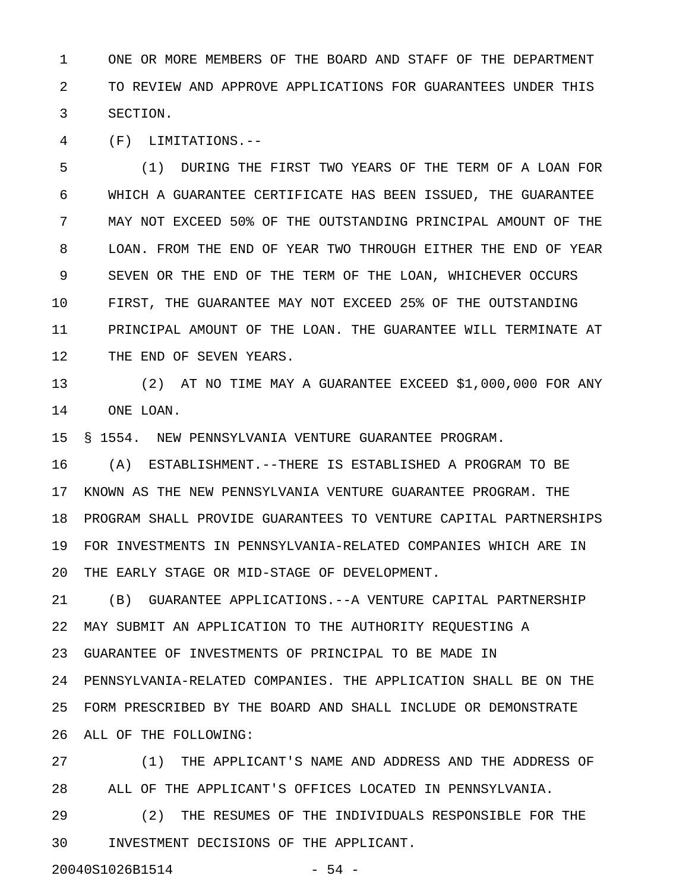1 ONE OR MORE MEMBERS OF THE BOARD AND STAFF OF THE DEPARTMENT 2 TO REVIEW AND APPROVE APPLICATIONS FOR GUARANTEES UNDER THIS 3 SECTION.

4 (F) LIMITATIONS.--

5 (1) DURING THE FIRST TWO YEARS OF THE TERM OF A LOAN FOR 6 WHICH A GUARANTEE CERTIFICATE HAS BEEN ISSUED, THE GUARANTEE 7 MAY NOT EXCEED 50% OF THE OUTSTANDING PRINCIPAL AMOUNT OF THE 8 LOAN. FROM THE END OF YEAR TWO THROUGH EITHER THE END OF YEAR 9 SEVEN OR THE END OF THE TERM OF THE LOAN, WHICHEVER OCCURS 10 FIRST, THE GUARANTEE MAY NOT EXCEED 25% OF THE OUTSTANDING 11 PRINCIPAL AMOUNT OF THE LOAN. THE GUARANTEE WILL TERMINATE AT 12 THE END OF SEVEN YEARS.

13 (2) AT NO TIME MAY A GUARANTEE EXCEED \$1,000,000 FOR ANY 14 ONE LOAN.

15 § 1554. NEW PENNSYLVANIA VENTURE GUARANTEE PROGRAM.

16 (A) ESTABLISHMENT.--THERE IS ESTABLISHED A PROGRAM TO BE 17 KNOWN AS THE NEW PENNSYLVANIA VENTURE GUARANTEE PROGRAM. THE 18 PROGRAM SHALL PROVIDE GUARANTEES TO VENTURE CAPITAL PARTNERSHIPS 19 FOR INVESTMENTS IN PENNSYLVANIA-RELATED COMPANIES WHICH ARE IN 20 THE EARLY STAGE OR MID-STAGE OF DEVELOPMENT.

21 (B) GUARANTEE APPLICATIONS.--A VENTURE CAPITAL PARTNERSHIP 22 MAY SUBMIT AN APPLICATION TO THE AUTHORITY REQUESTING A 23 GUARANTEE OF INVESTMENTS OF PRINCIPAL TO BE MADE IN 24 PENNSYLVANIA-RELATED COMPANIES. THE APPLICATION SHALL BE ON THE 25 FORM PRESCRIBED BY THE BOARD AND SHALL INCLUDE OR DEMONSTRATE 26 ALL OF THE FOLLOWING:

27 (1) THE APPLICANT'S NAME AND ADDRESS AND THE ADDRESS OF 28 ALL OF THE APPLICANT'S OFFICES LOCATED IN PENNSYLVANIA.

29 (2) THE RESUMES OF THE INDIVIDUALS RESPONSIBLE FOR THE 30 INVESTMENT DECISIONS OF THE APPLICANT.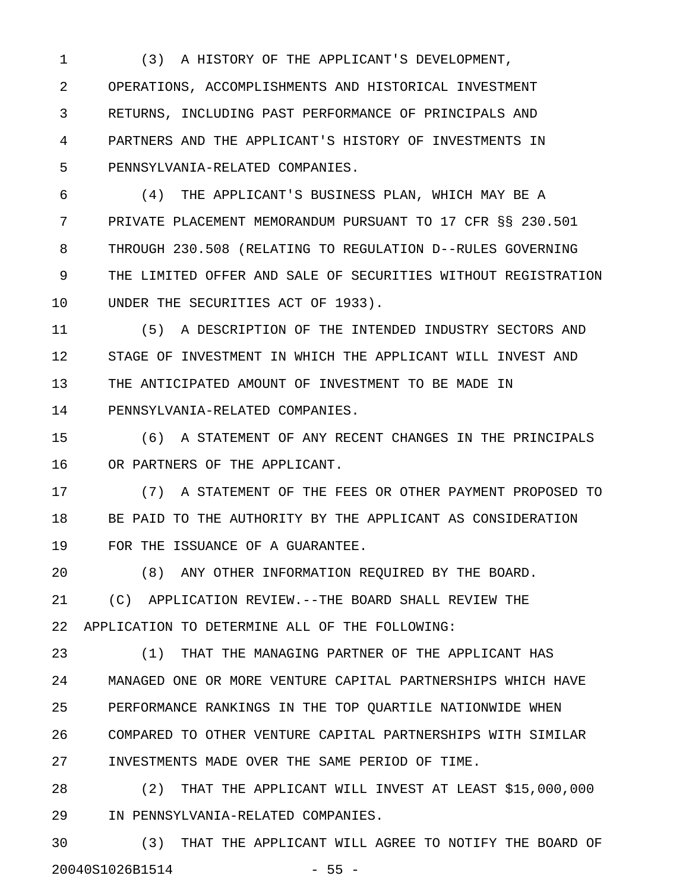1 (3) A HISTORY OF THE APPLICANT'S DEVELOPMENT, 2 OPERATIONS, ACCOMPLISHMENTS AND HISTORICAL INVESTMENT 3 RETURNS, INCLUDING PAST PERFORMANCE OF PRINCIPALS AND 4 PARTNERS AND THE APPLICANT'S HISTORY OF INVESTMENTS IN 5 PENNSYLVANIA-RELATED COMPANIES.

6 (4) THE APPLICANT'S BUSINESS PLAN, WHICH MAY BE A 7 PRIVATE PLACEMENT MEMORANDUM PURSUANT TO 17 CFR §§ 230.501 8 THROUGH 230.508 (RELATING TO REGULATION D--RULES GOVERNING 9 THE LIMITED OFFER AND SALE OF SECURITIES WITHOUT REGISTRATION 10 UNDER THE SECURITIES ACT OF 1933).

11 (5) A DESCRIPTION OF THE INTENDED INDUSTRY SECTORS AND 12 STAGE OF INVESTMENT IN WHICH THE APPLICANT WILL INVEST AND 13 THE ANTICIPATED AMOUNT OF INVESTMENT TO BE MADE IN 14 PENNSYLVANIA-RELATED COMPANIES.

15 (6) A STATEMENT OF ANY RECENT CHANGES IN THE PRINCIPALS 16 OR PARTNERS OF THE APPLICANT.

17 (7) A STATEMENT OF THE FEES OR OTHER PAYMENT PROPOSED TO 18 BE PAID TO THE AUTHORITY BY THE APPLICANT AS CONSIDERATION 19 FOR THE ISSUANCE OF A GUARANTEE.

20 (8) ANY OTHER INFORMATION REQUIRED BY THE BOARD.

21 (C) APPLICATION REVIEW.--THE BOARD SHALL REVIEW THE 22 APPLICATION TO DETERMINE ALL OF THE FOLLOWING:

23 (1) THAT THE MANAGING PARTNER OF THE APPLICANT HAS 24 MANAGED ONE OR MORE VENTURE CAPITAL PARTNERSHIPS WHICH HAVE 25 PERFORMANCE RANKINGS IN THE TOP QUARTILE NATIONWIDE WHEN 26 COMPARED TO OTHER VENTURE CAPITAL PARTNERSHIPS WITH SIMILAR 27 INVESTMENTS MADE OVER THE SAME PERIOD OF TIME.

28 (2) THAT THE APPLICANT WILL INVEST AT LEAST \$15,000,000 29 IN PENNSYLVANIA-RELATED COMPANIES.

30 (3) THAT THE APPLICANT WILL AGREE TO NOTIFY THE BOARD OF 20040S1026B1514 - 55 -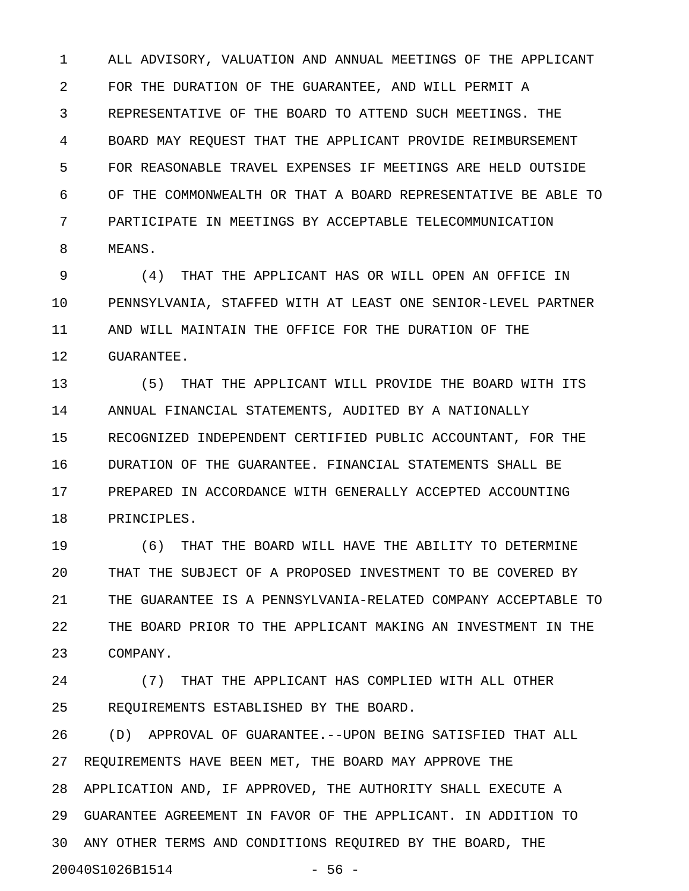1 ALL ADVISORY, VALUATION AND ANNUAL MEETINGS OF THE APPLICANT 2 FOR THE DURATION OF THE GUARANTEE, AND WILL PERMIT A 3 REPRESENTATIVE OF THE BOARD TO ATTEND SUCH MEETINGS. THE 4 BOARD MAY REQUEST THAT THE APPLICANT PROVIDE REIMBURSEMENT 5 FOR REASONABLE TRAVEL EXPENSES IF MEETINGS ARE HELD OUTSIDE 6 OF THE COMMONWEALTH OR THAT A BOARD REPRESENTATIVE BE ABLE TO 7 PARTICIPATE IN MEETINGS BY ACCEPTABLE TELECOMMUNICATION 8 MEANS.

9 (4) THAT THE APPLICANT HAS OR WILL OPEN AN OFFICE IN 10 PENNSYLVANIA, STAFFED WITH AT LEAST ONE SENIOR-LEVEL PARTNER 11 AND WILL MAINTAIN THE OFFICE FOR THE DURATION OF THE 12 GUARANTEE.

13 (5) THAT THE APPLICANT WILL PROVIDE THE BOARD WITH ITS 14 ANNUAL FINANCIAL STATEMENTS, AUDITED BY A NATIONALLY 15 RECOGNIZED INDEPENDENT CERTIFIED PUBLIC ACCOUNTANT, FOR THE 16 DURATION OF THE GUARANTEE. FINANCIAL STATEMENTS SHALL BE 17 PREPARED IN ACCORDANCE WITH GENERALLY ACCEPTED ACCOUNTING 18 PRINCIPLES.

19 (6) THAT THE BOARD WILL HAVE THE ABILITY TO DETERMINE 20 THAT THE SUBJECT OF A PROPOSED INVESTMENT TO BE COVERED BY 21 THE GUARANTEE IS A PENNSYLVANIA-RELATED COMPANY ACCEPTABLE TO 22 THE BOARD PRIOR TO THE APPLICANT MAKING AN INVESTMENT IN THE 23 COMPANY.

24 (7) THAT THE APPLICANT HAS COMPLIED WITH ALL OTHER 25 REQUIREMENTS ESTABLISHED BY THE BOARD.

26 (D) APPROVAL OF GUARANTEE.--UPON BEING SATISFIED THAT ALL 27 REQUIREMENTS HAVE BEEN MET, THE BOARD MAY APPROVE THE 28 APPLICATION AND, IF APPROVED, THE AUTHORITY SHALL EXECUTE A 29 GUARANTEE AGREEMENT IN FAVOR OF THE APPLICANT. IN ADDITION TO 30 ANY OTHER TERMS AND CONDITIONS REQUIRED BY THE BOARD, THE 20040S1026B1514 - 56 -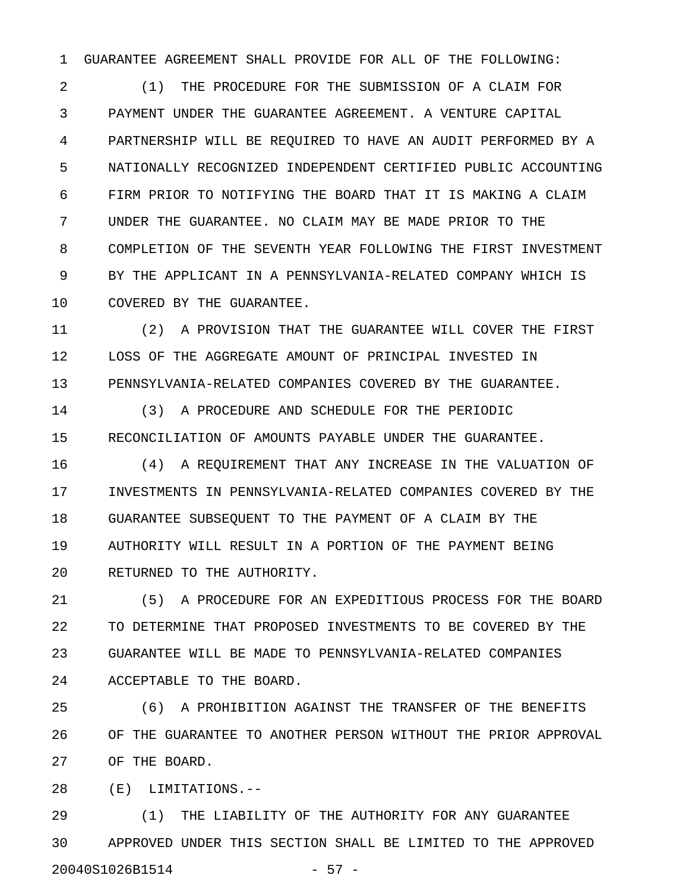1 GUARANTEE AGREEMENT SHALL PROVIDE FOR ALL OF THE FOLLOWING:

2 (1) THE PROCEDURE FOR THE SUBMISSION OF A CLAIM FOR 3 PAYMENT UNDER THE GUARANTEE AGREEMENT. A VENTURE CAPITAL 4 PARTNERSHIP WILL BE REQUIRED TO HAVE AN AUDIT PERFORMED BY A 5 NATIONALLY RECOGNIZED INDEPENDENT CERTIFIED PUBLIC ACCOUNTING 6 FIRM PRIOR TO NOTIFYING THE BOARD THAT IT IS MAKING A CLAIM 7 UNDER THE GUARANTEE. NO CLAIM MAY BE MADE PRIOR TO THE 8 COMPLETION OF THE SEVENTH YEAR FOLLOWING THE FIRST INVESTMENT 9 BY THE APPLICANT IN A PENNSYLVANIA-RELATED COMPANY WHICH IS 10 COVERED BY THE GUARANTEE.

11 (2) A PROVISION THAT THE GUARANTEE WILL COVER THE FIRST 12 LOSS OF THE AGGREGATE AMOUNT OF PRINCIPAL INVESTED IN 13 PENNSYLVANIA-RELATED COMPANIES COVERED BY THE GUARANTEE.

14 (3) A PROCEDURE AND SCHEDULE FOR THE PERIODIC 15 RECONCILIATION OF AMOUNTS PAYABLE UNDER THE GUARANTEE.

16 (4) A REQUIREMENT THAT ANY INCREASE IN THE VALUATION OF 17 INVESTMENTS IN PENNSYLVANIA-RELATED COMPANIES COVERED BY THE 18 GUARANTEE SUBSEQUENT TO THE PAYMENT OF A CLAIM BY THE 19 AUTHORITY WILL RESULT IN A PORTION OF THE PAYMENT BEING 20 RETURNED TO THE AUTHORITY.

21 (5) A PROCEDURE FOR AN EXPEDITIOUS PROCESS FOR THE BOARD 22 TO DETERMINE THAT PROPOSED INVESTMENTS TO BE COVERED BY THE 23 GUARANTEE WILL BE MADE TO PENNSYLVANIA-RELATED COMPANIES 24 ACCEPTABLE TO THE BOARD.

25 (6) A PROHIBITION AGAINST THE TRANSFER OF THE BENEFITS 26 OF THE GUARANTEE TO ANOTHER PERSON WITHOUT THE PRIOR APPROVAL 27 OF THE BOARD.

28 (E) LIMITATIONS.--

29 (1) THE LIABILITY OF THE AUTHORITY FOR ANY GUARANTEE 30 APPROVED UNDER THIS SECTION SHALL BE LIMITED TO THE APPROVED 20040S1026B1514 - 57 -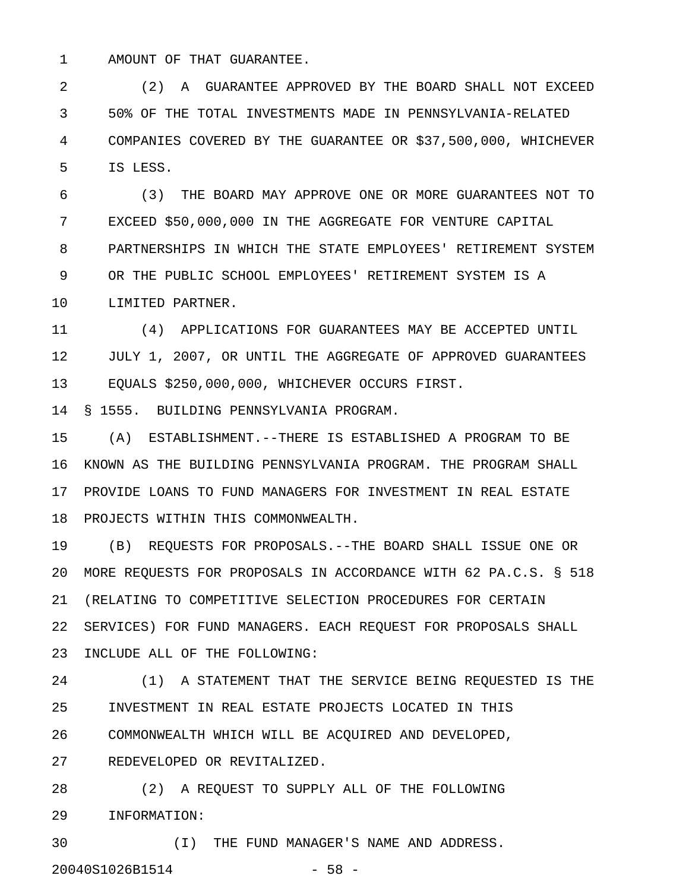1 AMOUNT OF THAT GUARANTEE.

2 (2) A GUARANTEE APPROVED BY THE BOARD SHALL NOT EXCEED 3 50% OF THE TOTAL INVESTMENTS MADE IN PENNSYLVANIA-RELATED 4 COMPANIES COVERED BY THE GUARANTEE OR \$37,500,000, WHICHEVER 5 IS LESS.

6 (3) THE BOARD MAY APPROVE ONE OR MORE GUARANTEES NOT TO 7 EXCEED \$50,000,000 IN THE AGGREGATE FOR VENTURE CAPITAL 8 PARTNERSHIPS IN WHICH THE STATE EMPLOYEES' RETIREMENT SYSTEM 9 OR THE PUBLIC SCHOOL EMPLOYEES' RETIREMENT SYSTEM IS A 10 LIMITED PARTNER.

11 (4) APPLICATIONS FOR GUARANTEES MAY BE ACCEPTED UNTIL 12 JULY 1, 2007, OR UNTIL THE AGGREGATE OF APPROVED GUARANTEES 13 EQUALS \$250,000,000, WHICHEVER OCCURS FIRST.

14 § 1555. BUILDING PENNSYLVANIA PROGRAM.

15 (A) ESTABLISHMENT.--THERE IS ESTABLISHED A PROGRAM TO BE 16 KNOWN AS THE BUILDING PENNSYLVANIA PROGRAM. THE PROGRAM SHALL 17 PROVIDE LOANS TO FUND MANAGERS FOR INVESTMENT IN REAL ESTATE 18 PROJECTS WITHIN THIS COMMONWEALTH.

19 (B) REQUESTS FOR PROPOSALS.--THE BOARD SHALL ISSUE ONE OR 20 MORE REQUESTS FOR PROPOSALS IN ACCORDANCE WITH 62 PA.C.S. § 518 21 (RELATING TO COMPETITIVE SELECTION PROCEDURES FOR CERTAIN 22 SERVICES) FOR FUND MANAGERS. EACH REQUEST FOR PROPOSALS SHALL 23 INCLUDE ALL OF THE FOLLOWING:

24 (1) A STATEMENT THAT THE SERVICE BEING REQUESTED IS THE 25 INVESTMENT IN REAL ESTATE PROJECTS LOCATED IN THIS 26 COMMONWEALTH WHICH WILL BE ACQUIRED AND DEVELOPED,

27 REDEVELOPED OR REVITALIZED.

28 (2) A REQUEST TO SUPPLY ALL OF THE FOLLOWING 29 INFORMATION:

30 (I) THE FUND MANAGER'S NAME AND ADDRESS. 20040S1026B1514 - 58 -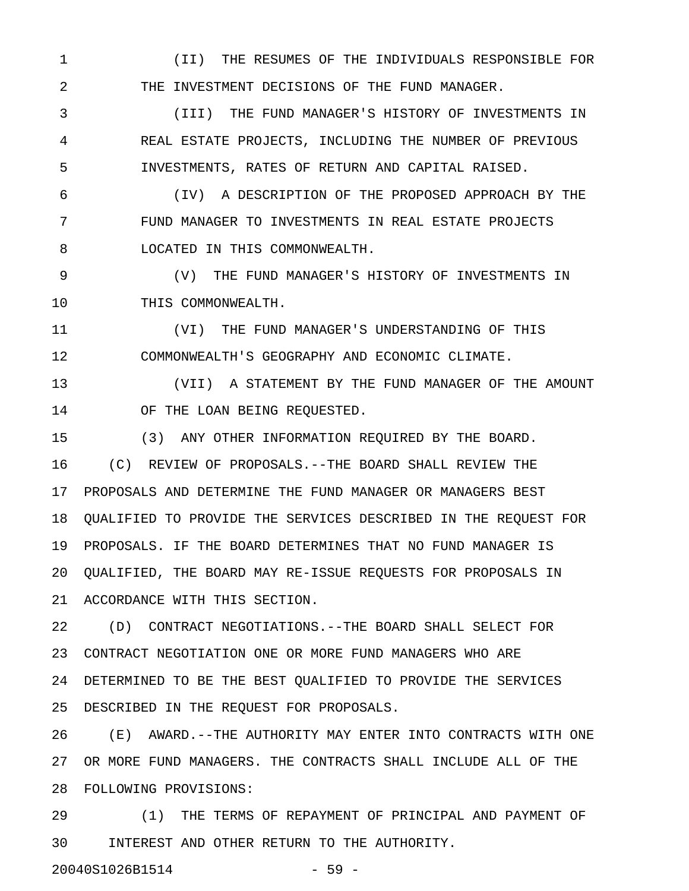1 (II) THE RESUMES OF THE INDIVIDUALS RESPONSIBLE FOR 2 THE INVESTMENT DECISIONS OF THE FUND MANAGER.

3 (III) THE FUND MANAGER'S HISTORY OF INVESTMENTS IN 4 REAL ESTATE PROJECTS, INCLUDING THE NUMBER OF PREVIOUS 5 INVESTMENTS, RATES OF RETURN AND CAPITAL RAISED.

6 (IV) A DESCRIPTION OF THE PROPOSED APPROACH BY THE 7 FUND MANAGER TO INVESTMENTS IN REAL ESTATE PROJECTS 8 LOCATED IN THIS COMMONWEALTH.

9 (V) THE FUND MANAGER'S HISTORY OF INVESTMENTS IN 10 THIS COMMONWEALTH.

11 (VI) THE FUND MANAGER'S UNDERSTANDING OF THIS 12 COMMONWEALTH'S GEOGRAPHY AND ECONOMIC CLIMATE.

13 (VII) A STATEMENT BY THE FUND MANAGER OF THE AMOUNT 14 OF THE LOAN BEING REQUESTED.

15 (3) ANY OTHER INFORMATION REQUIRED BY THE BOARD. 16 (C) REVIEW OF PROPOSALS.--THE BOARD SHALL REVIEW THE 17 PROPOSALS AND DETERMINE THE FUND MANAGER OR MANAGERS BEST 18 QUALIFIED TO PROVIDE THE SERVICES DESCRIBED IN THE REQUEST FOR 19 PROPOSALS. IF THE BOARD DETERMINES THAT NO FUND MANAGER IS 20 QUALIFIED, THE BOARD MAY RE-ISSUE REQUESTS FOR PROPOSALS IN 21 ACCORDANCE WITH THIS SECTION.

22 (D) CONTRACT NEGOTIATIONS.--THE BOARD SHALL SELECT FOR 23 CONTRACT NEGOTIATION ONE OR MORE FUND MANAGERS WHO ARE 24 DETERMINED TO BE THE BEST QUALIFIED TO PROVIDE THE SERVICES 25 DESCRIBED IN THE REQUEST FOR PROPOSALS.

26 (E) AWARD.--THE AUTHORITY MAY ENTER INTO CONTRACTS WITH ONE 27 OR MORE FUND MANAGERS. THE CONTRACTS SHALL INCLUDE ALL OF THE 28 FOLLOWING PROVISIONS:

29 (1) THE TERMS OF REPAYMENT OF PRINCIPAL AND PAYMENT OF 30 INTEREST AND OTHER RETURN TO THE AUTHORITY.

20040S1026B1514 - 59 -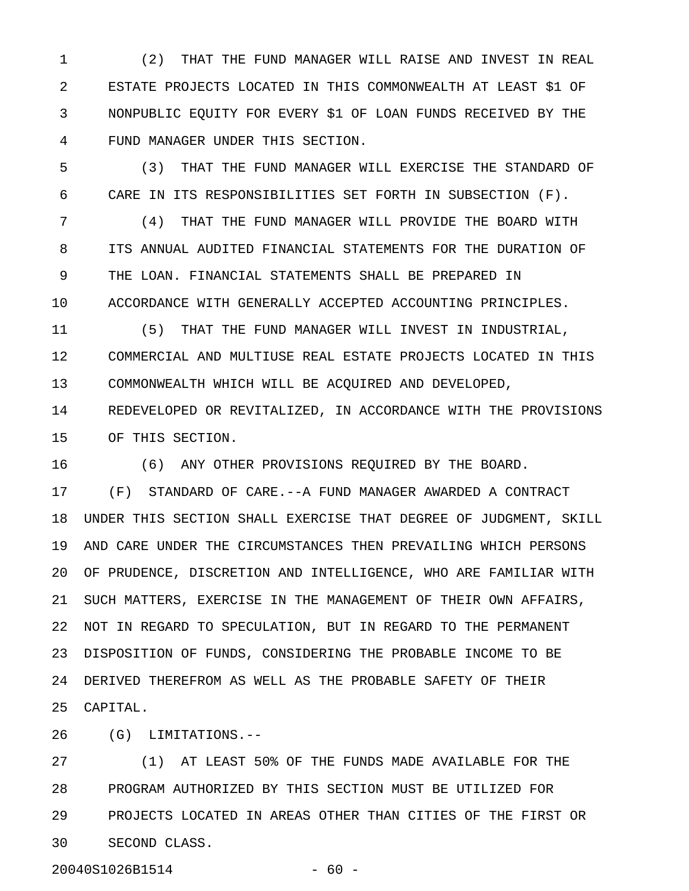1 (2) THAT THE FUND MANAGER WILL RAISE AND INVEST IN REAL 2 ESTATE PROJECTS LOCATED IN THIS COMMONWEALTH AT LEAST \$1 OF 3 NONPUBLIC EQUITY FOR EVERY \$1 OF LOAN FUNDS RECEIVED BY THE 4 FUND MANAGER UNDER THIS SECTION.

5 (3) THAT THE FUND MANAGER WILL EXERCISE THE STANDARD OF 6 CARE IN ITS RESPONSIBILITIES SET FORTH IN SUBSECTION (F).

7 (4) THAT THE FUND MANAGER WILL PROVIDE THE BOARD WITH 8 ITS ANNUAL AUDITED FINANCIAL STATEMENTS FOR THE DURATION OF 9 THE LOAN. FINANCIAL STATEMENTS SHALL BE PREPARED IN 10 ACCORDANCE WITH GENERALLY ACCEPTED ACCOUNTING PRINCIPLES.

11 (5) THAT THE FUND MANAGER WILL INVEST IN INDUSTRIAL, 12 COMMERCIAL AND MULTIUSE REAL ESTATE PROJECTS LOCATED IN THIS 13 COMMONWEALTH WHICH WILL BE ACQUIRED AND DEVELOPED, 14 REDEVELOPED OR REVITALIZED, IN ACCORDANCE WITH THE PROVISIONS

15 OF THIS SECTION.

16 (6) ANY OTHER PROVISIONS REQUIRED BY THE BOARD.

17 (F) STANDARD OF CARE.--A FUND MANAGER AWARDED A CONTRACT 18 UNDER THIS SECTION SHALL EXERCISE THAT DEGREE OF JUDGMENT, SKILL 19 AND CARE UNDER THE CIRCUMSTANCES THEN PREVAILING WHICH PERSONS 20 OF PRUDENCE, DISCRETION AND INTELLIGENCE, WHO ARE FAMILIAR WITH 21 SUCH MATTERS, EXERCISE IN THE MANAGEMENT OF THEIR OWN AFFAIRS, 22 NOT IN REGARD TO SPECULATION, BUT IN REGARD TO THE PERMANENT 23 DISPOSITION OF FUNDS, CONSIDERING THE PROBABLE INCOME TO BE 24 DERIVED THEREFROM AS WELL AS THE PROBABLE SAFETY OF THEIR 25 CAPITAL.

26 (G) LIMITATIONS.--

27 (1) AT LEAST 50% OF THE FUNDS MADE AVAILABLE FOR THE 28 PROGRAM AUTHORIZED BY THIS SECTION MUST BE UTILIZED FOR 29 PROJECTS LOCATED IN AREAS OTHER THAN CITIES OF THE FIRST OR 30 SECOND CLASS.

20040S1026B1514 - 60 -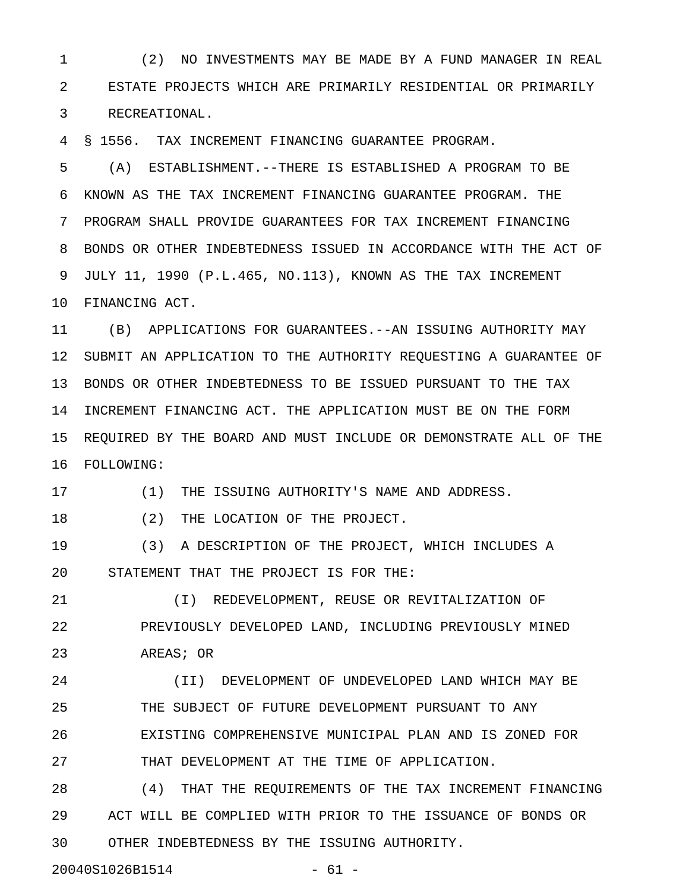1 (2) NO INVESTMENTS MAY BE MADE BY A FUND MANAGER IN REAL 2 ESTATE PROJECTS WHICH ARE PRIMARILY RESIDENTIAL OR PRIMARILY 3 RECREATIONAL.

4 § 1556. TAX INCREMENT FINANCING GUARANTEE PROGRAM.

5 (A) ESTABLISHMENT.--THERE IS ESTABLISHED A PROGRAM TO BE 6 KNOWN AS THE TAX INCREMENT FINANCING GUARANTEE PROGRAM. THE 7 PROGRAM SHALL PROVIDE GUARANTEES FOR TAX INCREMENT FINANCING 8 BONDS OR OTHER INDEBTEDNESS ISSUED IN ACCORDANCE WITH THE ACT OF 9 JULY 11, 1990 (P.L.465, NO.113), KNOWN AS THE TAX INCREMENT 10 FINANCING ACT.

11 (B) APPLICATIONS FOR GUARANTEES.--AN ISSUING AUTHORITY MAY 12 SUBMIT AN APPLICATION TO THE AUTHORITY REQUESTING A GUARANTEE OF 13 BONDS OR OTHER INDEBTEDNESS TO BE ISSUED PURSUANT TO THE TAX 14 INCREMENT FINANCING ACT. THE APPLICATION MUST BE ON THE FORM 15 REQUIRED BY THE BOARD AND MUST INCLUDE OR DEMONSTRATE ALL OF THE 16 FOLLOWING:

17 (1) THE ISSUING AUTHORITY'S NAME AND ADDRESS.

18 (2) THE LOCATION OF THE PROJECT.

19 (3) A DESCRIPTION OF THE PROJECT, WHICH INCLUDES A 20 STATEMENT THAT THE PROJECT IS FOR THE:

21 (I) REDEVELOPMENT, REUSE OR REVITALIZATION OF 22 PREVIOUSLY DEVELOPED LAND, INCLUDING PREVIOUSLY MINED 23 AREAS; OR

24 (II) DEVELOPMENT OF UNDEVELOPED LAND WHICH MAY BE 25 THE SUBJECT OF FUTURE DEVELOPMENT PURSUANT TO ANY 26 EXISTING COMPREHENSIVE MUNICIPAL PLAN AND IS ZONED FOR 27 THAT DEVELOPMENT AT THE TIME OF APPLICATION.

28 (4) THAT THE REQUIREMENTS OF THE TAX INCREMENT FINANCING 29 ACT WILL BE COMPLIED WITH PRIOR TO THE ISSUANCE OF BONDS OR 30 OTHER INDEBTEDNESS BY THE ISSUING AUTHORITY.

20040S1026B1514 - 61 -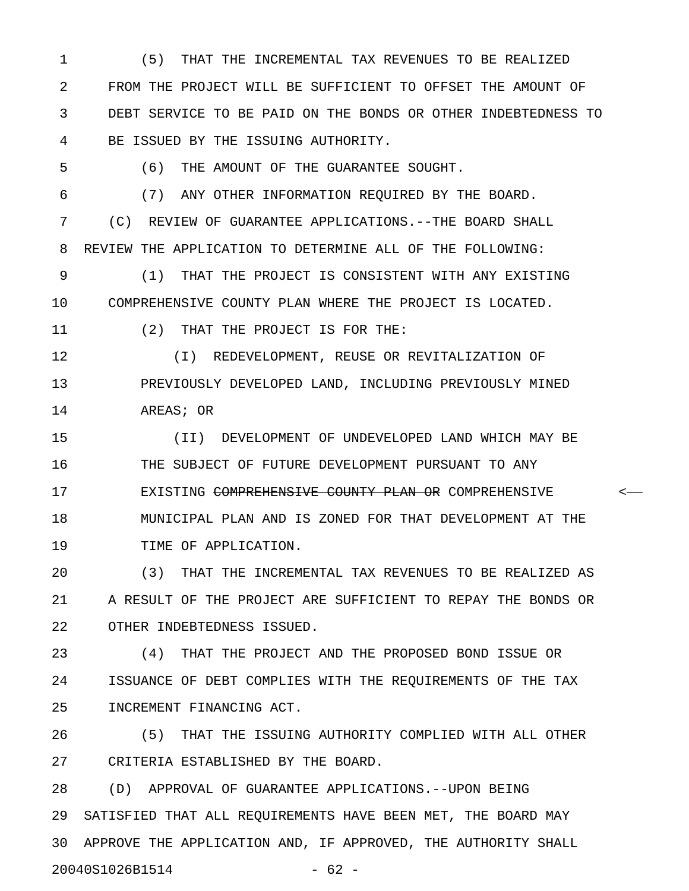1 (5) THAT THE INCREMENTAL TAX REVENUES TO BE REALIZED 2 FROM THE PROJECT WILL BE SUFFICIENT TO OFFSET THE AMOUNT OF 3 DEBT SERVICE TO BE PAID ON THE BONDS OR OTHER INDEBTEDNESS TO 4 BE ISSUED BY THE ISSUING AUTHORITY.

5 (6) THE AMOUNT OF THE GUARANTEE SOUGHT.

6 (7) ANY OTHER INFORMATION REQUIRED BY THE BOARD.

7 (C) REVIEW OF GUARANTEE APPLICATIONS.--THE BOARD SHALL 8 REVIEW THE APPLICATION TO DETERMINE ALL OF THE FOLLOWING:

9 (1) THAT THE PROJECT IS CONSISTENT WITH ANY EXISTING 10 COMPREHENSIVE COUNTY PLAN WHERE THE PROJECT IS LOCATED.

11 (2) THAT THE PROJECT IS FOR THE:

12 (I) REDEVELOPMENT, REUSE OR REVITALIZATION OF 13 PREVIOUSLY DEVELOPED LAND, INCLUDING PREVIOUSLY MINED 14 AREAS; OR

15 (II) DEVELOPMENT OF UNDEVELOPED LAND WHICH MAY BE 16 THE SUBJECT OF FUTURE DEVELOPMENT PURSUANT TO ANY 17 EXISTING COMPREHENSIVE COUNTY PLAN OR COMPREHENSIVE < 18 MUNICIPAL PLAN AND IS ZONED FOR THAT DEVELOPMENT AT THE 19 TIME OF APPLICATION.

20 (3) THAT THE INCREMENTAL TAX REVENUES TO BE REALIZED AS 21 A RESULT OF THE PROJECT ARE SUFFICIENT TO REPAY THE BONDS OR 22 OTHER INDEBTEDNESS ISSUED.

23 (4) THAT THE PROJECT AND THE PROPOSED BOND ISSUE OR 24 ISSUANCE OF DEBT COMPLIES WITH THE REQUIREMENTS OF THE TAX 25 INCREMENT FINANCING ACT.

26 (5) THAT THE ISSUING AUTHORITY COMPLIED WITH ALL OTHER 27 CRITERIA ESTABLISHED BY THE BOARD.

28 (D) APPROVAL OF GUARANTEE APPLICATIONS.--UPON BEING 29 SATISFIED THAT ALL REQUIREMENTS HAVE BEEN MET, THE BOARD MAY 30 APPROVE THE APPLICATION AND, IF APPROVED, THE AUTHORITY SHALL 20040S1026B1514 - 62 -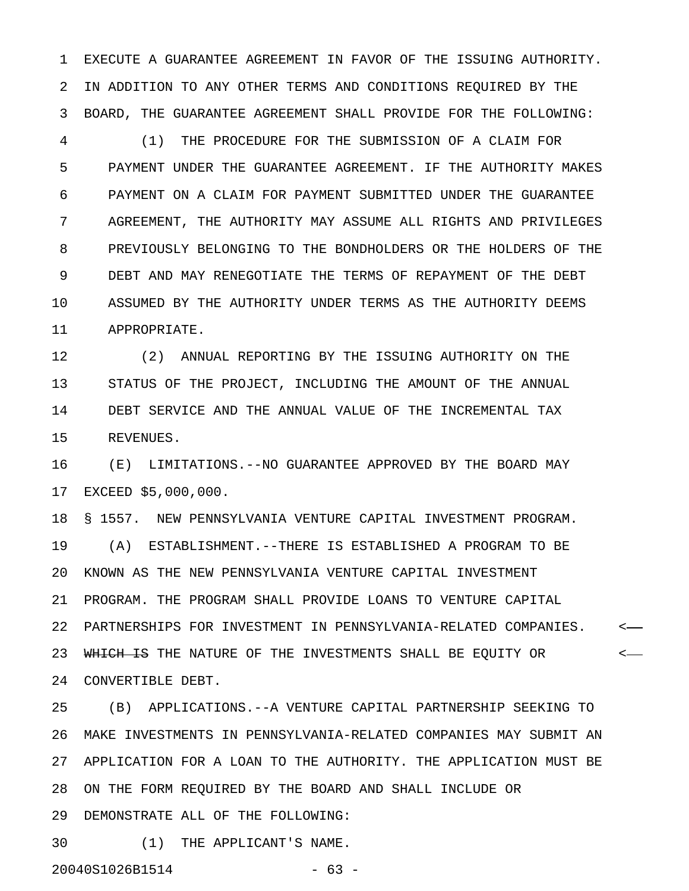1 EXECUTE A GUARANTEE AGREEMENT IN FAVOR OF THE ISSUING AUTHORITY. 2 IN ADDITION TO ANY OTHER TERMS AND CONDITIONS REQUIRED BY THE 3 BOARD, THE GUARANTEE AGREEMENT SHALL PROVIDE FOR THE FOLLOWING:

4 (1) THE PROCEDURE FOR THE SUBMISSION OF A CLAIM FOR 5 PAYMENT UNDER THE GUARANTEE AGREEMENT. IF THE AUTHORITY MAKES 6 PAYMENT ON A CLAIM FOR PAYMENT SUBMITTED UNDER THE GUARANTEE 7 AGREEMENT, THE AUTHORITY MAY ASSUME ALL RIGHTS AND PRIVILEGES 8 PREVIOUSLY BELONGING TO THE BONDHOLDERS OR THE HOLDERS OF THE 9 DEBT AND MAY RENEGOTIATE THE TERMS OF REPAYMENT OF THE DEBT 10 ASSUMED BY THE AUTHORITY UNDER TERMS AS THE AUTHORITY DEEMS 11 APPROPRIATE.

12 (2) ANNUAL REPORTING BY THE ISSUING AUTHORITY ON THE 13 STATUS OF THE PROJECT, INCLUDING THE AMOUNT OF THE ANNUAL 14 DEBT SERVICE AND THE ANNUAL VALUE OF THE INCREMENTAL TAX 15 REVENUES.

16 (E) LIMITATIONS.--NO GUARANTEE APPROVED BY THE BOARD MAY 17 EXCEED \$5,000,000.

18 § 1557. NEW PENNSYLVANIA VENTURE CAPITAL INVESTMENT PROGRAM. 19 (A) ESTABLISHMENT.--THERE IS ESTABLISHED A PROGRAM TO BE 20 KNOWN AS THE NEW PENNSYLVANIA VENTURE CAPITAL INVESTMENT 21 PROGRAM. THE PROGRAM SHALL PROVIDE LOANS TO VENTURE CAPITAL 22 PARTNERSHIPS FOR INVESTMENT IN PENNSYLVANIA-RELATED COMPANIES. < 23 WHICH IS THE NATURE OF THE INVESTMENTS SHALL BE EQUITY OR  $\leftarrow$ 24 CONVERTIBLE DEBT.

25 (B) APPLICATIONS.--A VENTURE CAPITAL PARTNERSHIP SEEKING TO 26 MAKE INVESTMENTS IN PENNSYLVANIA-RELATED COMPANIES MAY SUBMIT AN 27 APPLICATION FOR A LOAN TO THE AUTHORITY. THE APPLICATION MUST BE 28 ON THE FORM REQUIRED BY THE BOARD AND SHALL INCLUDE OR 29 DEMONSTRATE ALL OF THE FOLLOWING:

30 (1) THE APPLICANT'S NAME.

20040S1026B1514 - 63 -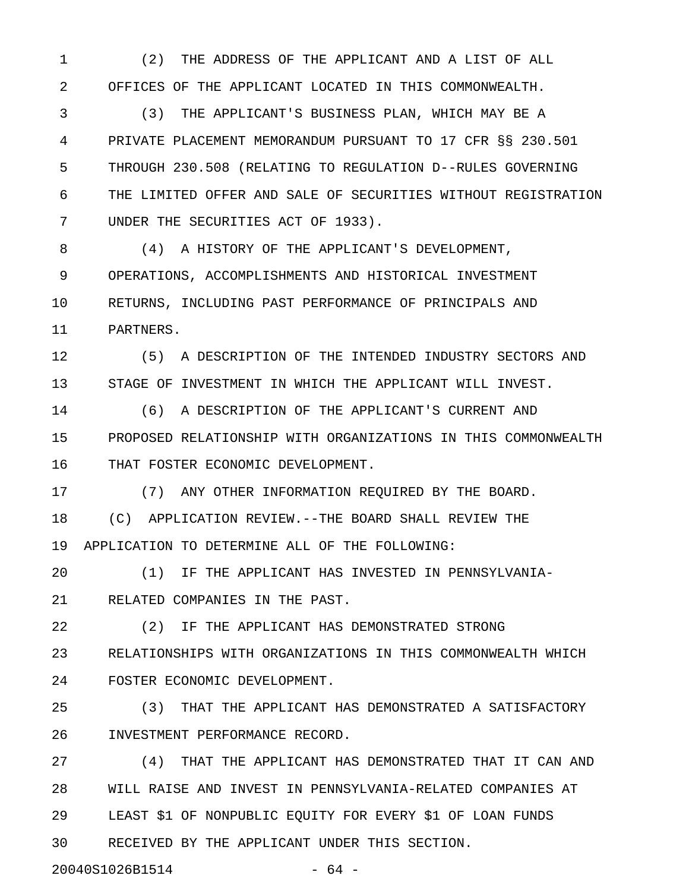1 (2) THE ADDRESS OF THE APPLICANT AND A LIST OF ALL 2 OFFICES OF THE APPLICANT LOCATED IN THIS COMMONWEALTH.

3 (3) THE APPLICANT'S BUSINESS PLAN, WHICH MAY BE A 4 PRIVATE PLACEMENT MEMORANDUM PURSUANT TO 17 CFR §§ 230.501 5 THROUGH 230.508 (RELATING TO REGULATION D--RULES GOVERNING 6 THE LIMITED OFFER AND SALE OF SECURITIES WITHOUT REGISTRATION 7 UNDER THE SECURITIES ACT OF 1933).

8 (4) A HISTORY OF THE APPLICANT'S DEVELOPMENT, 9 OPERATIONS, ACCOMPLISHMENTS AND HISTORICAL INVESTMENT 10 RETURNS, INCLUDING PAST PERFORMANCE OF PRINCIPALS AND 11 PARTNERS.

12 (5) A DESCRIPTION OF THE INTENDED INDUSTRY SECTORS AND 13 STAGE OF INVESTMENT IN WHICH THE APPLICANT WILL INVEST.

14 (6) A DESCRIPTION OF THE APPLICANT'S CURRENT AND 15 PROPOSED RELATIONSHIP WITH ORGANIZATIONS IN THIS COMMONWEALTH 16 THAT FOSTER ECONOMIC DEVELOPMENT.

17 (7) ANY OTHER INFORMATION REQUIRED BY THE BOARD.

18 (C) APPLICATION REVIEW.--THE BOARD SHALL REVIEW THE 19 APPLICATION TO DETERMINE ALL OF THE FOLLOWING:

20 (1) IF THE APPLICANT HAS INVESTED IN PENNSYLVANIA-21 RELATED COMPANIES IN THE PAST.

22 (2) IF THE APPLICANT HAS DEMONSTRATED STRONG

23 RELATIONSHIPS WITH ORGANIZATIONS IN THIS COMMONWEALTH WHICH 24 FOSTER ECONOMIC DEVELOPMENT.

25 (3) THAT THE APPLICANT HAS DEMONSTRATED A SATISFACTORY 26 INVESTMENT PERFORMANCE RECORD.

27 (4) THAT THE APPLICANT HAS DEMONSTRATED THAT IT CAN AND 28 WILL RAISE AND INVEST IN PENNSYLVANIA-RELATED COMPANIES AT 29 LEAST \$1 OF NONPUBLIC EQUITY FOR EVERY \$1 OF LOAN FUNDS 30 RECEIVED BY THE APPLICANT UNDER THIS SECTION.

20040S1026B1514 - 64 -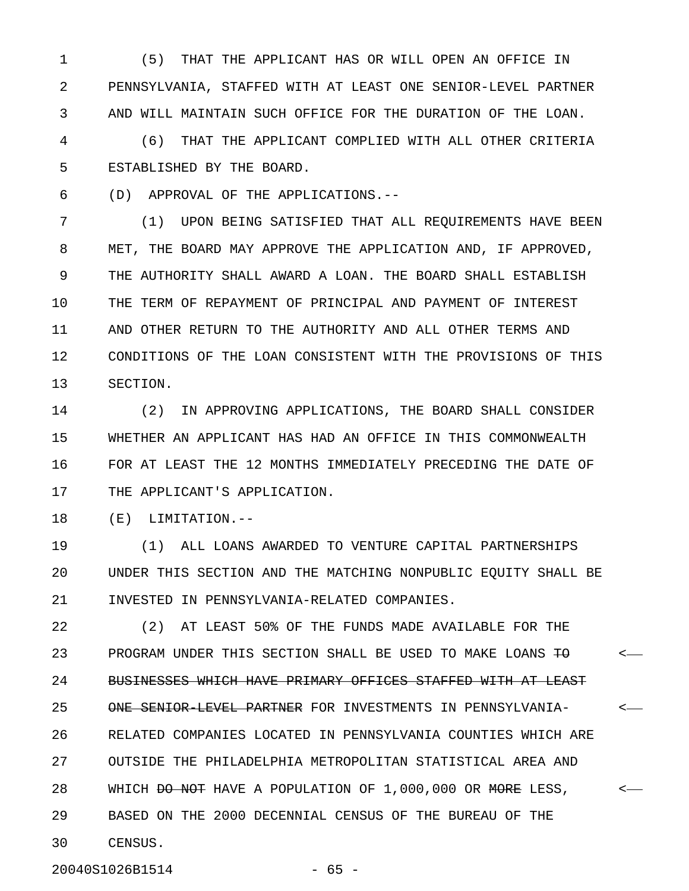1 (5) THAT THE APPLICANT HAS OR WILL OPEN AN OFFICE IN 2 PENNSYLVANIA, STAFFED WITH AT LEAST ONE SENIOR-LEVEL PARTNER 3 AND WILL MAINTAIN SUCH OFFICE FOR THE DURATION OF THE LOAN.

4 (6) THAT THE APPLICANT COMPLIED WITH ALL OTHER CRITERIA 5 ESTABLISHED BY THE BOARD.

6 (D) APPROVAL OF THE APPLICATIONS.--

7 (1) UPON BEING SATISFIED THAT ALL REQUIREMENTS HAVE BEEN 8 MET, THE BOARD MAY APPROVE THE APPLICATION AND, IF APPROVED, 9 THE AUTHORITY SHALL AWARD A LOAN. THE BOARD SHALL ESTABLISH 10 THE TERM OF REPAYMENT OF PRINCIPAL AND PAYMENT OF INTEREST 11 AND OTHER RETURN TO THE AUTHORITY AND ALL OTHER TERMS AND 12 CONDITIONS OF THE LOAN CONSISTENT WITH THE PROVISIONS OF THIS 13 SECTION.

14 (2) IN APPROVING APPLICATIONS, THE BOARD SHALL CONSIDER 15 WHETHER AN APPLICANT HAS HAD AN OFFICE IN THIS COMMONWEALTH 16 FOR AT LEAST THE 12 MONTHS IMMEDIATELY PRECEDING THE DATE OF 17 THE APPLICANT'S APPLICATION.

18 (E) LIMITATION.--

19 (1) ALL LOANS AWARDED TO VENTURE CAPITAL PARTNERSHIPS 20 UNDER THIS SECTION AND THE MATCHING NONPUBLIC EQUITY SHALL BE 21 INVESTED IN PENNSYLVANIA-RELATED COMPANIES.

22 (2) AT LEAST 50% OF THE FUNDS MADE AVAILABLE FOR THE 23 PROGRAM UNDER THIS SECTION SHALL BE USED TO MAKE LOANS TO  $\leftarrow$ 24 BUSINESSES WHICH HAVE PRIMARY OFFICES STAFFED WITH AT LEAST 25 ONE SENIOR LEVEL PARTNER FOR INVESTMENTS IN PENNSYLVANIA-  $\sim$ 26 RELATED COMPANIES LOCATED IN PENNSYLVANIA COUNTIES WHICH ARE 27 OUTSIDE THE PHILADELPHIA METROPOLITAN STATISTICAL AREA AND 28 WHICH <del>DO NOT</del> HAVE A POPULATION OF 1,000,000 OR MORE LESS,  $\leftarrow$ 29 BASED ON THE 2000 DECENNIAL CENSUS OF THE BUREAU OF THE 30 CENSUS.

20040S1026B1514 - 65 -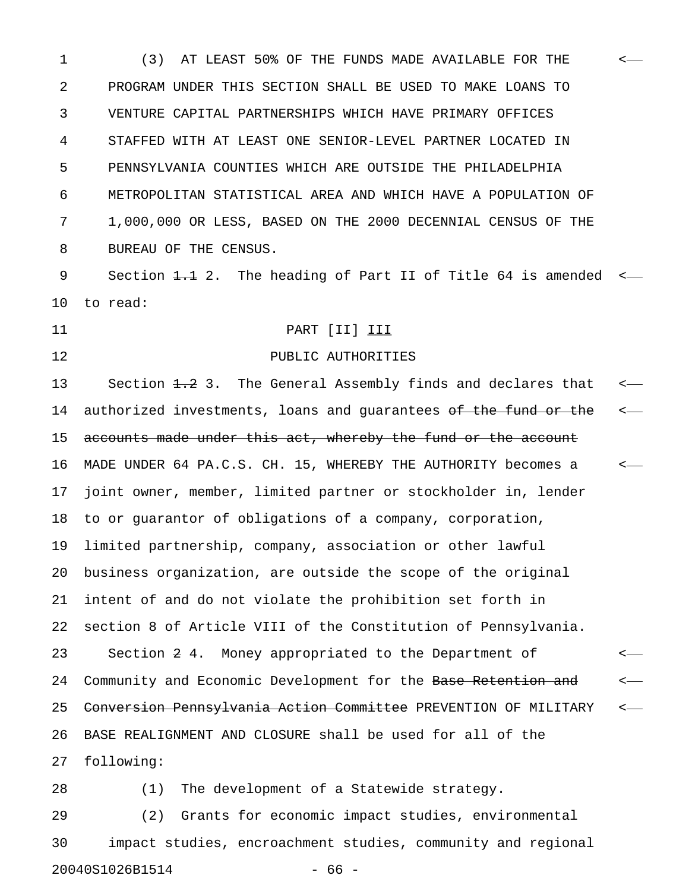1 (3) AT LEAST 50% OF THE FUNDS MADE AVAILABLE FOR THE < 2 PROGRAM UNDER THIS SECTION SHALL BE USED TO MAKE LOANS TO 3 VENTURE CAPITAL PARTNERSHIPS WHICH HAVE PRIMARY OFFICES 4 STAFFED WITH AT LEAST ONE SENIOR-LEVEL PARTNER LOCATED IN 5 PENNSYLVANIA COUNTIES WHICH ARE OUTSIDE THE PHILADELPHIA 6 METROPOLITAN STATISTICAL AREA AND WHICH HAVE A POPULATION OF 7 1,000,000 OR LESS, BASED ON THE 2000 DECENNIAL CENSUS OF THE 8 BUREAU OF THE CENSUS.

9 Section <del>1.1</del> 2. The heading of Part II of Title 64 is amended  $\leftarrow$ 10 to read:

# 11 PART [II] III

12 PUBLIC AUTHORITIES

13 Section 1.2 3. The General Assembly finds and declares that  $\leftarrow$ 14 authorized investments, loans and guarantees of the fund or the  $\sim$ 15 accounts made under this act, whereby the fund or the account 16 MADE UNDER 64 PA.C.S. CH. 15, WHEREBY THE AUTHORITY becomes a < 17 joint owner, member, limited partner or stockholder in, lender 18 to or guarantor of obligations of a company, corporation, 19 limited partnership, company, association or other lawful 20 business organization, are outside the scope of the original 21 intent of and do not violate the prohibition set forth in 22 section 8 of Article VIII of the Constitution of Pennsylvania. 23 Section 2 4. Money appropriated to the Department of < 24 Community and Economic Development for the Base Retention and 25 <del>Conversion Pennsylvania Action Committee</del> PREVENTION OF MILITARY <-26 BASE REALIGNMENT AND CLOSURE shall be used for all of the 27 following:

28 (1) The development of a Statewide strategy.

29 (2) Grants for economic impact studies, environmental 30 impact studies, encroachment studies, community and regional 20040S1026B1514 - 66 -